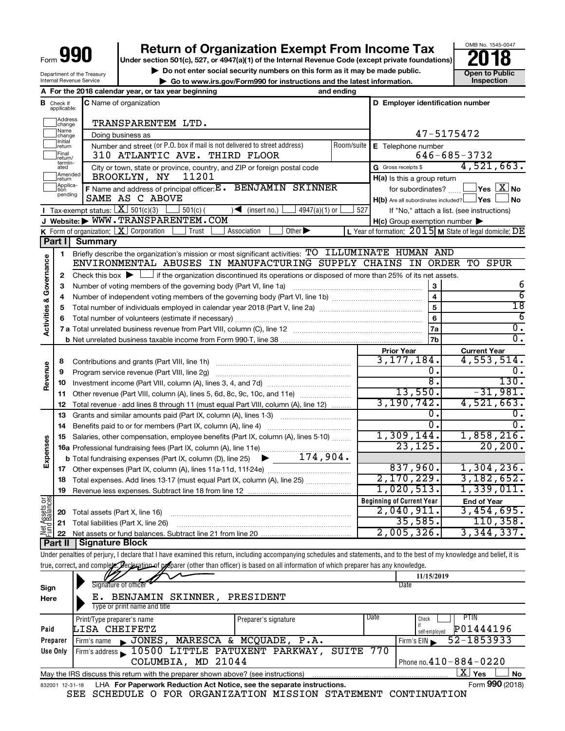Department of the Treasury

# **990 Return of Organization Exempt From Income Tax Post Disks 1945-004 Property Property Private foundations 2018**

▶ Do not enter social security numbers on this form as it may be made public. <br>
inspection and the latest information. **Dependent instructions** instructions and the latest information. Inspection **| Go to www.irs.gov/Form990 for instructions and the latest information. Inspection**



|                         |                                  | Internal Revenue Service | $\triangleright$ Go to www.irs.gov/Form990 for instructions and the latest information.                                                                                    |                             |            |                                  |                               |                                                                 |
|-------------------------|----------------------------------|--------------------------|----------------------------------------------------------------------------------------------------------------------------------------------------------------------------|-----------------------------|------------|----------------------------------|-------------------------------|-----------------------------------------------------------------|
|                         |                                  |                          | A For the 2018 calendar year, or tax year beginning                                                                                                                        |                             | and ending |                                  |                               |                                                                 |
|                         | <b>B</b> Check if<br>applicable: |                          | C Name of organization                                                                                                                                                     |                             |            |                                  |                               | D Employer identification number                                |
|                         | Address<br> change               |                          | TRANSPARENTEM LTD.                                                                                                                                                         |                             |            |                                  |                               |                                                                 |
|                         | Name<br>change                   |                          | Doing business as                                                                                                                                                          |                             |            |                                  |                               | 47-5175472                                                      |
|                         | Initial<br>return                |                          | Number and street (or P.O. box if mail is not delivered to street address)                                                                                                 |                             | Room/suite |                                  | E Telephone number            |                                                                 |
|                         | Final<br>return/                 |                          | 310 ATLANTIC AVE. THIRD FLOOR                                                                                                                                              |                             |            |                                  |                               | $646 - 685 - 3732$                                              |
|                         | termin-<br>ated                  |                          | City or town, state or province, country, and ZIP or foreign postal code                                                                                                   |                             |            | G Gross receipts \$              |                               | 4,521,663.                                                      |
|                         | Amended<br>return                |                          | BROOKLYN, NY<br>11201                                                                                                                                                      |                             |            |                                  | H(a) Is this a group return   |                                                                 |
|                         | Applica-<br>Ition                |                          | F Name and address of principal officer: E . BENJAMIN SKINNER                                                                                                              |                             |            |                                  | for subordinates?             | $\sqrt{}$ Yes $\boxed{\text{X}}$ No                             |
|                         | pending                          |                          | SAME AS C ABOVE                                                                                                                                                            |                             |            |                                  |                               | $H(b)$ Are all subordinates included? $\Box$ Yes $\Box$<br>No_l |
|                         |                                  |                          | <b>I</b> Tax-exempt status: $X \overline{X}$ 501(c)(3) $\overline{S}$ 501(c)(<br>$\sum$ (insert no.)                                                                       | $4947(a)(1)$ or             | 527        |                                  |                               | If "No," attach a list. (see instructions)                      |
|                         |                                  |                          | J Website: WWW.TRANSPARENTEM.COM                                                                                                                                           |                             |            |                                  |                               | $H(c)$ Group exemption number $\blacktriangleright$             |
|                         |                                  |                          | <b>K</b> Form of organization: $\boxed{\mathbf{X}}$ Corporation<br>Trust<br>Association                                                                                    | Other $\blacktriangleright$ |            |                                  |                               | L Year of formation: $2015$ M State of legal domicile: DE       |
|                         | Part I                           | <b>Summary</b>           |                                                                                                                                                                            |                             |            |                                  |                               |                                                                 |
|                         | 1                                |                          | Briefly describe the organization's mission or most significant activities: TO ILLUMINATE HUMAN AND                                                                        |                             |            |                                  |                               |                                                                 |
| Activities & Governance |                                  |                          | ENVIRONMENTAL ABUSES IN MANUFACTURING SUPPLY CHAINS IN ORDER TO SPUR                                                                                                       |                             |            |                                  |                               |                                                                 |
|                         | 2                                |                          | Check this box $\blacktriangleright \Box$ if the organization discontinued its operations or disposed of more than 25% of its net assets.                                  |                             |            |                                  |                               |                                                                 |
|                         | 3                                |                          | Number of voting members of the governing body (Part VI, line 1a)                                                                                                          |                             |            |                                  | 3                             | 6                                                               |
|                         | 4                                |                          |                                                                                                                                                                            |                             |            |                                  | $\overline{\mathbf{4}}$       | $\overline{6}$                                                  |
|                         | 5                                |                          |                                                                                                                                                                            |                             |            |                                  | 5                             | $\overline{18}$                                                 |
|                         | 6                                |                          |                                                                                                                                                                            |                             |            |                                  | 6                             | 6                                                               |
|                         |                                  |                          |                                                                                                                                                                            |                             |            |                                  | 7a                            | σ.                                                              |
|                         |                                  |                          |                                                                                                                                                                            |                             |            |                                  | 7b                            | $\overline{0}$ .                                                |
|                         |                                  |                          |                                                                                                                                                                            |                             |            | <b>Prior Year</b>                |                               | <b>Current Year</b>                                             |
|                         | 8                                |                          |                                                                                                                                                                            |                             |            |                                  | 3, 177, 184.                  | 4,553,514.                                                      |
| Revenue                 | 9                                |                          | Program service revenue (Part VIII, line 2g)                                                                                                                               |                             |            |                                  | ο.                            | 0.                                                              |
|                         | 10                               |                          |                                                                                                                                                                            |                             |            |                                  | $\overline{\boldsymbol{8}}$ . | 130.                                                            |
|                         | 11                               |                          | Other revenue (Part VIII, column (A), lines 5, 6d, 8c, 9c, 10c, and 11e)                                                                                                   |                             |            |                                  | 13,550.                       | $-31,981.$                                                      |
|                         | 12                               |                          | Total revenue - add lines 8 through 11 (must equal Part VIII, column (A), line 12)                                                                                         |                             |            |                                  | 3,190,742.                    | 4,521,663.                                                      |
|                         | 13                               |                          | Grants and similar amounts paid (Part IX, column (A), lines 1-3)                                                                                                           |                             |            |                                  | 0.                            | ο.                                                              |
|                         | 14                               |                          |                                                                                                                                                                            |                             |            |                                  | σ.                            | $\overline{0}$ .                                                |
|                         | 15                               |                          | Salaries, other compensation, employee benefits (Part IX, column (A), lines 5-10)                                                                                          |                             |            |                                  | 1,309,144.                    | 1,858,216.                                                      |
| Expenses                |                                  |                          |                                                                                                                                                                            |                             |            |                                  | 23, 125.                      | 20, 200.                                                        |
|                         |                                  |                          | <b>b</b> Total fundraising expenses (Part IX, column (D), line 25) $\blacktriangleright$ _____ 174, 904.                                                                   |                             |            |                                  |                               |                                                                 |
|                         |                                  |                          |                                                                                                                                                                            |                             |            |                                  | 837,960.                      | 1,304,236.                                                      |
|                         |                                  |                          | 18 Total expenses. Add lines 13-17 (must equal Part IX, column (A), line 25)                                                                                               |                             |            |                                  | 2,170,229.                    | 3,182,652.                                                      |
|                         |                                  |                          | 19 Revenue less expenses. Subtract line 18 from line 12                                                                                                                    |                             |            |                                  | 1,020,513.                    | 1,339,011.                                                      |
| Net Assets or           |                                  |                          |                                                                                                                                                                            |                             |            | <b>Beginning of Current Year</b> |                               | <b>End of Year</b>                                              |
|                         | 20                               |                          | Total assets (Part X, line 16)                                                                                                                                             |                             |            | 2,040,911.                       |                               | 3,454,695.                                                      |
|                         | 21                               |                          | Total liabilities (Part X, line 26)                                                                                                                                        |                             |            |                                  | 35,585.                       | 110, 358.                                                       |
|                         | 22                               |                          |                                                                                                                                                                            |                             |            |                                  | 2,005,326.                    | 3,344,337.                                                      |
|                         | Part II                          |                          | <b>Signature Block</b>                                                                                                                                                     |                             |            |                                  |                               |                                                                 |
|                         |                                  |                          | Under penalties of perjury, I declare that I have examined this return, including accompanying schedules and statements, and to the best of my knowledge and belief, it is |                             |            |                                  |                               |                                                                 |
|                         |                                  |                          | true, correct, and complete. Declaration of preparer (other than officer) is based on all information of which preparer has any knowledge.                                 |                             |            |                                  |                               |                                                                 |
|                         |                                  |                          | Signature of officer                                                                                                                                                       |                             |            | Date                             | 11/15/2019                    |                                                                 |
| Sign                    |                                  |                          | BENJAMIN SKINNER,                                                                                                                                                          |                             |            |                                  |                               |                                                                 |
| Here                    |                                  | E.                       | PRESIDENT<br>Type or print name and title                                                                                                                                  |                             |            |                                  |                               |                                                                 |
|                         |                                  |                          |                                                                                                                                                                            |                             |            | Date                             |                               | <b>PTIN</b>                                                     |
| Paid                    |                                  |                          | Print/Type preparer's name<br>LISA CHEIFETZ                                                                                                                                | Preparer's signature        |            |                                  | Check<br>if                   | P01444196                                                       |
|                         | Preparer                         | Firm's name              | JONES, MARESCA & MCQUADE, P.A.                                                                                                                                             |                             |            |                                  | self-employed                 | 52-1853933                                                      |
|                         | Use Only                         |                          | Firm's address 10500 LITTLE PATUXENT PARKWAY,                                                                                                                              |                             | SUITE 770  |                                  | Firm's $EIN$                  |                                                                 |
|                         |                                  |                          | COLUMBIA, MD 21044                                                                                                                                                         |                             |            |                                  |                               | Phone no. $410 - 884 - 0220$                                    |
|                         |                                  |                          |                                                                                                                                                                            |                             |            |                                  |                               | $\overline{\text{X}}$ Yes                                       |
|                         |                                  |                          | May the IRS discuss this return with the preparer shown above? (see instructions)                                                                                          |                             |            |                                  |                               | No<br>Form 990 (2018)                                           |
|                         | 832001 12-31-18                  |                          | LHA For Paperwork Reduction Act Notice, see the separate instructions.                                                                                                     |                             |            |                                  |                               |                                                                 |

SEE SCHEDULE O FOR ORGANIZATION MISSION STATEMENT CONTINUATION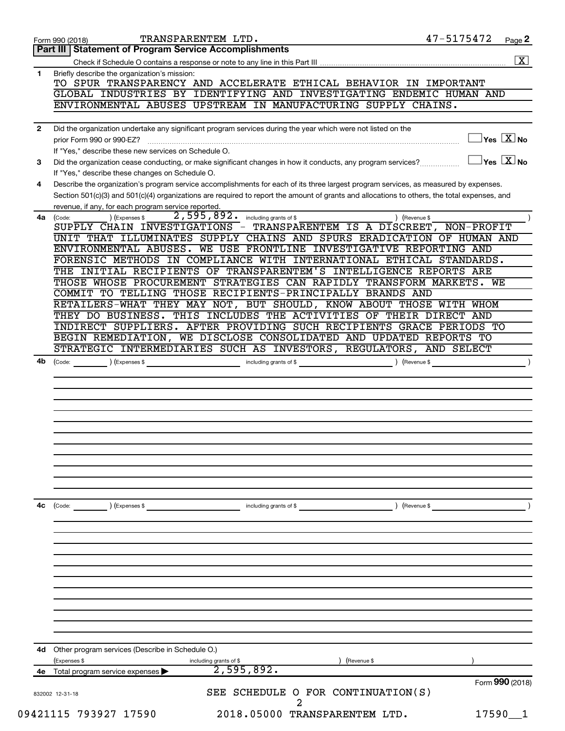|              | TRANSPARENTEM LTD.<br>Form 990 (2018)                                                                                                                                                                                                                                                | 47-5175472      | Page 2                                    |
|--------------|--------------------------------------------------------------------------------------------------------------------------------------------------------------------------------------------------------------------------------------------------------------------------------------|-----------------|-------------------------------------------|
|              | Part III   Statement of Program Service Accomplishments                                                                                                                                                                                                                              |                 |                                           |
|              |                                                                                                                                                                                                                                                                                      |                 | $\boxed{\mathbf{X}}$                      |
| 1            | Briefly describe the organization's mission:                                                                                                                                                                                                                                         |                 |                                           |
|              | TO SPUR TRANSPARENCY AND ACCELERATE ETHICAL BEHAVIOR IN IMPORTANT                                                                                                                                                                                                                    |                 |                                           |
|              | GLOBAL INDUSTRIES BY IDENTIFYING AND INVESTIGATING ENDEMIC HUMAN AND                                                                                                                                                                                                                 |                 |                                           |
|              | ENVIRONMENTAL ABUSES UPSTREAM IN MANUFACTURING SUPPLY CHAINS.                                                                                                                                                                                                                        |                 |                                           |
|              |                                                                                                                                                                                                                                                                                      |                 |                                           |
| $\mathbf{2}$ | Did the organization undertake any significant program services during the year which were not listed on the                                                                                                                                                                         |                 |                                           |
|              | prior Form 990 or 990-EZ?                                                                                                                                                                                                                                                            |                 | $\overline{\ }$ Yes $\overline{\rm X}$ No |
|              | If "Yes," describe these new services on Schedule O.                                                                                                                                                                                                                                 |                 | $\exists$ Yes $\boxed{\text{X}}$ No       |
| 3            | Did the organization cease conducting, or make significant changes in how it conducts, any program services?                                                                                                                                                                         |                 |                                           |
|              | If "Yes," describe these changes on Schedule O.                                                                                                                                                                                                                                      |                 |                                           |
| 4            | Describe the organization's program service accomplishments for each of its three largest program services, as measured by expenses.<br>Section 501(c)(3) and 501(c)(4) organizations are required to report the amount of grants and allocations to others, the total expenses, and |                 |                                           |
|              | revenue, if any, for each program service reported.                                                                                                                                                                                                                                  |                 |                                           |
| 4a           | 2,595,892. including grants of \$<br>) (Expenses \$<br>(Code:                                                                                                                                                                                                                        | ) (Revenue \$   |                                           |
|              | SUPPLY CHAIN INVESTIGATIONS - TRANSPARENTEM IS A DISCREET, NON-PROFIT                                                                                                                                                                                                                |                 |                                           |
|              | UNIT THAT ILLUMINATES SUPPLY CHAINS AND SPURS ERADICATION OF HUMAN AND                                                                                                                                                                                                               |                 |                                           |
|              | ENVIRONMENTAL ABUSES. WE USE FRONTLINE INVESTIGATIVE REPORTING AND                                                                                                                                                                                                                   |                 |                                           |
|              | FORENSIC METHODS IN COMPLIANCE WITH INTERNATIONAL ETHICAL STANDARDS.                                                                                                                                                                                                                 |                 |                                           |
|              | THE INITIAL RECIPIENTS OF TRANSPARENTEM'S INTELLIGENCE REPORTS ARE                                                                                                                                                                                                                   |                 |                                           |
|              | THOSE WHOSE PROCUREMENT STRATEGIES CAN RAPIDLY TRANSFORM MARKETS. WE                                                                                                                                                                                                                 |                 |                                           |
|              | COMMIT TO TELLING THOSE RECIPIENTS-PRINCIPALLY BRANDS AND                                                                                                                                                                                                                            |                 |                                           |
|              | RETAILERS-WHAT THEY MAY NOT, BUT SHOULD, KNOW ABOUT THOSE WITH WHOM                                                                                                                                                                                                                  |                 |                                           |
|              | THEY DO BUSINESS. THIS INCLUDES THE ACTIVITIES OF THEIR DIRECT AND                                                                                                                                                                                                                   |                 |                                           |
|              | INDIRECT SUPPLIERS. AFTER PROVIDING SUCH RECIPIENTS GRACE PERIODS TO                                                                                                                                                                                                                 |                 |                                           |
|              | BEGIN REMEDIATION, WE DISCLOSE CONSOLIDATED AND UPDATED REPORTS TO                                                                                                                                                                                                                   |                 |                                           |
|              | STRATEGIC INTERMEDIARIES SUCH AS INVESTORS, REGULATORS, AND SELECT                                                                                                                                                                                                                   |                 |                                           |
| 4b           |                                                                                                                                                                                                                                                                                      |                 |                                           |
|              |                                                                                                                                                                                                                                                                                      |                 |                                           |
|              |                                                                                                                                                                                                                                                                                      |                 |                                           |
|              |                                                                                                                                                                                                                                                                                      |                 |                                           |
|              |                                                                                                                                                                                                                                                                                      |                 |                                           |
|              |                                                                                                                                                                                                                                                                                      |                 |                                           |
|              |                                                                                                                                                                                                                                                                                      |                 |                                           |
|              |                                                                                                                                                                                                                                                                                      |                 |                                           |
|              |                                                                                                                                                                                                                                                                                      |                 |                                           |
|              |                                                                                                                                                                                                                                                                                      |                 |                                           |
|              |                                                                                                                                                                                                                                                                                      |                 |                                           |
|              |                                                                                                                                                                                                                                                                                      |                 |                                           |
| 4c           | (Code:<br>(Expenses \$<br>including grants of \$                                                                                                                                                                                                                                     | ) (Revenue \$   |                                           |
|              |                                                                                                                                                                                                                                                                                      |                 |                                           |
|              |                                                                                                                                                                                                                                                                                      |                 |                                           |
|              |                                                                                                                                                                                                                                                                                      |                 |                                           |
|              |                                                                                                                                                                                                                                                                                      |                 |                                           |
|              |                                                                                                                                                                                                                                                                                      |                 |                                           |
|              |                                                                                                                                                                                                                                                                                      |                 |                                           |
|              |                                                                                                                                                                                                                                                                                      |                 |                                           |
|              |                                                                                                                                                                                                                                                                                      |                 |                                           |
|              |                                                                                                                                                                                                                                                                                      |                 |                                           |
|              |                                                                                                                                                                                                                                                                                      |                 |                                           |
|              |                                                                                                                                                                                                                                                                                      |                 |                                           |
| 4d           | Other program services (Describe in Schedule O.)                                                                                                                                                                                                                                     |                 |                                           |
|              | (Expenses \$<br>including grants of \$<br>(Revenue \$                                                                                                                                                                                                                                |                 |                                           |
|              | 2,595,892.<br>4e Total program service expenses                                                                                                                                                                                                                                      |                 |                                           |
|              |                                                                                                                                                                                                                                                                                      | Form 990 (2018) |                                           |
|              | SEE SCHEDULE O FOR CONTINUATION(S)<br>832002 12-31-18                                                                                                                                                                                                                                |                 |                                           |
|              |                                                                                                                                                                                                                                                                                      |                 |                                           |
|              | 09421115 793927 17590<br>2018.05000 TRANSPARENTEM LTD.                                                                                                                                                                                                                               | $17590 - 1$     |                                           |
|              |                                                                                                                                                                                                                                                                                      |                 |                                           |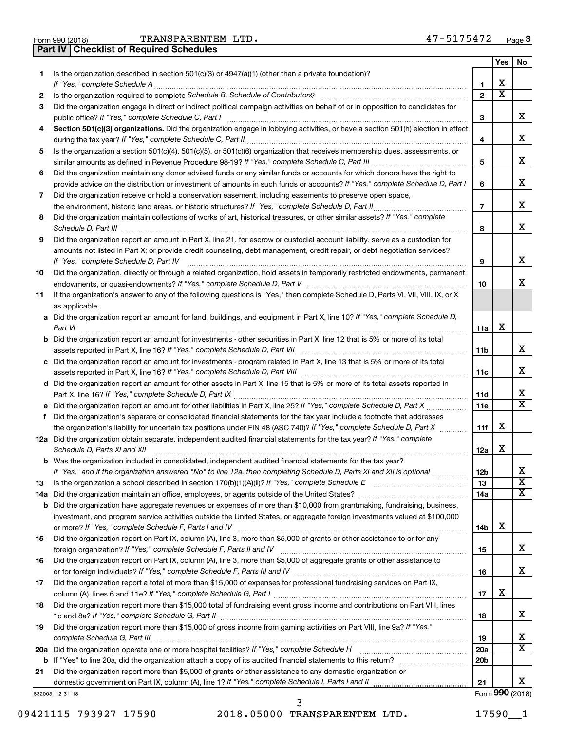**Part IV Checklist of Required Schedules**

|           |                                                                                                                                                                                                                                             |                       | Yes | No                      |
|-----------|---------------------------------------------------------------------------------------------------------------------------------------------------------------------------------------------------------------------------------------------|-----------------------|-----|-------------------------|
| 1.        | Is the organization described in section $501(c)(3)$ or $4947(a)(1)$ (other than a private foundation)?                                                                                                                                     |                       |     |                         |
|           |                                                                                                                                                                                                                                             | 1                     | х   |                         |
| 2         |                                                                                                                                                                                                                                             | $\mathbf{2}$          | х   |                         |
| З         | Did the organization engage in direct or indirect political campaign activities on behalf of or in opposition to candidates for                                                                                                             |                       |     |                         |
|           | public office? If "Yes," complete Schedule C, Part I                                                                                                                                                                                        | 3                     |     | x.                      |
| 4         | Section 501(c)(3) organizations. Did the organization engage in lobbying activities, or have a section 501(h) election in effect                                                                                                            |                       |     |                         |
|           |                                                                                                                                                                                                                                             | 4                     |     | х                       |
| 5         | Is the organization a section 501(c)(4), 501(c)(5), or 501(c)(6) organization that receives membership dues, assessments, or                                                                                                                |                       |     | х                       |
|           |                                                                                                                                                                                                                                             | 5                     |     |                         |
| 6         | Did the organization maintain any donor advised funds or any similar funds or accounts for which donors have the right to                                                                                                                   |                       |     | х                       |
|           | provide advice on the distribution or investment of amounts in such funds or accounts? If "Yes," complete Schedule D, Part I                                                                                                                | 6                     |     |                         |
| 7         | Did the organization receive or hold a conservation easement, including easements to preserve open space,                                                                                                                                   | $\overline{7}$        |     | х                       |
| 8         | Did the organization maintain collections of works of art, historical treasures, or other similar assets? If "Yes," complete                                                                                                                |                       |     |                         |
|           |                                                                                                                                                                                                                                             | 8                     |     | x                       |
| 9         | Did the organization report an amount in Part X, line 21, for escrow or custodial account liability, serve as a custodian for                                                                                                               |                       |     |                         |
|           | amounts not listed in Part X; or provide credit counseling, debt management, credit repair, or debt negotiation services?                                                                                                                   |                       |     |                         |
|           | If "Yes," complete Schedule D, Part IV                                                                                                                                                                                                      | 9                     |     | x                       |
| 10        | Did the organization, directly or through a related organization, hold assets in temporarily restricted endowments, permanent                                                                                                               |                       |     |                         |
|           |                                                                                                                                                                                                                                             | 10                    |     | x                       |
| 11        | If the organization's answer to any of the following questions is "Yes," then complete Schedule D, Parts VI, VII, VIII, IX, or X                                                                                                            |                       |     |                         |
|           | as applicable.                                                                                                                                                                                                                              |                       |     |                         |
|           | a Did the organization report an amount for land, buildings, and equipment in Part X, line 10? If "Yes," complete Schedule D,                                                                                                               |                       |     |                         |
|           | Part VI                                                                                                                                                                                                                                     | 11a                   | X   |                         |
|           | <b>b</b> Did the organization report an amount for investments - other securities in Part X, line 12 that is 5% or more of its total                                                                                                        |                       |     |                         |
|           | assets reported in Part X, line 16? If "Yes," complete Schedule D, Part VII [11] [11] [12] [12] [12] [12] [13] [                                                                                                                            | 11b                   |     | х                       |
|           | c Did the organization report an amount for investments - program related in Part X, line 13 that is 5% or more of its total                                                                                                                |                       |     |                         |
|           |                                                                                                                                                                                                                                             | 11c                   |     | х                       |
|           | d Did the organization report an amount for other assets in Part X, line 15 that is 5% or more of its total assets reported in                                                                                                              |                       |     |                         |
|           |                                                                                                                                                                                                                                             | 11d                   |     | х                       |
|           |                                                                                                                                                                                                                                             | 11e                   |     | X                       |
| f         | Did the organization's separate or consolidated financial statements for the tax year include a footnote that addresses                                                                                                                     |                       |     |                         |
|           | the organization's liability for uncertain tax positions under FIN 48 (ASC 740)? If "Yes," complete Schedule D, Part X                                                                                                                      | 11f                   | X   |                         |
|           | 12a Did the organization obtain separate, independent audited financial statements for the tax year? If "Yes," complete                                                                                                                     |                       | X   |                         |
|           | Schedule D, Parts XI and XII                                                                                                                                                                                                                | 12a                   |     |                         |
|           | <b>b</b> Was the organization included in consolidated, independent audited financial statements for the tax year?<br>If "Yes," and if the organization answered "No" to line 12a, then completing Schedule D, Parts XI and XII is optional |                       |     | x                       |
|           |                                                                                                                                                                                                                                             | 12 <sub>b</sub><br>13 |     | $\overline{\textbf{x}}$ |
| 13<br>14a |                                                                                                                                                                                                                                             | 14a                   |     | x                       |
| b         | Did the organization have aggregate revenues or expenses of more than \$10,000 from grantmaking, fundraising, business,                                                                                                                     |                       |     |                         |
|           | investment, and program service activities outside the United States, or aggregate foreign investments valued at \$100,000                                                                                                                  |                       |     |                         |
|           |                                                                                                                                                                                                                                             | 14b                   | х   |                         |
| 15        | Did the organization report on Part IX, column (A), line 3, more than \$5,000 of grants or other assistance to or for any                                                                                                                   |                       |     |                         |
|           |                                                                                                                                                                                                                                             | 15                    |     | х                       |
| 16        | Did the organization report on Part IX, column (A), line 3, more than \$5,000 of aggregate grants or other assistance to                                                                                                                    |                       |     |                         |
|           |                                                                                                                                                                                                                                             | 16                    |     | х                       |
| 17        | Did the organization report a total of more than \$15,000 of expenses for professional fundraising services on Part IX,                                                                                                                     |                       |     |                         |
|           |                                                                                                                                                                                                                                             | 17                    | X   |                         |
| 18        | Did the organization report more than \$15,000 total of fundraising event gross income and contributions on Part VIII, lines                                                                                                                |                       |     |                         |
|           |                                                                                                                                                                                                                                             | 18                    |     | х                       |
| 19        | Did the organization report more than \$15,000 of gross income from gaming activities on Part VIII, line 9a? If "Yes,"                                                                                                                      |                       |     |                         |
|           |                                                                                                                                                                                                                                             | 19                    |     | x                       |
|           | 20a Did the organization operate one or more hospital facilities? If "Yes," complete Schedule H                                                                                                                                             | 20a                   |     | x                       |
|           |                                                                                                                                                                                                                                             | 20 <sub>b</sub>       |     |                         |
| 21        | Did the organization report more than \$5,000 of grants or other assistance to any domestic organization or                                                                                                                                 |                       |     |                         |
|           |                                                                                                                                                                                                                                             | 21                    |     | x                       |
|           | 832003 12-31-18                                                                                                                                                                                                                             |                       |     | Form 990 (2018)         |

09421115 793927 17590 2018.05000 TRANSPARENTEM LTD. 17590\_1 3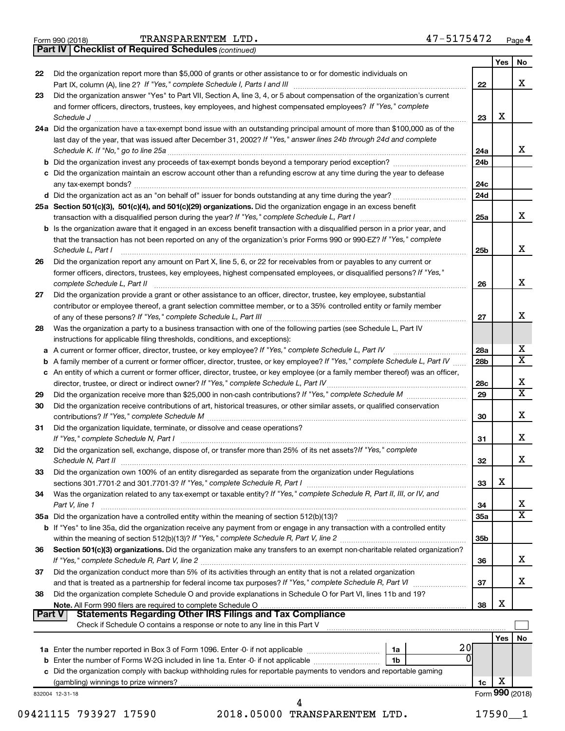|  | Form 990 (2018) |
|--|-----------------|
|  |                 |

*(continued)* **Part IV Checklist of Required Schedules**

|        |                                                                                                                                                                                                                                                                                                                                                      |                        | Yes             | No                      |
|--------|------------------------------------------------------------------------------------------------------------------------------------------------------------------------------------------------------------------------------------------------------------------------------------------------------------------------------------------------------|------------------------|-----------------|-------------------------|
| 22     | Did the organization report more than \$5,000 of grants or other assistance to or for domestic individuals on                                                                                                                                                                                                                                        |                        |                 |                         |
|        |                                                                                                                                                                                                                                                                                                                                                      | 22                     |                 | x                       |
| 23     | Did the organization answer "Yes" to Part VII, Section A, line 3, 4, or 5 about compensation of the organization's current                                                                                                                                                                                                                           |                        |                 |                         |
|        | and former officers, directors, trustees, key employees, and highest compensated employees? If "Yes," complete<br>Schedule J <b>Execute J Execute Contract Contract Contract Contract Contract Contract Contract Contract Contract Contract Contract Contract Contract Contract Contract Contract Contract Contract Contract Contract Contract C</b> | 23                     | X               |                         |
|        | 24a Did the organization have a tax-exempt bond issue with an outstanding principal amount of more than \$100,000 as of the                                                                                                                                                                                                                          |                        |                 |                         |
|        | last day of the year, that was issued after December 31, 2002? If "Yes," answer lines 24b through 24d and complete                                                                                                                                                                                                                                   |                        |                 | x                       |
|        |                                                                                                                                                                                                                                                                                                                                                      | 24a<br>24 <sub>b</sub> |                 |                         |
|        |                                                                                                                                                                                                                                                                                                                                                      |                        |                 |                         |
|        | c Did the organization maintain an escrow account other than a refunding escrow at any time during the year to defease                                                                                                                                                                                                                               | 24c                    |                 |                         |
|        |                                                                                                                                                                                                                                                                                                                                                      | 24d                    |                 |                         |
|        | 25a Section 501(c)(3), 501(c)(4), and 501(c)(29) organizations. Did the organization engage in an excess benefit                                                                                                                                                                                                                                     |                        |                 |                         |
|        |                                                                                                                                                                                                                                                                                                                                                      | 25a                    |                 | x                       |
|        | <b>b</b> Is the organization aware that it engaged in an excess benefit transaction with a disqualified person in a prior year, and                                                                                                                                                                                                                  |                        |                 |                         |
|        | that the transaction has not been reported on any of the organization's prior Forms 990 or 990-EZ? If "Yes," complete<br>Schedule L, Part I                                                                                                                                                                                                          | 25b                    |                 | x                       |
| 26     | Did the organization report any amount on Part X, line 5, 6, or 22 for receivables from or payables to any current or                                                                                                                                                                                                                                |                        |                 |                         |
|        | former officers, directors, trustees, key employees, highest compensated employees, or disqualified persons? If "Yes,"                                                                                                                                                                                                                               | 26                     |                 | X                       |
| 27     | Did the organization provide a grant or other assistance to an officer, director, trustee, key employee, substantial                                                                                                                                                                                                                                 |                        |                 |                         |
|        | contributor or employee thereof, a grant selection committee member, or to a 35% controlled entity or family member                                                                                                                                                                                                                                  | 27                     |                 | X                       |
| 28     | Was the organization a party to a business transaction with one of the following parties (see Schedule L, Part IV<br>instructions for applicable filing thresholds, conditions, and exceptions):                                                                                                                                                     |                        |                 |                         |
|        |                                                                                                                                                                                                                                                                                                                                                      |                        |                 | х                       |
|        |                                                                                                                                                                                                                                                                                                                                                      | 28a                    |                 | $\overline{\mathtt{x}}$ |
|        | <b>b</b> A family member of a current or former officer, director, trustee, or key employee? If "Yes," complete Schedule L, Part IV                                                                                                                                                                                                                  | 28b                    |                 |                         |
|        | c An entity of which a current or former officer, director, trustee, or key employee (or a family member thereof) was an officer,                                                                                                                                                                                                                    | 28c                    |                 | X                       |
| 29     |                                                                                                                                                                                                                                                                                                                                                      | 29                     |                 | $\overline{\mathtt{x}}$ |
| 30     | Did the organization receive contributions of art, historical treasures, or other similar assets, or qualified conservation                                                                                                                                                                                                                          | 30                     |                 | x                       |
| 31     | Did the organization liquidate, terminate, or dissolve and cease operations?                                                                                                                                                                                                                                                                         | 31                     |                 | x                       |
| 32     | Did the organization sell, exchange, dispose of, or transfer more than 25% of its net assets? If "Yes," complete                                                                                                                                                                                                                                     | 32                     |                 | X                       |
| 33     | Did the organization own 100% of an entity disregarded as separate from the organization under Regulations                                                                                                                                                                                                                                           |                        |                 |                         |
|        |                                                                                                                                                                                                                                                                                                                                                      | 33                     | х               |                         |
| 34     | Was the organization related to any tax-exempt or taxable entity? If "Yes," complete Schedule R, Part II, III, or IV, and<br>Part V, line 1                                                                                                                                                                                                          | 34                     |                 | х                       |
|        |                                                                                                                                                                                                                                                                                                                                                      | <b>35a</b>             |                 | $\overline{\mathtt{x}}$ |
|        | b If "Yes" to line 35a, did the organization receive any payment from or engage in any transaction with a controlled entity                                                                                                                                                                                                                          |                        |                 |                         |
| 36     | Section 501(c)(3) organizations. Did the organization make any transfers to an exempt non-charitable related organization?                                                                                                                                                                                                                           | 35 <sub>b</sub>        |                 |                         |
| 37     | Did the organization conduct more than 5% of its activities through an entity that is not a related organization                                                                                                                                                                                                                                     | 36                     |                 | x                       |
|        |                                                                                                                                                                                                                                                                                                                                                      | 37                     |                 | x                       |
| 38     | Did the organization complete Schedule O and provide explanations in Schedule O for Part VI, lines 11b and 19?                                                                                                                                                                                                                                       |                        |                 |                         |
| Part V |                                                                                                                                                                                                                                                                                                                                                      | 38                     | х               |                         |
|        | Check if Schedule O contains a response or note to any line in this Part V                                                                                                                                                                                                                                                                           |                        |                 |                         |
|        | 20                                                                                                                                                                                                                                                                                                                                                   |                        | Yes             | No                      |
|        | 1a<br>ŋ                                                                                                                                                                                                                                                                                                                                              |                        |                 |                         |
|        | 1b                                                                                                                                                                                                                                                                                                                                                   |                        |                 |                         |
|        | c Did the organization comply with backup withholding rules for reportable payments to vendors and reportable gaming                                                                                                                                                                                                                                 |                        | X               |                         |
|        |                                                                                                                                                                                                                                                                                                                                                      | 1c                     | Form 990 (2018) |                         |
|        | 832004 12-31-18                                                                                                                                                                                                                                                                                                                                      |                        |                 |                         |
|        | 09421115 793927 17590<br>2018.05000 TRANSPARENTEM LTD.                                                                                                                                                                                                                                                                                               |                        | 17590           | 1                       |
|        |                                                                                                                                                                                                                                                                                                                                                      |                        |                 |                         |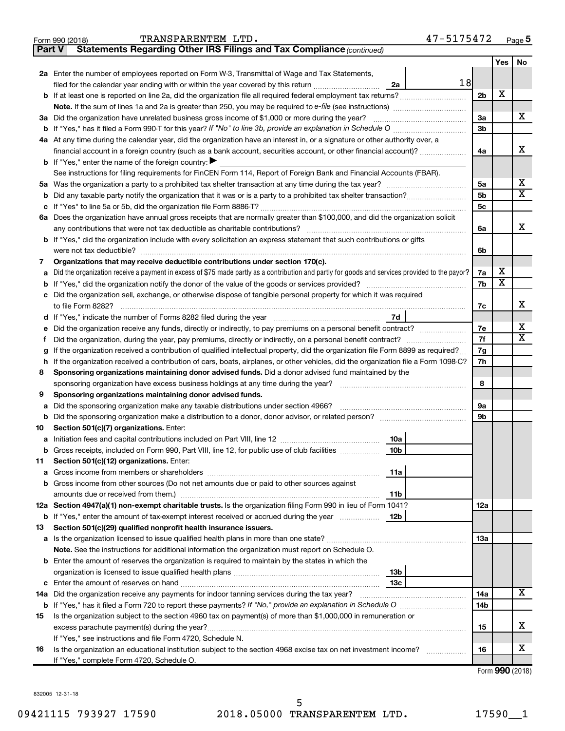| TRANSPARENTEM LTD. | 47-5175472 |
|--------------------|------------|
|--------------------|------------|

| Part V | Statements Regarding Other IRS Filings and Tax Compliance (continued)                                                                           |     |                       |                         |
|--------|-------------------------------------------------------------------------------------------------------------------------------------------------|-----|-----------------------|-------------------------|
|        |                                                                                                                                                 |     | Yes                   | No                      |
|        | 2a Enter the number of employees reported on Form W-3, Transmittal of Wage and Tax Statements,                                                  |     |                       |                         |
|        | 18<br>filed for the calendar year ending with or within the year covered by this return<br>2a                                                   |     |                       |                         |
|        | <b>b</b> If at least one is reported on line 2a, did the organization file all required federal employment tax returns?                         | 2b  | X                     |                         |
|        |                                                                                                                                                 |     |                       |                         |
| За     | Did the organization have unrelated business gross income of \$1,000 or more during the year?                                                   | За  |                       | х                       |
|        |                                                                                                                                                 | 3b  |                       |                         |
|        | 4a At any time during the calendar year, did the organization have an interest in, or a signature or other authority over, a                    |     |                       |                         |
|        | financial account in a foreign country (such as a bank account, securities account, or other financial account)?                                | 4a  |                       | х                       |
|        | <b>b</b> If "Yes," enter the name of the foreign country: $\blacktriangleright$                                                                 |     |                       |                         |
|        | See instructions for filing requirements for FinCEN Form 114, Report of Foreign Bank and Financial Accounts (FBAR).                             |     |                       |                         |
| 5a     |                                                                                                                                                 | 5a  |                       | x                       |
| b      |                                                                                                                                                 | 5b  |                       | $\overline{\textbf{x}}$ |
|        |                                                                                                                                                 | 5с  |                       |                         |
|        | 6a Does the organization have annual gross receipts that are normally greater than \$100,000, and did the organization solicit                  |     |                       |                         |
|        |                                                                                                                                                 | 6a  |                       | х                       |
|        | b If "Yes," did the organization include with every solicitation an express statement that such contributions or gifts                          |     |                       |                         |
|        | were not tax deductible?                                                                                                                        | 6b  |                       |                         |
| 7      | Organizations that may receive deductible contributions under section 170(c).                                                                   |     |                       |                         |
| a      | Did the organization receive a payment in excess of \$75 made partly as a contribution and partly for goods and services provided to the payor? | 7a  | х                     |                         |
| b      |                                                                                                                                                 | 7b  | $\overline{\text{X}}$ |                         |
| c      | Did the organization sell, exchange, or otherwise dispose of tangible personal property for which it was required                               |     |                       |                         |
|        |                                                                                                                                                 | 7c  |                       | х                       |
| d      | 7d                                                                                                                                              |     |                       |                         |
|        | Did the organization receive any funds, directly or indirectly, to pay premiums on a personal benefit contract?                                 | 7e  |                       | х                       |
| f      |                                                                                                                                                 | 7f  |                       | $\overline{\mathbf{X}}$ |
| g      | If the organization received a contribution of qualified intellectual property, did the organization file Form 8899 as required?                | 7g  |                       |                         |
| h      | If the organization received a contribution of cars, boats, airplanes, or other vehicles, did the organization file a Form 1098-C?              | 7h  |                       |                         |
| 8      | Sponsoring organizations maintaining donor advised funds. Did a donor advised fund maintained by the                                            |     |                       |                         |
|        |                                                                                                                                                 | 8   |                       |                         |
| 9      | Sponsoring organizations maintaining donor advised funds.                                                                                       |     |                       |                         |
| а      | Did the sponsoring organization make any taxable distributions under section 4966?                                                              | 9а  |                       |                         |
| b      |                                                                                                                                                 | 9b  |                       |                         |
| 10     | Section 501(c)(7) organizations. Enter:                                                                                                         |     |                       |                         |
|        | 10a                                                                                                                                             |     |                       |                         |
|        | Gross receipts, included on Form 990, Part VIII, line 12, for public use of club facilities<br>10b<br>Section 501(c)(12) organizations. Enter:  |     |                       |                         |
| 11     | 11a                                                                                                                                             |     |                       |                         |
| а      | Gross income from other sources (Do not net amounts due or paid to other sources against                                                        |     |                       |                         |
|        | amounts due or received from them.)<br>11b                                                                                                      |     |                       |                         |
|        | 12a Section 4947(a)(1) non-exempt charitable trusts. Is the organization filing Form 990 in lieu of Form 1041?                                  | 12a |                       |                         |
|        | 12b<br><b>b</b> If "Yes," enter the amount of tax-exempt interest received or accrued during the year                                           |     |                       |                         |
| 13     | Section 501(c)(29) qualified nonprofit health insurance issuers.                                                                                |     |                       |                         |
|        | a Is the organization licensed to issue qualified health plans in more than one state?                                                          | 13a |                       |                         |
|        | Note. See the instructions for additional information the organization must report on Schedule O.                                               |     |                       |                         |
|        | <b>b</b> Enter the amount of reserves the organization is required to maintain by the states in which the                                       |     |                       |                         |
|        | 13b                                                                                                                                             |     |                       |                         |
| c      | 13c                                                                                                                                             |     |                       |                         |
|        | 14a Did the organization receive any payments for indoor tanning services during the tax year?                                                  | 14a |                       | x                       |
|        |                                                                                                                                                 | 14b |                       |                         |
| 15     | Is the organization subject to the section 4960 tax on payment(s) of more than \$1,000,000 in remuneration or                                   |     |                       |                         |
|        |                                                                                                                                                 | 15  |                       | х                       |
|        | If "Yes," see instructions and file Form 4720, Schedule N.                                                                                      |     |                       |                         |
| 16     | Is the organization an educational institution subject to the section 4968 excise tax on net investment income?                                 | 16  |                       | х                       |
|        | If "Yes," complete Form 4720, Schedule O.                                                                                                       |     |                       |                         |

Form (2018) **990**

832005 12-31-18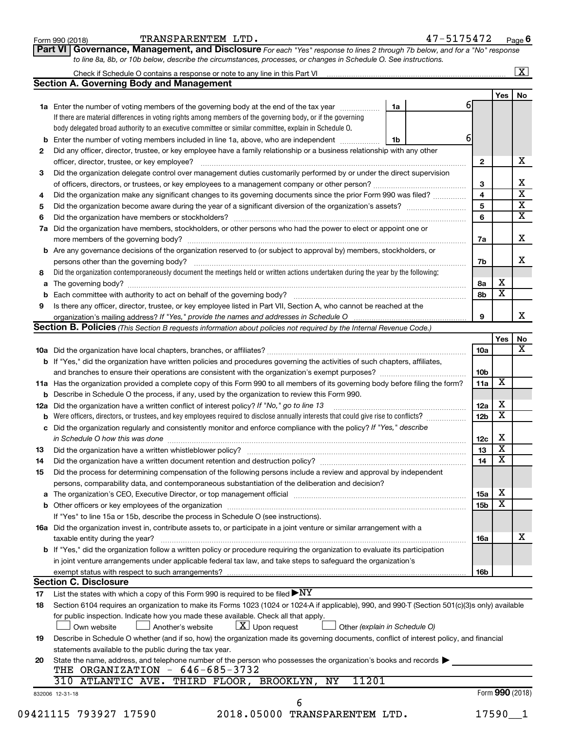| Form 990 (2018) |  |
|-----------------|--|
|-----------------|--|

Form 990 (2018)  $\begin{array}{cccc} \text{TRANSPARENTEM} & \text{LTD} \end{array}$  . The contract of  $47-5175472$  and  $\begin{array}{cccc} \text{Page} & \text{Page} \end{array}$ 

**Part VI** Governance, Management, and Disclosure For each "Yes" response to lines 2 through 7b below, and for a "No" response *to line 8a, 8b, or 10b below, describe the circumstances, processes, or changes in Schedule O. See instructions.*

|     | Check if Schedule O contains a response or note to any line in this Part VI [1] [1] [1] [1] [1] [1] [1] [1] [1                                                                                                                 |    |  |    |                 |                         | $\mathbf{X}$            |
|-----|--------------------------------------------------------------------------------------------------------------------------------------------------------------------------------------------------------------------------------|----|--|----|-----------------|-------------------------|-------------------------|
|     | <b>Section A. Governing Body and Management</b>                                                                                                                                                                                |    |  |    |                 |                         |                         |
|     |                                                                                                                                                                                                                                |    |  |    |                 | Yes                     | No                      |
|     | 1a Enter the number of voting members of the governing body at the end of the tax year                                                                                                                                         | 1a |  | 61 |                 |                         |                         |
|     | If there are material differences in voting rights among members of the governing body, or if the governing                                                                                                                    |    |  |    |                 |                         |                         |
|     | body delegated broad authority to an executive committee or similar committee, explain in Schedule O.                                                                                                                          |    |  |    |                 |                         |                         |
| b   | Enter the number of voting members included in line 1a, above, who are independent <i>manumum</i>                                                                                                                              | 1b |  | 6  |                 |                         |                         |
| 2   | Did any officer, director, trustee, or key employee have a family relationship or a business relationship with any other                                                                                                       |    |  |    |                 |                         |                         |
|     | officer, director, trustee, or key employee?                                                                                                                                                                                   |    |  |    | $\mathbf{2}$    |                         | x                       |
| 3   | Did the organization delegate control over management duties customarily performed by or under the direct supervision                                                                                                          |    |  |    |                 |                         |                         |
|     |                                                                                                                                                                                                                                |    |  |    | 3               |                         | х                       |
| 4   | Did the organization make any significant changes to its governing documents since the prior Form 990 was filed?                                                                                                               |    |  |    | 4               |                         | $\overline{\textbf{x}}$ |
| 5   |                                                                                                                                                                                                                                |    |  |    | 5               |                         | $\overline{\textbf{X}}$ |
| 6   |                                                                                                                                                                                                                                |    |  |    | 6               |                         | $\overline{\textbf{x}}$ |
| 7a  | Did the organization have members, stockholders, or other persons who had the power to elect or appoint one or                                                                                                                 |    |  |    |                 |                         |                         |
|     |                                                                                                                                                                                                                                |    |  |    | 7a              |                         | x                       |
| b   | Are any governance decisions of the organization reserved to (or subject to approval by) members, stockholders, or                                                                                                             |    |  |    |                 |                         |                         |
|     |                                                                                                                                                                                                                                |    |  |    | 7b              |                         | x                       |
| 8   | Did the organization contemporaneously document the meetings held or written actions undertaken during the year by the following:                                                                                              |    |  |    |                 |                         |                         |
| а   |                                                                                                                                                                                                                                |    |  |    | 8а              | х                       |                         |
| b   |                                                                                                                                                                                                                                |    |  |    | 8b              | $\overline{\mathbf{x}}$ |                         |
| 9   | Is there any officer, director, trustee, or key employee listed in Part VII, Section A, who cannot be reached at the                                                                                                           |    |  |    |                 |                         |                         |
|     |                                                                                                                                                                                                                                |    |  |    | 9               |                         | x                       |
|     | <b>Section B. Policies</b> (This Section B requests information about policies not required by the Internal Revenue Code.)                                                                                                     |    |  |    |                 |                         |                         |
|     |                                                                                                                                                                                                                                |    |  |    |                 | Yes                     | No                      |
|     |                                                                                                                                                                                                                                |    |  |    | 10a             |                         | x                       |
|     | <b>b</b> If "Yes," did the organization have written policies and procedures governing the activities of such chapters, affiliates,                                                                                            |    |  |    |                 |                         |                         |
|     |                                                                                                                                                                                                                                |    |  |    | 10 <sub>b</sub> |                         |                         |
|     | 11a Has the organization provided a complete copy of this Form 990 to all members of its governing body before filing the form?                                                                                                |    |  |    | 11a             | х                       |                         |
|     | <b>b</b> Describe in Schedule O the process, if any, used by the organization to review this Form 990.                                                                                                                         |    |  |    |                 |                         |                         |
| 12a | Did the organization have a written conflict of interest policy? If "No," go to line 13                                                                                                                                        |    |  |    | 12a             | х                       |                         |
| b   | Were officers, directors, or trustees, and key employees required to disclose annually interests that could give rise to conflicts?                                                                                            |    |  |    | 12 <sub>b</sub> | х                       |                         |
| с   | Did the organization regularly and consistently monitor and enforce compliance with the policy? If "Yes," describe                                                                                                             |    |  |    |                 |                         |                         |
|     |                                                                                                                                                                                                                                |    |  |    | 12c             | X                       |                         |
| 13  |                                                                                                                                                                                                                                |    |  |    | 13              | $\overline{\textbf{x}}$ |                         |
| 14  | Did the organization have a written document retention and destruction policy? [11] manufaction manufaction in                                                                                                                 |    |  |    | 14              | $\overline{\mathbf{X}}$ |                         |
| 15  | Did the process for determining compensation of the following persons include a review and approval by independent                                                                                                             |    |  |    |                 |                         |                         |
|     | persons, comparability data, and contemporaneous substantiation of the deliberation and decision?                                                                                                                              |    |  |    |                 |                         |                         |
| а   | The organization's CEO, Executive Director, or top management official manufactured content of the organization's CEO, Executive Director, or top management official manufactured content of the organization's CEO, Executiv |    |  |    | 15a             | х                       |                         |
|     |                                                                                                                                                                                                                                |    |  |    | 15 <sub>b</sub> | х                       |                         |
|     | If "Yes" to line 15a or 15b, describe the process in Schedule O (see instructions).                                                                                                                                            |    |  |    |                 |                         |                         |
|     | 16a Did the organization invest in, contribute assets to, or participate in a joint venture or similar arrangement with a                                                                                                      |    |  |    |                 |                         |                         |
|     | taxable entity during the year?                                                                                                                                                                                                |    |  |    | 16a             |                         | х                       |
|     | b If "Yes," did the organization follow a written policy or procedure requiring the organization to evaluate its participation                                                                                                 |    |  |    |                 |                         |                         |
|     | in joint venture arrangements under applicable federal tax law, and take steps to safeguard the organization's                                                                                                                 |    |  |    |                 |                         |                         |
|     | exempt status with respect to such arrangements?                                                                                                                                                                               |    |  |    | 16b             |                         |                         |
|     | <b>Section C. Disclosure</b>                                                                                                                                                                                                   |    |  |    |                 |                         |                         |
| 17  | List the states with which a copy of this Form 990 is required to be filed $\blacktriangleright\text{NY}$                                                                                                                      |    |  |    |                 |                         |                         |
| 18  | Section 6104 requires an organization to make its Forms 1023 (1024 or 1024 A if applicable), 990, and 990-T (Section 501(c)(3)s only) available                                                                                |    |  |    |                 |                         |                         |
|     | for public inspection. Indicate how you made these available. Check all that apply.                                                                                                                                            |    |  |    |                 |                         |                         |
|     | $\lfloor x \rfloor$ Upon request<br>Another's website<br>Other (explain in Schedule O)<br>Own website                                                                                                                          |    |  |    |                 |                         |                         |
| 19  | Describe in Schedule O whether (and if so, how) the organization made its governing documents, conflict of interest policy, and financial                                                                                      |    |  |    |                 |                         |                         |
|     | statements available to the public during the tax year.                                                                                                                                                                        |    |  |    |                 |                         |                         |
| 20  | State the name, address, and telephone number of the person who possesses the organization's books and records                                                                                                                 |    |  |    |                 |                         |                         |
|     | THE ORGANIZATION - 646-685-3732                                                                                                                                                                                                |    |  |    |                 |                         |                         |
|     | 11201<br>310 ATLANTIC AVE. THIRD FLOOR, BROOKLYN,<br>ΝY                                                                                                                                                                        |    |  |    |                 |                         |                         |
|     | 832006 12-31-18                                                                                                                                                                                                                |    |  |    |                 | Form 990 (2018)         |                         |
|     | 6                                                                                                                                                                                                                              |    |  |    |                 |                         |                         |
|     |                                                                                                                                                                                                                                |    |  |    |                 |                         |                         |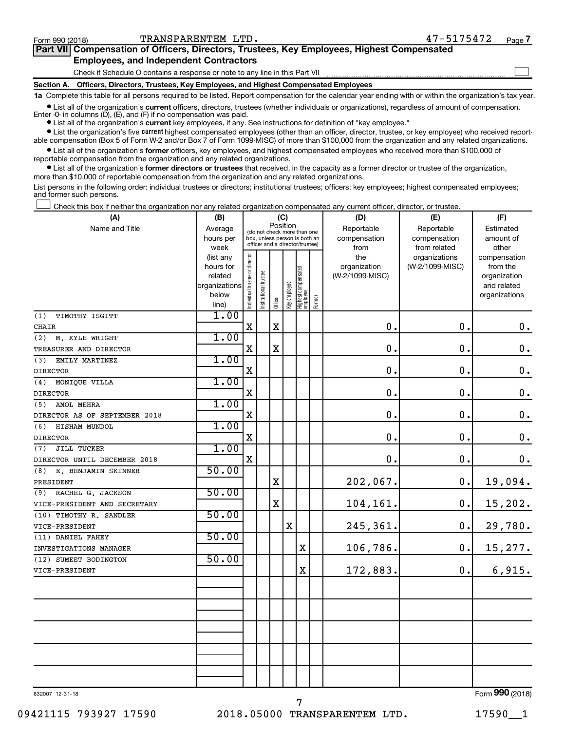$\Box$ 

| Part VII Compensation of Officers, Directors, Trustees, Key Employees, Highest Compensated |  |  |
|--------------------------------------------------------------------------------------------|--|--|
| <b>Employees, and Independent Contractors</b>                                              |  |  |

Check if Schedule O contains a response or note to any line in this Part VII

**Section A. Officers, Directors, Trustees, Key Employees, and Highest Compensated Employees**

**1a**  Complete this table for all persons required to be listed. Report compensation for the calendar year ending with or within the organization's tax year.

**•** List all of the organization's current officers, directors, trustees (whether individuals or organizations), regardless of amount of compensation. Enter -0- in columns  $(D)$ ,  $(E)$ , and  $(F)$  if no compensation was paid.

**•** List all of the organization's **current** key employees, if any. See instructions for definition of "key employee."

**•** List the organization's five current highest compensated employees (other than an officer, director, trustee, or key employee) who received reportable compensation (Box 5 of Form W-2 and/or Box 7 of Form 1099-MISC) of more than \$100,000 from the organization and any related organizations.

**•** List all of the organization's former officers, key employees, and highest compensated employees who received more than \$100,000 of reportable compensation from the organization and any related organizations.

**•** List all of the organization's former directors or trustees that received, in the capacity as a former director or trustee of the organization, more than \$10,000 of reportable compensation from the organization and any related organizations.

List persons in the following order: individual trustees or directors; institutional trustees; officers; key employees; highest compensated employees; and former such persons.

|  |  |  | Check this box if neither the organization nor any related organization compensated any current officer, director, or trustee. |  |  |
|--|--|--|--------------------------------------------------------------------------------------------------------------------------------|--|--|
|  |  |  |                                                                                                                                |  |  |

| (A)                           | (B)                    | (C)                                     |                                                                  |             |              |                                   |        | (D)                 | (E)                              | (F)                      |
|-------------------------------|------------------------|-----------------------------------------|------------------------------------------------------------------|-------------|--------------|-----------------------------------|--------|---------------------|----------------------------------|--------------------------|
| Name and Title                | Average                | Position<br>(do not check more than one |                                                                  |             |              |                                   |        | Reportable          | Reportable                       | Estimated                |
|                               | hours per              |                                         | box, unless person is both an<br>officer and a director/trustee) |             |              |                                   |        | compensation        | compensation                     | amount of                |
|                               | week                   |                                         |                                                                  |             |              |                                   |        | from                | from related                     | other                    |
|                               | (list any<br>hours for |                                         |                                                                  |             |              |                                   |        | the<br>organization | organizations<br>(W-2/1099-MISC) | compensation<br>from the |
|                               | related                |                                         |                                                                  |             |              |                                   |        | (W-2/1099-MISC)     |                                  | organization             |
|                               | organizations          |                                         |                                                                  |             |              |                                   |        |                     |                                  | and related              |
|                               | below                  | Individual trustee or director          | Institutional trustee                                            |             | Key employee |                                   |        |                     |                                  | organizations            |
|                               | line)                  |                                         |                                                                  | Officer     |              | Highest compensated<br>  employee | Former |                     |                                  |                          |
| (1)<br>TIMOTHY ISGITT         | 1.00                   |                                         |                                                                  |             |              |                                   |        |                     |                                  |                          |
| CHAIR                         |                        | $\rm X$                                 |                                                                  | $\mathbf x$ |              |                                   |        | $\mathbf 0$ .       | $\mathbf 0$ .                    | $\mathbf 0$ .            |
| (2)<br>M. KYLE WRIGHT         | 1.00                   |                                         |                                                                  |             |              |                                   |        |                     |                                  |                          |
| TREASURER AND DIRECTOR        |                        | $\mathbf X$                             |                                                                  | $\mathbf X$ |              |                                   |        | $\mathbf 0$ .       | $\mathbf 0$ .                    | $\mathbf 0$ .            |
| (3)<br>EMILY MARTINEZ         | 1.00                   |                                         |                                                                  |             |              |                                   |        |                     |                                  |                          |
| <b>DIRECTOR</b>               |                        | $\mathbf X$                             |                                                                  |             |              |                                   |        | $\mathbf 0$ .       | $\mathbf 0$ .                    | $\mathbf 0$ .            |
| MONIQUE VILLA<br>(4)          | 1.00                   |                                         |                                                                  |             |              |                                   |        |                     |                                  |                          |
| <b>DIRECTOR</b>               |                        | $\mathbf X$                             |                                                                  |             |              |                                   |        | $\mathbf 0$ .       | $\mathbf 0$ .                    | $\mathbf 0$ .            |
| AMOL MEHRA<br>(5)             | 1.00                   |                                         |                                                                  |             |              |                                   |        |                     |                                  |                          |
| DIRECTOR AS OF SEPTEMBER 2018 |                        | $\mathbf X$                             |                                                                  |             |              |                                   |        | $\mathbf 0$ .       | $\mathbf 0$ .                    | $\mathbf 0$ .            |
| (6)<br>HISHAM MUNDOL          | 1.00                   |                                         |                                                                  |             |              |                                   |        |                     |                                  |                          |
| <b>DIRECTOR</b>               |                        | $\mathbf X$                             |                                                                  |             |              |                                   |        | $\mathbf 0$ .       | $\mathbf 0$ .                    | $\mathbf 0$ .            |
| JILL TUCKER<br>(7)            | 1.00                   |                                         |                                                                  |             |              |                                   |        |                     |                                  |                          |
| DIRECTOR UNTIL DECEMBER 2018  |                        | $\mathbf X$                             |                                                                  |             |              |                                   |        | $\mathbf 0$ .       | $\mathbf 0$ .                    | 0.                       |
| (8)<br>E. BENJAMIN SKINNER    | 50.00                  |                                         |                                                                  |             |              |                                   |        |                     |                                  |                          |
| PRESIDENT                     |                        |                                         |                                                                  | X           |              |                                   |        | 202,067.            | $\mathbf 0$ .                    | 19,094.                  |
| RACHEL G. JACKSON<br>(9)      | 50.00                  |                                         |                                                                  |             |              |                                   |        |                     |                                  |                          |
| VICE-PRESIDENT AND SECRETARY  |                        |                                         |                                                                  | X           |              |                                   |        | 104,161.            | $\mathbf 0$ .                    | 15,202.                  |
| (10) TIMOTHY R. SANDLER       | 50.00                  |                                         |                                                                  |             |              |                                   |        |                     |                                  |                          |
| VICE-PRESIDENT                |                        |                                         |                                                                  |             | $\mathbf X$  |                                   |        | 245,361.            | $\mathbf 0$ .                    | 29,780.                  |
| (11) DANIEL FAHEY             | 50.00                  |                                         |                                                                  |             |              |                                   |        |                     |                                  |                          |
| INVESTIGATIONS MANAGER        |                        |                                         |                                                                  |             |              | X                                 |        | 106,786.            | 0.                               | 15,277.                  |
| (12) SUMEET BODINGTON         | 50.00                  |                                         |                                                                  |             |              |                                   |        |                     |                                  |                          |
| VICE-PRESIDENT                |                        |                                         |                                                                  |             |              | $\mathbf X$                       |        | 172,883.            | 0.                               | 6,915.                   |
|                               |                        |                                         |                                                                  |             |              |                                   |        |                     |                                  |                          |
|                               |                        |                                         |                                                                  |             |              |                                   |        |                     |                                  |                          |
|                               |                        |                                         |                                                                  |             |              |                                   |        |                     |                                  |                          |
|                               |                        |                                         |                                                                  |             |              |                                   |        |                     |                                  |                          |
|                               |                        |                                         |                                                                  |             |              |                                   |        |                     |                                  |                          |
|                               |                        |                                         |                                                                  |             |              |                                   |        |                     |                                  |                          |
|                               |                        |                                         |                                                                  |             |              |                                   |        |                     |                                  |                          |
|                               |                        |                                         |                                                                  |             |              |                                   |        |                     |                                  |                          |
|                               |                        |                                         |                                                                  |             |              |                                   |        |                     |                                  |                          |
|                               |                        |                                         |                                                                  |             |              |                                   |        |                     |                                  | $000 \approx 1$          |
|                               |                        |                                         |                                                                  |             |              |                                   |        |                     |                                  |                          |

832007 12-31-18

Form (2018) **990**

7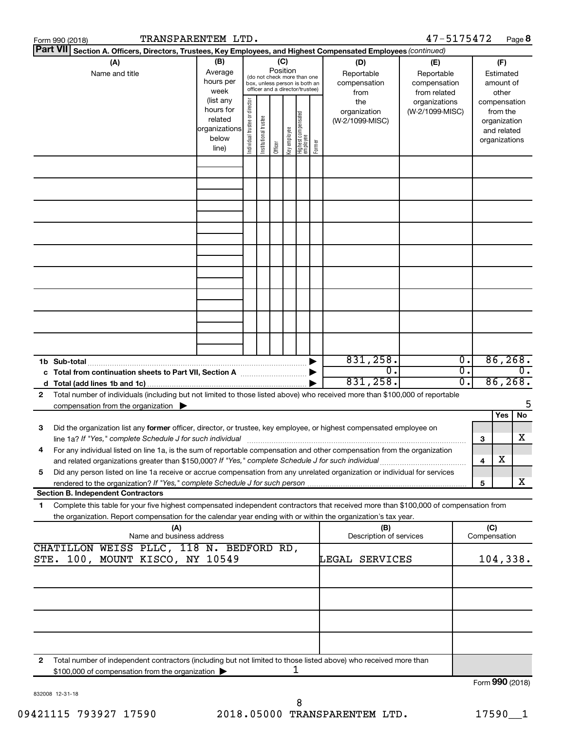|   | TRANSPARENTEM LTD.<br>Form 990 (2018)                                                                                                                                                                                                                  |                                                                      |                                |                            |          |              |                                                                                                 |        |                                           | 47-5175472                                        |                |        |                                                                          | Page 8  |
|---|--------------------------------------------------------------------------------------------------------------------------------------------------------------------------------------------------------------------------------------------------------|----------------------------------------------------------------------|--------------------------------|----------------------------|----------|--------------|-------------------------------------------------------------------------------------------------|--------|-------------------------------------------|---------------------------------------------------|----------------|--------|--------------------------------------------------------------------------|---------|
|   | <b>Part VII</b><br>Section A. Officers, Directors, Trustees, Key Employees, and Highest Compensated Employees (continued)                                                                                                                              |                                                                      |                                |                            |          |              |                                                                                                 |        |                                           |                                                   |                |        |                                                                          |         |
|   | (A)<br>Name and title                                                                                                                                                                                                                                  | (B)<br>Average<br>hours per<br>week                                  |                                |                            | Position | (C)          | (do not check more than one<br>box, unless person is both an<br>officer and a director/trustee) |        | (D)<br>Reportable<br>compensation<br>from | (E)<br>Reportable<br>compensation<br>from related |                |        | (F)<br>Estimated<br>amount of<br>other                                   |         |
|   |                                                                                                                                                                                                                                                        | (list any<br>hours for<br>related<br>organizations<br>below<br>line) | Individual trustee or director | trustee<br>Institutional t | Officer  | Key employee | Highest compensated<br>  employee                                                               | Former | the<br>organization<br>(W-2/1099-MISC)    | organizations<br>(W-2/1099-MISC)                  |                |        | compensation<br>from the<br>organization<br>and related<br>organizations |         |
|   |                                                                                                                                                                                                                                                        |                                                                      |                                |                            |          |              |                                                                                                 |        |                                           |                                                   |                |        |                                                                          |         |
|   |                                                                                                                                                                                                                                                        |                                                                      |                                |                            |          |              |                                                                                                 |        |                                           |                                                   |                |        |                                                                          |         |
|   |                                                                                                                                                                                                                                                        |                                                                      |                                |                            |          |              |                                                                                                 |        |                                           |                                                   |                |        |                                                                          |         |
|   |                                                                                                                                                                                                                                                        |                                                                      |                                |                            |          |              |                                                                                                 |        |                                           |                                                   |                |        |                                                                          |         |
|   |                                                                                                                                                                                                                                                        |                                                                      |                                |                            |          |              |                                                                                                 |        |                                           |                                                   |                |        |                                                                          |         |
|   |                                                                                                                                                                                                                                                        |                                                                      |                                |                            |          |              |                                                                                                 |        |                                           |                                                   |                |        |                                                                          |         |
|   |                                                                                                                                                                                                                                                        |                                                                      |                                |                            |          |              |                                                                                                 |        | 831,258.<br>0.<br>831,258.                |                                                   | о.<br>Ο.<br>σ. |        | 86, 268.<br>86, 268.                                                     | 0.      |
| 2 | Total number of individuals (including but not limited to those listed above) who received more than \$100,000 of reportable<br>compensation from the organization $\blacktriangleright$                                                               |                                                                      |                                |                            |          |              |                                                                                                 |        |                                           |                                                   |                |        |                                                                          |         |
| з | Did the organization list any former officer, director, or trustee, key employee, or highest compensated employee on<br>line 1a? If "Yes," complete Schedule J for such individual                                                                     |                                                                      |                                |                            |          |              |                                                                                                 |        |                                           |                                                   |                |        | Yes                                                                      | No<br>х |
| 4 | For any individual listed on line 1a, is the sum of reportable compensation and other compensation from the organization                                                                                                                               |                                                                      |                                |                            |          |              |                                                                                                 |        |                                           |                                                   |                | 3<br>4 | х                                                                        |         |
| 5 | Did any person listed on line 1a receive or accrue compensation from any unrelated organization or individual for services<br><b>Section B. Independent Contractors</b>                                                                                |                                                                      |                                |                            |          |              |                                                                                                 |        |                                           |                                                   |                | 5      |                                                                          | X       |
| 1 | Complete this table for your five highest compensated independent contractors that received more than \$100,000 of compensation from<br>the organization. Report compensation for the calendar year ending with or within the organization's tax year. |                                                                      |                                |                            |          |              |                                                                                                 |        |                                           |                                                   |                |        |                                                                          |         |
|   | (A)<br>Name and business address<br>CHATILLON WEISS PLLC, 118 N. BEDFORD RD,                                                                                                                                                                           |                                                                      |                                |                            |          |              |                                                                                                 |        | (B)<br>Description of services            |                                                   |                | (C)    | Compensation                                                             |         |
|   | STE. 100, MOUNT KISCO, NY 10549                                                                                                                                                                                                                        |                                                                      |                                |                            |          |              |                                                                                                 |        | LEGAL<br>SERVICES                         |                                                   |                |        | 104,338.                                                                 |         |
|   |                                                                                                                                                                                                                                                        |                                                                      |                                |                            |          |              |                                                                                                 |        |                                           |                                                   |                |        |                                                                          |         |
|   |                                                                                                                                                                                                                                                        |                                                                      |                                |                            |          |              |                                                                                                 |        |                                           |                                                   |                |        |                                                                          |         |
| 2 | Total number of independent contractors (including but not limited to those listed above) who received more than<br>\$100,000 of compensation from the organization                                                                                    |                                                                      |                                |                            |          |              | 1                                                                                               |        |                                           |                                                   |                |        |                                                                          |         |
|   |                                                                                                                                                                                                                                                        |                                                                      |                                |                            |          |              |                                                                                                 |        |                                           |                                                   |                |        | Form 990 (2018)                                                          |         |

832008 12-31-18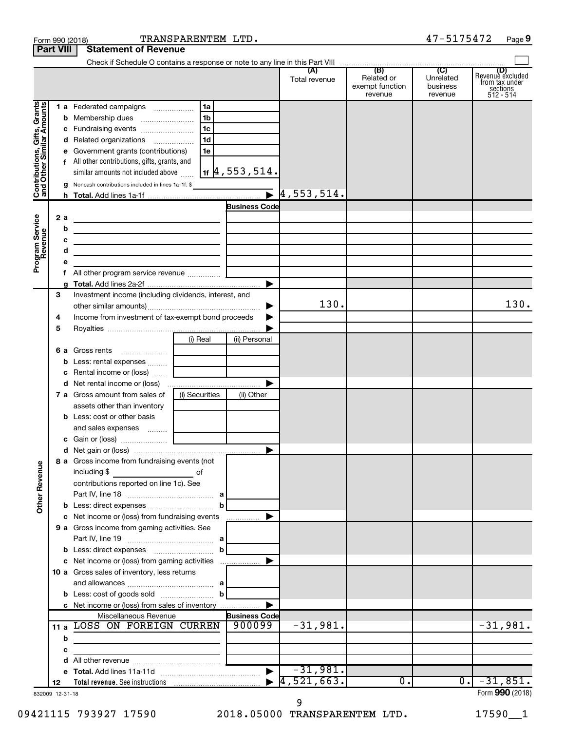| (B)<br>(C)<br>Revenue excluded<br>(A)<br>Related or<br>Unrelated<br>Total revenue<br>from tax under<br>exempt function<br>business<br>sections<br>512 - 514<br>revenue<br>revenue<br>Contributions, Gifts, Grants<br>and Other Similar Amounts<br>l 1b<br>1d<br>d Related organizations<br>e Government grants (contributions)<br>1e<br>f All other contributions, gifts, grants, and<br>$ $ 1f $ 4$ , 553 , 514 .<br>similar amounts not included above<br><b>g</b> Noncash contributions included in lines 1a-1f: \$<br>$\mathbf{F}$  4,553,514.<br><b>Business Code</b><br>Program Service<br>Revenue<br>2a<br>the control of the control of the control of the control of the control of<br>b<br><u> 1989 - Johann Stein, mars an deus an deus Amerikaansk kommunister (</u><br>с<br><u> 1989 - John Stein, mars and de Brazilian (b. 1989)</u><br>d<br>the control of the control of the control of the control of the control of<br>е<br>▶<br>3<br>Investment income (including dividends, interest, and<br>130.<br>130.<br>▶<br>Income from investment of tax-exempt bond proceeds<br>4<br>▶<br>5<br>(i) Real<br>(ii) Personal<br><b>6 a</b> Gross rents<br>b<br>Rental income or (loss)<br>c<br>▶<br>(i) Securities<br>7 a Gross amount from sales of<br>(ii) Other<br>assets other than inventory<br><b>b</b> Less: cost or other basis<br>8 a Gross income from fundraising events (not<br><b>Other Revenue</b><br>including \$<br>оf<br>$\mathcal{L}^{\mathcal{L}}(\mathcal{L}^{\mathcal{L}})$ and $\mathcal{L}^{\mathcal{L}}(\mathcal{L}^{\mathcal{L}})$ and $\mathcal{L}^{\mathcal{L}}(\mathcal{L}^{\mathcal{L}})$<br>contributions reported on line 1c). See<br>c Net income or (loss) from fundraising events<br>▶<br>9 a Gross income from gaming activities. See<br>c Net income or (loss) from gaming activities<br>▶<br>10 a Gross sales of inventory, less returns<br>c Net income or (loss) from sales of inventory<br><b>Business Code</b><br>Miscellaneous Revenue<br>$-31,981.$<br>$-31,981.$<br>900099<br>11 a LOSS ON FOREIGN CURREN<br>b<br>the control of the control of the control of the control of the control of<br>c<br>d<br>$-31,981.$<br>$\blacktriangleright$<br>4,521,663.<br>$-31,851.$<br>$\overline{0}$ .<br>о.<br>12<br>832009 12-31-18 | <b>Part VIII</b> | <b>Statement of Revenue</b> |  |  |                 |
|-----------------------------------------------------------------------------------------------------------------------------------------------------------------------------------------------------------------------------------------------------------------------------------------------------------------------------------------------------------------------------------------------------------------------------------------------------------------------------------------------------------------------------------------------------------------------------------------------------------------------------------------------------------------------------------------------------------------------------------------------------------------------------------------------------------------------------------------------------------------------------------------------------------------------------------------------------------------------------------------------------------------------------------------------------------------------------------------------------------------------------------------------------------------------------------------------------------------------------------------------------------------------------------------------------------------------------------------------------------------------------------------------------------------------------------------------------------------------------------------------------------------------------------------------------------------------------------------------------------------------------------------------------------------------------------------------------------------------------------------------------------------------------------------------------------------------------------------------------------------------------------------------------------------------------------------------------------------------------------------------------------------------------------------------------------------------------------------------------------------------------------------------------------------------------------------------------------------------------------------------------------------------------------|------------------|-----------------------------|--|--|-----------------|
|                                                                                                                                                                                                                                                                                                                                                                                                                                                                                                                                                                                                                                                                                                                                                                                                                                                                                                                                                                                                                                                                                                                                                                                                                                                                                                                                                                                                                                                                                                                                                                                                                                                                                                                                                                                                                                                                                                                                                                                                                                                                                                                                                                                                                                                                                   |                  |                             |  |  |                 |
|                                                                                                                                                                                                                                                                                                                                                                                                                                                                                                                                                                                                                                                                                                                                                                                                                                                                                                                                                                                                                                                                                                                                                                                                                                                                                                                                                                                                                                                                                                                                                                                                                                                                                                                                                                                                                                                                                                                                                                                                                                                                                                                                                                                                                                                                                   |                  |                             |  |  |                 |
|                                                                                                                                                                                                                                                                                                                                                                                                                                                                                                                                                                                                                                                                                                                                                                                                                                                                                                                                                                                                                                                                                                                                                                                                                                                                                                                                                                                                                                                                                                                                                                                                                                                                                                                                                                                                                                                                                                                                                                                                                                                                                                                                                                                                                                                                                   |                  |                             |  |  |                 |
|                                                                                                                                                                                                                                                                                                                                                                                                                                                                                                                                                                                                                                                                                                                                                                                                                                                                                                                                                                                                                                                                                                                                                                                                                                                                                                                                                                                                                                                                                                                                                                                                                                                                                                                                                                                                                                                                                                                                                                                                                                                                                                                                                                                                                                                                                   |                  |                             |  |  |                 |
|                                                                                                                                                                                                                                                                                                                                                                                                                                                                                                                                                                                                                                                                                                                                                                                                                                                                                                                                                                                                                                                                                                                                                                                                                                                                                                                                                                                                                                                                                                                                                                                                                                                                                                                                                                                                                                                                                                                                                                                                                                                                                                                                                                                                                                                                                   |                  |                             |  |  |                 |
|                                                                                                                                                                                                                                                                                                                                                                                                                                                                                                                                                                                                                                                                                                                                                                                                                                                                                                                                                                                                                                                                                                                                                                                                                                                                                                                                                                                                                                                                                                                                                                                                                                                                                                                                                                                                                                                                                                                                                                                                                                                                                                                                                                                                                                                                                   |                  |                             |  |  |                 |
|                                                                                                                                                                                                                                                                                                                                                                                                                                                                                                                                                                                                                                                                                                                                                                                                                                                                                                                                                                                                                                                                                                                                                                                                                                                                                                                                                                                                                                                                                                                                                                                                                                                                                                                                                                                                                                                                                                                                                                                                                                                                                                                                                                                                                                                                                   |                  |                             |  |  |                 |
|                                                                                                                                                                                                                                                                                                                                                                                                                                                                                                                                                                                                                                                                                                                                                                                                                                                                                                                                                                                                                                                                                                                                                                                                                                                                                                                                                                                                                                                                                                                                                                                                                                                                                                                                                                                                                                                                                                                                                                                                                                                                                                                                                                                                                                                                                   |                  |                             |  |  |                 |
|                                                                                                                                                                                                                                                                                                                                                                                                                                                                                                                                                                                                                                                                                                                                                                                                                                                                                                                                                                                                                                                                                                                                                                                                                                                                                                                                                                                                                                                                                                                                                                                                                                                                                                                                                                                                                                                                                                                                                                                                                                                                                                                                                                                                                                                                                   |                  |                             |  |  |                 |
|                                                                                                                                                                                                                                                                                                                                                                                                                                                                                                                                                                                                                                                                                                                                                                                                                                                                                                                                                                                                                                                                                                                                                                                                                                                                                                                                                                                                                                                                                                                                                                                                                                                                                                                                                                                                                                                                                                                                                                                                                                                                                                                                                                                                                                                                                   |                  |                             |  |  |                 |
|                                                                                                                                                                                                                                                                                                                                                                                                                                                                                                                                                                                                                                                                                                                                                                                                                                                                                                                                                                                                                                                                                                                                                                                                                                                                                                                                                                                                                                                                                                                                                                                                                                                                                                                                                                                                                                                                                                                                                                                                                                                                                                                                                                                                                                                                                   |                  |                             |  |  |                 |
|                                                                                                                                                                                                                                                                                                                                                                                                                                                                                                                                                                                                                                                                                                                                                                                                                                                                                                                                                                                                                                                                                                                                                                                                                                                                                                                                                                                                                                                                                                                                                                                                                                                                                                                                                                                                                                                                                                                                                                                                                                                                                                                                                                                                                                                                                   |                  |                             |  |  |                 |
|                                                                                                                                                                                                                                                                                                                                                                                                                                                                                                                                                                                                                                                                                                                                                                                                                                                                                                                                                                                                                                                                                                                                                                                                                                                                                                                                                                                                                                                                                                                                                                                                                                                                                                                                                                                                                                                                                                                                                                                                                                                                                                                                                                                                                                                                                   |                  |                             |  |  |                 |
|                                                                                                                                                                                                                                                                                                                                                                                                                                                                                                                                                                                                                                                                                                                                                                                                                                                                                                                                                                                                                                                                                                                                                                                                                                                                                                                                                                                                                                                                                                                                                                                                                                                                                                                                                                                                                                                                                                                                                                                                                                                                                                                                                                                                                                                                                   |                  |                             |  |  |                 |
|                                                                                                                                                                                                                                                                                                                                                                                                                                                                                                                                                                                                                                                                                                                                                                                                                                                                                                                                                                                                                                                                                                                                                                                                                                                                                                                                                                                                                                                                                                                                                                                                                                                                                                                                                                                                                                                                                                                                                                                                                                                                                                                                                                                                                                                                                   |                  |                             |  |  |                 |
|                                                                                                                                                                                                                                                                                                                                                                                                                                                                                                                                                                                                                                                                                                                                                                                                                                                                                                                                                                                                                                                                                                                                                                                                                                                                                                                                                                                                                                                                                                                                                                                                                                                                                                                                                                                                                                                                                                                                                                                                                                                                                                                                                                                                                                                                                   |                  |                             |  |  |                 |
|                                                                                                                                                                                                                                                                                                                                                                                                                                                                                                                                                                                                                                                                                                                                                                                                                                                                                                                                                                                                                                                                                                                                                                                                                                                                                                                                                                                                                                                                                                                                                                                                                                                                                                                                                                                                                                                                                                                                                                                                                                                                                                                                                                                                                                                                                   |                  |                             |  |  |                 |
|                                                                                                                                                                                                                                                                                                                                                                                                                                                                                                                                                                                                                                                                                                                                                                                                                                                                                                                                                                                                                                                                                                                                                                                                                                                                                                                                                                                                                                                                                                                                                                                                                                                                                                                                                                                                                                                                                                                                                                                                                                                                                                                                                                                                                                                                                   |                  |                             |  |  |                 |
|                                                                                                                                                                                                                                                                                                                                                                                                                                                                                                                                                                                                                                                                                                                                                                                                                                                                                                                                                                                                                                                                                                                                                                                                                                                                                                                                                                                                                                                                                                                                                                                                                                                                                                                                                                                                                                                                                                                                                                                                                                                                                                                                                                                                                                                                                   |                  |                             |  |  |                 |
|                                                                                                                                                                                                                                                                                                                                                                                                                                                                                                                                                                                                                                                                                                                                                                                                                                                                                                                                                                                                                                                                                                                                                                                                                                                                                                                                                                                                                                                                                                                                                                                                                                                                                                                                                                                                                                                                                                                                                                                                                                                                                                                                                                                                                                                                                   |                  |                             |  |  |                 |
|                                                                                                                                                                                                                                                                                                                                                                                                                                                                                                                                                                                                                                                                                                                                                                                                                                                                                                                                                                                                                                                                                                                                                                                                                                                                                                                                                                                                                                                                                                                                                                                                                                                                                                                                                                                                                                                                                                                                                                                                                                                                                                                                                                                                                                                                                   |                  |                             |  |  |                 |
|                                                                                                                                                                                                                                                                                                                                                                                                                                                                                                                                                                                                                                                                                                                                                                                                                                                                                                                                                                                                                                                                                                                                                                                                                                                                                                                                                                                                                                                                                                                                                                                                                                                                                                                                                                                                                                                                                                                                                                                                                                                                                                                                                                                                                                                                                   |                  |                             |  |  |                 |
|                                                                                                                                                                                                                                                                                                                                                                                                                                                                                                                                                                                                                                                                                                                                                                                                                                                                                                                                                                                                                                                                                                                                                                                                                                                                                                                                                                                                                                                                                                                                                                                                                                                                                                                                                                                                                                                                                                                                                                                                                                                                                                                                                                                                                                                                                   |                  |                             |  |  |                 |
|                                                                                                                                                                                                                                                                                                                                                                                                                                                                                                                                                                                                                                                                                                                                                                                                                                                                                                                                                                                                                                                                                                                                                                                                                                                                                                                                                                                                                                                                                                                                                                                                                                                                                                                                                                                                                                                                                                                                                                                                                                                                                                                                                                                                                                                                                   |                  |                             |  |  |                 |
|                                                                                                                                                                                                                                                                                                                                                                                                                                                                                                                                                                                                                                                                                                                                                                                                                                                                                                                                                                                                                                                                                                                                                                                                                                                                                                                                                                                                                                                                                                                                                                                                                                                                                                                                                                                                                                                                                                                                                                                                                                                                                                                                                                                                                                                                                   |                  |                             |  |  |                 |
|                                                                                                                                                                                                                                                                                                                                                                                                                                                                                                                                                                                                                                                                                                                                                                                                                                                                                                                                                                                                                                                                                                                                                                                                                                                                                                                                                                                                                                                                                                                                                                                                                                                                                                                                                                                                                                                                                                                                                                                                                                                                                                                                                                                                                                                                                   |                  |                             |  |  |                 |
|                                                                                                                                                                                                                                                                                                                                                                                                                                                                                                                                                                                                                                                                                                                                                                                                                                                                                                                                                                                                                                                                                                                                                                                                                                                                                                                                                                                                                                                                                                                                                                                                                                                                                                                                                                                                                                                                                                                                                                                                                                                                                                                                                                                                                                                                                   |                  |                             |  |  |                 |
|                                                                                                                                                                                                                                                                                                                                                                                                                                                                                                                                                                                                                                                                                                                                                                                                                                                                                                                                                                                                                                                                                                                                                                                                                                                                                                                                                                                                                                                                                                                                                                                                                                                                                                                                                                                                                                                                                                                                                                                                                                                                                                                                                                                                                                                                                   |                  |                             |  |  |                 |
|                                                                                                                                                                                                                                                                                                                                                                                                                                                                                                                                                                                                                                                                                                                                                                                                                                                                                                                                                                                                                                                                                                                                                                                                                                                                                                                                                                                                                                                                                                                                                                                                                                                                                                                                                                                                                                                                                                                                                                                                                                                                                                                                                                                                                                                                                   |                  |                             |  |  |                 |
|                                                                                                                                                                                                                                                                                                                                                                                                                                                                                                                                                                                                                                                                                                                                                                                                                                                                                                                                                                                                                                                                                                                                                                                                                                                                                                                                                                                                                                                                                                                                                                                                                                                                                                                                                                                                                                                                                                                                                                                                                                                                                                                                                                                                                                                                                   |                  |                             |  |  |                 |
|                                                                                                                                                                                                                                                                                                                                                                                                                                                                                                                                                                                                                                                                                                                                                                                                                                                                                                                                                                                                                                                                                                                                                                                                                                                                                                                                                                                                                                                                                                                                                                                                                                                                                                                                                                                                                                                                                                                                                                                                                                                                                                                                                                                                                                                                                   |                  |                             |  |  |                 |
|                                                                                                                                                                                                                                                                                                                                                                                                                                                                                                                                                                                                                                                                                                                                                                                                                                                                                                                                                                                                                                                                                                                                                                                                                                                                                                                                                                                                                                                                                                                                                                                                                                                                                                                                                                                                                                                                                                                                                                                                                                                                                                                                                                                                                                                                                   |                  |                             |  |  |                 |
|                                                                                                                                                                                                                                                                                                                                                                                                                                                                                                                                                                                                                                                                                                                                                                                                                                                                                                                                                                                                                                                                                                                                                                                                                                                                                                                                                                                                                                                                                                                                                                                                                                                                                                                                                                                                                                                                                                                                                                                                                                                                                                                                                                                                                                                                                   |                  |                             |  |  |                 |
|                                                                                                                                                                                                                                                                                                                                                                                                                                                                                                                                                                                                                                                                                                                                                                                                                                                                                                                                                                                                                                                                                                                                                                                                                                                                                                                                                                                                                                                                                                                                                                                                                                                                                                                                                                                                                                                                                                                                                                                                                                                                                                                                                                                                                                                                                   |                  |                             |  |  |                 |
|                                                                                                                                                                                                                                                                                                                                                                                                                                                                                                                                                                                                                                                                                                                                                                                                                                                                                                                                                                                                                                                                                                                                                                                                                                                                                                                                                                                                                                                                                                                                                                                                                                                                                                                                                                                                                                                                                                                                                                                                                                                                                                                                                                                                                                                                                   |                  |                             |  |  |                 |
|                                                                                                                                                                                                                                                                                                                                                                                                                                                                                                                                                                                                                                                                                                                                                                                                                                                                                                                                                                                                                                                                                                                                                                                                                                                                                                                                                                                                                                                                                                                                                                                                                                                                                                                                                                                                                                                                                                                                                                                                                                                                                                                                                                                                                                                                                   |                  |                             |  |  |                 |
|                                                                                                                                                                                                                                                                                                                                                                                                                                                                                                                                                                                                                                                                                                                                                                                                                                                                                                                                                                                                                                                                                                                                                                                                                                                                                                                                                                                                                                                                                                                                                                                                                                                                                                                                                                                                                                                                                                                                                                                                                                                                                                                                                                                                                                                                                   |                  |                             |  |  |                 |
|                                                                                                                                                                                                                                                                                                                                                                                                                                                                                                                                                                                                                                                                                                                                                                                                                                                                                                                                                                                                                                                                                                                                                                                                                                                                                                                                                                                                                                                                                                                                                                                                                                                                                                                                                                                                                                                                                                                                                                                                                                                                                                                                                                                                                                                                                   |                  |                             |  |  |                 |
|                                                                                                                                                                                                                                                                                                                                                                                                                                                                                                                                                                                                                                                                                                                                                                                                                                                                                                                                                                                                                                                                                                                                                                                                                                                                                                                                                                                                                                                                                                                                                                                                                                                                                                                                                                                                                                                                                                                                                                                                                                                                                                                                                                                                                                                                                   |                  |                             |  |  |                 |
|                                                                                                                                                                                                                                                                                                                                                                                                                                                                                                                                                                                                                                                                                                                                                                                                                                                                                                                                                                                                                                                                                                                                                                                                                                                                                                                                                                                                                                                                                                                                                                                                                                                                                                                                                                                                                                                                                                                                                                                                                                                                                                                                                                                                                                                                                   |                  |                             |  |  |                 |
|                                                                                                                                                                                                                                                                                                                                                                                                                                                                                                                                                                                                                                                                                                                                                                                                                                                                                                                                                                                                                                                                                                                                                                                                                                                                                                                                                                                                                                                                                                                                                                                                                                                                                                                                                                                                                                                                                                                                                                                                                                                                                                                                                                                                                                                                                   |                  |                             |  |  |                 |
|                                                                                                                                                                                                                                                                                                                                                                                                                                                                                                                                                                                                                                                                                                                                                                                                                                                                                                                                                                                                                                                                                                                                                                                                                                                                                                                                                                                                                                                                                                                                                                                                                                                                                                                                                                                                                                                                                                                                                                                                                                                                                                                                                                                                                                                                                   |                  |                             |  |  |                 |
|                                                                                                                                                                                                                                                                                                                                                                                                                                                                                                                                                                                                                                                                                                                                                                                                                                                                                                                                                                                                                                                                                                                                                                                                                                                                                                                                                                                                                                                                                                                                                                                                                                                                                                                                                                                                                                                                                                                                                                                                                                                                                                                                                                                                                                                                                   |                  |                             |  |  |                 |
|                                                                                                                                                                                                                                                                                                                                                                                                                                                                                                                                                                                                                                                                                                                                                                                                                                                                                                                                                                                                                                                                                                                                                                                                                                                                                                                                                                                                                                                                                                                                                                                                                                                                                                                                                                                                                                                                                                                                                                                                                                                                                                                                                                                                                                                                                   |                  |                             |  |  |                 |
|                                                                                                                                                                                                                                                                                                                                                                                                                                                                                                                                                                                                                                                                                                                                                                                                                                                                                                                                                                                                                                                                                                                                                                                                                                                                                                                                                                                                                                                                                                                                                                                                                                                                                                                                                                                                                                                                                                                                                                                                                                                                                                                                                                                                                                                                                   |                  |                             |  |  |                 |
|                                                                                                                                                                                                                                                                                                                                                                                                                                                                                                                                                                                                                                                                                                                                                                                                                                                                                                                                                                                                                                                                                                                                                                                                                                                                                                                                                                                                                                                                                                                                                                                                                                                                                                                                                                                                                                                                                                                                                                                                                                                                                                                                                                                                                                                                                   |                  |                             |  |  |                 |
|                                                                                                                                                                                                                                                                                                                                                                                                                                                                                                                                                                                                                                                                                                                                                                                                                                                                                                                                                                                                                                                                                                                                                                                                                                                                                                                                                                                                                                                                                                                                                                                                                                                                                                                                                                                                                                                                                                                                                                                                                                                                                                                                                                                                                                                                                   |                  |                             |  |  |                 |
|                                                                                                                                                                                                                                                                                                                                                                                                                                                                                                                                                                                                                                                                                                                                                                                                                                                                                                                                                                                                                                                                                                                                                                                                                                                                                                                                                                                                                                                                                                                                                                                                                                                                                                                                                                                                                                                                                                                                                                                                                                                                                                                                                                                                                                                                                   |                  |                             |  |  |                 |
|                                                                                                                                                                                                                                                                                                                                                                                                                                                                                                                                                                                                                                                                                                                                                                                                                                                                                                                                                                                                                                                                                                                                                                                                                                                                                                                                                                                                                                                                                                                                                                                                                                                                                                                                                                                                                                                                                                                                                                                                                                                                                                                                                                                                                                                                                   |                  |                             |  |  |                 |
|                                                                                                                                                                                                                                                                                                                                                                                                                                                                                                                                                                                                                                                                                                                                                                                                                                                                                                                                                                                                                                                                                                                                                                                                                                                                                                                                                                                                                                                                                                                                                                                                                                                                                                                                                                                                                                                                                                                                                                                                                                                                                                                                                                                                                                                                                   |                  |                             |  |  |                 |
|                                                                                                                                                                                                                                                                                                                                                                                                                                                                                                                                                                                                                                                                                                                                                                                                                                                                                                                                                                                                                                                                                                                                                                                                                                                                                                                                                                                                                                                                                                                                                                                                                                                                                                                                                                                                                                                                                                                                                                                                                                                                                                                                                                                                                                                                                   |                  |                             |  |  |                 |
|                                                                                                                                                                                                                                                                                                                                                                                                                                                                                                                                                                                                                                                                                                                                                                                                                                                                                                                                                                                                                                                                                                                                                                                                                                                                                                                                                                                                                                                                                                                                                                                                                                                                                                                                                                                                                                                                                                                                                                                                                                                                                                                                                                                                                                                                                   |                  |                             |  |  |                 |
|                                                                                                                                                                                                                                                                                                                                                                                                                                                                                                                                                                                                                                                                                                                                                                                                                                                                                                                                                                                                                                                                                                                                                                                                                                                                                                                                                                                                                                                                                                                                                                                                                                                                                                                                                                                                                                                                                                                                                                                                                                                                                                                                                                                                                                                                                   |                  |                             |  |  |                 |
|                                                                                                                                                                                                                                                                                                                                                                                                                                                                                                                                                                                                                                                                                                                                                                                                                                                                                                                                                                                                                                                                                                                                                                                                                                                                                                                                                                                                                                                                                                                                                                                                                                                                                                                                                                                                                                                                                                                                                                                                                                                                                                                                                                                                                                                                                   |                  |                             |  |  |                 |
|                                                                                                                                                                                                                                                                                                                                                                                                                                                                                                                                                                                                                                                                                                                                                                                                                                                                                                                                                                                                                                                                                                                                                                                                                                                                                                                                                                                                                                                                                                                                                                                                                                                                                                                                                                                                                                                                                                                                                                                                                                                                                                                                                                                                                                                                                   |                  |                             |  |  | Form 990 (2018) |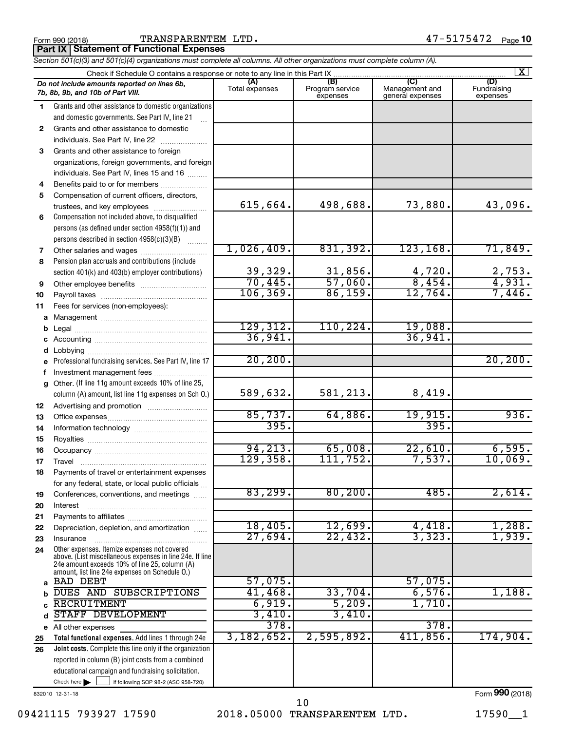Form 990 (2018)  $\begin{array}{cccc} \text{TRANSPARENT EM } \text{ LTD} \end{array}$  . The set of the set of the  $47-5175472$   $_\text{Page}$ 

**Part IX Statement of Functional Expenses**

|              | Section 501(c)(3) and 501(c)(4) organizations must complete all columns. All other organizations must complete column (A). |                         |                                    |                                           |                                |  |  |  |  |  |  |
|--------------|----------------------------------------------------------------------------------------------------------------------------|-------------------------|------------------------------------|-------------------------------------------|--------------------------------|--|--|--|--|--|--|
|              | $\mathbf{X}$<br>Check if Schedule O contains a response or note to any line in this Part IX.                               |                         |                                    |                                           |                                |  |  |  |  |  |  |
|              | Do not include amounts reported on lines 6b,<br>7b, 8b, 9b, and 10b of Part VIII.                                          | (A)<br>Total expenses   | (B)<br>Program service<br>expenses | (C)<br>Management and<br>general expenses | (D)<br>Fundraising<br>expenses |  |  |  |  |  |  |
| 1.           | Grants and other assistance to domestic organizations                                                                      |                         |                                    |                                           |                                |  |  |  |  |  |  |
|              | and domestic governments. See Part IV, line 21                                                                             |                         |                                    |                                           |                                |  |  |  |  |  |  |
| $\mathbf{2}$ | Grants and other assistance to domestic                                                                                    |                         |                                    |                                           |                                |  |  |  |  |  |  |
|              | individuals. See Part IV, line 22                                                                                          |                         |                                    |                                           |                                |  |  |  |  |  |  |
| 3            | Grants and other assistance to foreign                                                                                     |                         |                                    |                                           |                                |  |  |  |  |  |  |
|              | organizations, foreign governments, and foreign                                                                            |                         |                                    |                                           |                                |  |  |  |  |  |  |
|              | individuals. See Part IV, lines 15 and 16                                                                                  |                         |                                    |                                           |                                |  |  |  |  |  |  |
| 4            | Benefits paid to or for members                                                                                            |                         |                                    |                                           |                                |  |  |  |  |  |  |
| 5            | Compensation of current officers, directors,                                                                               |                         |                                    |                                           |                                |  |  |  |  |  |  |
|              | trustees, and key employees                                                                                                | 615,664.                | 498,688.                           | 73,880.                                   | 43,096.                        |  |  |  |  |  |  |
| 6            | Compensation not included above, to disqualified                                                                           |                         |                                    |                                           |                                |  |  |  |  |  |  |
|              | persons (as defined under section 4958(f)(1)) and                                                                          |                         |                                    |                                           |                                |  |  |  |  |  |  |
|              | persons described in section 4958(c)(3)(B)                                                                                 |                         |                                    |                                           |                                |  |  |  |  |  |  |
| 7            |                                                                                                                            | 1,026,409.              | 831,392.                           | 123, 168.                                 | 71,849.                        |  |  |  |  |  |  |
| 8            | Pension plan accruals and contributions (include                                                                           |                         |                                    |                                           |                                |  |  |  |  |  |  |
|              | section 401(k) and 403(b) employer contributions)                                                                          | $\frac{39,329}{70,445}$ | $\frac{31,856}{57,060}$            | $\frac{4,720}{8,454}$ .                   | $\frac{2,753}{4,931}$          |  |  |  |  |  |  |
| 9            | Other employee benefits                                                                                                    |                         |                                    |                                           |                                |  |  |  |  |  |  |
| 10           |                                                                                                                            | 106, 369.               | 86,159.                            | 12,764.                                   | 7,446.                         |  |  |  |  |  |  |
| 11           | Fees for services (non-employees):                                                                                         |                         |                                    |                                           |                                |  |  |  |  |  |  |
| a            |                                                                                                                            |                         |                                    |                                           |                                |  |  |  |  |  |  |
|              |                                                                                                                            | 129, 312.               | 110, 224.                          | 19,088.                                   |                                |  |  |  |  |  |  |
|              |                                                                                                                            | 36,941.                 |                                    | 36,941.                                   |                                |  |  |  |  |  |  |
|              |                                                                                                                            |                         |                                    |                                           |                                |  |  |  |  |  |  |
|              | Professional fundraising services. See Part IV, line 17                                                                    | 20, 200.                |                                    |                                           | 20, 200.                       |  |  |  |  |  |  |
|              | Investment management fees                                                                                                 |                         |                                    |                                           |                                |  |  |  |  |  |  |
| g            | Other. (If line 11g amount exceeds 10% of line 25,                                                                         |                         |                                    |                                           |                                |  |  |  |  |  |  |
|              | column (A) amount, list line 11g expenses on Sch O.)                                                                       | 589,632.                | 581,213.                           | 8,419.                                    |                                |  |  |  |  |  |  |
| 12           |                                                                                                                            |                         |                                    |                                           | 936.                           |  |  |  |  |  |  |
| 13           |                                                                                                                            | 85,737.<br>395.         | 64,886.                            | <u>19,915.</u><br>395.                    |                                |  |  |  |  |  |  |
| 14           |                                                                                                                            |                         |                                    |                                           |                                |  |  |  |  |  |  |
| 15           |                                                                                                                            | 94,213.                 | 65,008.                            | 22,610.                                   | 6,595.                         |  |  |  |  |  |  |
| 16           |                                                                                                                            | 129,358.                | 111,752.                           | 7,537.                                    | 10,069.                        |  |  |  |  |  |  |
| 17           |                                                                                                                            |                         |                                    |                                           |                                |  |  |  |  |  |  |
| 18           | Payments of travel or entertainment expenses                                                                               |                         |                                    |                                           |                                |  |  |  |  |  |  |
|              | for any federal, state, or local public officials                                                                          | 83,299.                 | 80, 200.                           | 485.                                      | 2,614.                         |  |  |  |  |  |  |
| 19           | Conferences, conventions, and meetings                                                                                     |                         |                                    |                                           |                                |  |  |  |  |  |  |
| 20           | Interest                                                                                                                   |                         |                                    |                                           |                                |  |  |  |  |  |  |
| 21<br>22     | Depreciation, depletion, and amortization                                                                                  | 18,405.                 | 12,699.                            | 4,418.                                    | 1,288.                         |  |  |  |  |  |  |
| 23           | Insurance                                                                                                                  | 27,694.                 | 22,432.                            | 3,323.                                    | 1,939.                         |  |  |  |  |  |  |
| 24           | Other expenses. Itemize expenses not covered                                                                               |                         |                                    |                                           |                                |  |  |  |  |  |  |
|              | above. (List miscellaneous expenses in line 24e. If line                                                                   |                         |                                    |                                           |                                |  |  |  |  |  |  |
|              | 24e amount exceeds 10% of line 25, column (A)<br>amount, list line 24e expenses on Schedule O.)                            |                         |                                    |                                           |                                |  |  |  |  |  |  |
| a            | <b>BAD DEBT</b>                                                                                                            | 57,075.                 |                                    | 57,075.                                   |                                |  |  |  |  |  |  |
|              | DUES AND SUBSCRIPTIONS                                                                                                     | 41,468.                 | 33,704.                            | 6,576.                                    | 1,188.                         |  |  |  |  |  |  |
|              | <b>RECRUITMENT</b>                                                                                                         | 6,919.                  | 5,209.                             | 1,710                                     |                                |  |  |  |  |  |  |
| d            | STAFF DEVELOPMENT                                                                                                          | 3,410.                  | 3,410.                             |                                           |                                |  |  |  |  |  |  |
|              | e All other expenses                                                                                                       | 378.                    |                                    | 378.                                      |                                |  |  |  |  |  |  |
| 25           | Total functional expenses. Add lines 1 through 24e                                                                         | 3,182,652.              | 2,595,892.                         | 411,856.                                  | 174,904.                       |  |  |  |  |  |  |
| 26           | Joint costs. Complete this line only if the organization                                                                   |                         |                                    |                                           |                                |  |  |  |  |  |  |
|              | reported in column (B) joint costs from a combined                                                                         |                         |                                    |                                           |                                |  |  |  |  |  |  |
|              | educational campaign and fundraising solicitation.                                                                         |                         |                                    |                                           |                                |  |  |  |  |  |  |
|              | Check here $\blacktriangleright$<br>if following SOP 98-2 (ASC 958-720)                                                    |                         |                                    |                                           |                                |  |  |  |  |  |  |

832010 12-31-18

Form (2018) **990**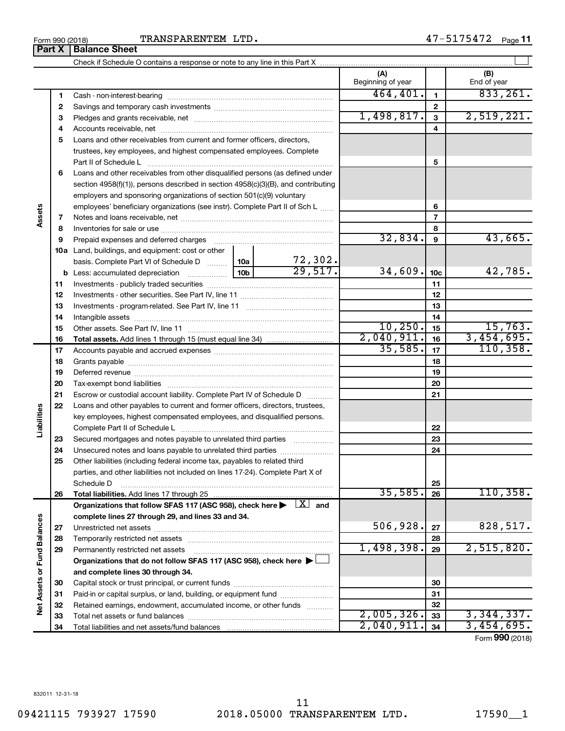**Assets**

**Part X** | Balance Sheet

**Liabilities**

**Net Assets or Fund Balances**

Net Assets or Fund Balances

## Form 990 (2018)  $\begin{array}{cccc} \text{TRANSPARENT EM } \text{ LTD} \end{array}$  . The set of the set of the set of the set of the set of the set of the set of the set of the set of the set of the set of the set of the set of the set of the set of the set

|    |                                                                                                      |     |                         | (A)<br>Beginning of year |                         | (B)<br>End of year |
|----|------------------------------------------------------------------------------------------------------|-----|-------------------------|--------------------------|-------------------------|--------------------|
| 1  |                                                                                                      |     |                         | 464, 401.                | $\mathbf{1}$            | 833, 261.          |
| 2  |                                                                                                      |     |                         |                          | $\mathbf{2}$            |                    |
| З  |                                                                                                      |     |                         | 1,498,817.               | 3                       | 2,519,221.         |
| 4  |                                                                                                      |     |                         |                          | $\overline{\mathbf{4}}$ |                    |
| 5  | Loans and other receivables from current and former officers, directors,                             |     |                         |                          |                         |                    |
|    | trustees, key employees, and highest compensated employees. Complete                                 |     |                         |                          |                         |                    |
|    |                                                                                                      |     |                         |                          | 5                       |                    |
| 6  | Loans and other receivables from other disqualified persons (as defined under                        |     |                         |                          |                         |                    |
|    | section 4958(f)(1)), persons described in section 4958(c)(3)(B), and contributing                    |     |                         |                          |                         |                    |
|    | employers and sponsoring organizations of section 501(c)(9) voluntary                                |     |                         |                          |                         |                    |
|    | employees' beneficiary organizations (see instr). Complete Part II of Sch L                          |     | 6                       |                          |                         |                    |
| 7  |                                                                                                      |     |                         |                          | $\overline{7}$          |                    |
| 8  |                                                                                                      |     |                         |                          | 8                       |                    |
| 9  | Prepaid expenses and deferred charges                                                                |     |                         | 32,834.                  | 9                       | 43,665.            |
|    | <b>10a</b> Land, buildings, and equipment: cost or other                                             |     |                         |                          |                         |                    |
|    | basis. Complete Part VI of Schedule D  10a                                                           |     | $\frac{72,302}{29,517}$ |                          |                         |                    |
|    |                                                                                                      | 10b |                         | 34,609.                  | 10 <sub>c</sub>         | 42,785.            |
| 11 |                                                                                                      |     |                         |                          | 11                      |                    |
| 12 |                                                                                                      |     |                         |                          | 12                      |                    |
| 13 |                                                                                                      |     |                         |                          | 13                      |                    |
| 14 |                                                                                                      |     |                         |                          | 14                      |                    |
| 15 |                                                                                                      |     |                         | 10, 250.                 | 15                      | 15,763.            |
| 16 |                                                                                                      |     |                         | 2,040,911.               | 16                      | 3,454,695.         |
| 17 |                                                                                                      |     |                         | 35,585.                  | 17                      | 110, 358.          |
| 18 |                                                                                                      |     |                         |                          | 18                      |                    |
| 19 |                                                                                                      |     |                         |                          | 19                      |                    |
| 20 |                                                                                                      |     |                         |                          | 20                      |                    |
| 21 | Escrow or custodial account liability. Complete Part IV of Schedule D                                |     |                         |                          | 21                      |                    |
| 22 | Loans and other payables to current and former officers, directors, trustees,                        |     |                         |                          |                         |                    |
|    | key employees, highest compensated employees, and disqualified persons.                              |     |                         |                          |                         |                    |
|    |                                                                                                      |     |                         |                          | 22                      |                    |
| 23 | Secured mortgages and notes payable to unrelated third parties                                       |     |                         |                          | 23                      |                    |
| 24 | Unsecured notes and loans payable to unrelated third parties                                         |     |                         |                          | 24                      |                    |
| 25 | Other liabilities (including federal income tax, payables to related third                           |     |                         |                          |                         |                    |
|    | parties, and other liabilities not included on lines 17-24). Complete Part X of<br>Schedule D        |     |                         |                          | 25                      |                    |
| 26 | Total liabilities. Add lines 17 through 25                                                           |     |                         | 35,585.                  | 26                      | 110, 358.          |
|    | Organizations that follow SFAS 117 (ASC 958), check here $\blacktriangleright \lfloor X \rfloor$ and |     |                         |                          |                         |                    |
|    | complete lines 27 through 29, and lines 33 and 34.                                                   |     |                         |                          |                         |                    |
| 27 |                                                                                                      |     |                         | 506,928.                 | 27                      | 828,517.           |
| 28 |                                                                                                      |     |                         |                          | 28                      |                    |
| 29 | Permanently restricted net assets                                                                    |     |                         | 1,498,398.               | 29                      | 2,515,820.         |
|    | Organizations that do not follow SFAS 117 (ASC 958), check here ▶ □                                  |     |                         |                          |                         |                    |
|    | and complete lines 30 through 34.                                                                    |     |                         |                          |                         |                    |
| 30 |                                                                                                      |     | 30                      |                          |                         |                    |
| 31 | Paid-in or capital surplus, or land, building, or equipment fund                                     |     |                         |                          | 31                      |                    |
| 32 | Retained earnings, endowment, accumulated income, or other funds                                     |     |                         |                          | 32                      |                    |
| 33 |                                                                                                      |     |                         | 2,005,326.               | 33                      | 3,344,337.         |
| 34 |                                                                                                      |     |                         | 2,040,911.               | 34                      | 3,454,695.         |

Check if Schedule O contains a response or note to any line in this Part X

Form (2018) **990**

 $\perp$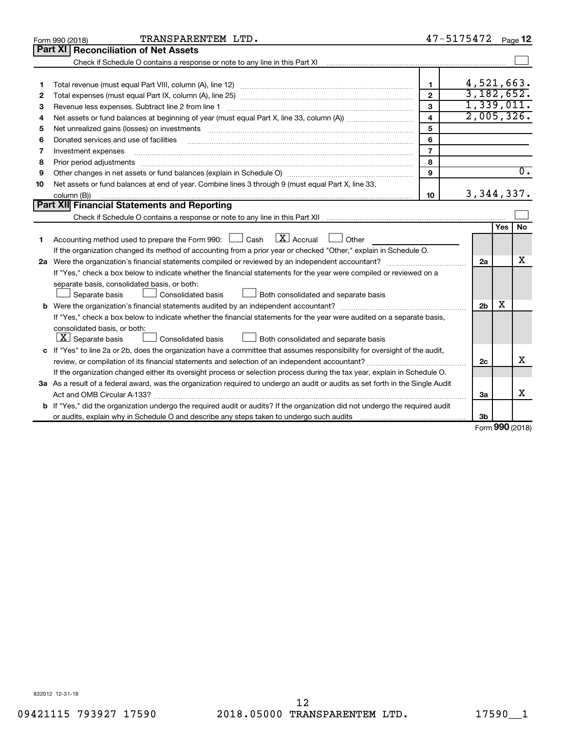|    | TRANSPARENTEM LTD.<br>Form 990 (2018)                                                                                                                                                                                          | 47-5175472              |                |      | Page 12          |
|----|--------------------------------------------------------------------------------------------------------------------------------------------------------------------------------------------------------------------------------|-------------------------|----------------|------|------------------|
|    | Part XI   Reconciliation of Net Assets                                                                                                                                                                                         |                         |                |      |                  |
|    | Check if Schedule O contains a response or note to any line in this Part XI [11] [12] [12] Check if Schedule O contains a response or note to any line in this Part XI                                                         |                         |                |      |                  |
|    |                                                                                                                                                                                                                                |                         |                |      |                  |
| 1  |                                                                                                                                                                                                                                | $\mathbf{1}$            | 4,521,663.     |      |                  |
| 2  |                                                                                                                                                                                                                                | $\overline{2}$          | 3,182,652.     |      |                  |
| з  | Revenue less expenses. Subtract line 2 from line 1                                                                                                                                                                             | 3                       | 1,339,011.     |      |                  |
| 4  |                                                                                                                                                                                                                                | $\overline{\mathbf{4}}$ | 2,005,326.     |      |                  |
| 5  | Net unrealized gains (losses) on investments [111] matter in the contract of the contract of the contract of the contract of the contract of the contract of the contract of the contract of the contract of the contract of t | 5                       |                |      |                  |
| 6  | Donated services and use of facilities                                                                                                                                                                                         | 6                       |                |      |                  |
| 7  | Investment expenses                                                                                                                                                                                                            | $\overline{7}$          |                |      |                  |
| 8  |                                                                                                                                                                                                                                | 8                       |                |      |                  |
| 9  |                                                                                                                                                                                                                                | 9                       |                |      | $\overline{0}$ . |
| 10 | Net assets or fund balances at end of year. Combine lines 3 through 9 (must equal Part X, line 33,                                                                                                                             |                         |                |      |                  |
|    | column (B))                                                                                                                                                                                                                    | 10                      | 3, 344, 337.   |      |                  |
|    | Part XII Financial Statements and Reporting                                                                                                                                                                                    |                         |                |      |                  |
|    |                                                                                                                                                                                                                                |                         |                |      |                  |
|    |                                                                                                                                                                                                                                |                         |                | Yes  | No.              |
| 1  | $\lfloor x \rfloor$ Accrual<br>Accounting method used to prepare the Form 990: [130] Cash<br>$\Box$ Other                                                                                                                      |                         |                |      |                  |
|    | If the organization changed its method of accounting from a prior year or checked "Other," explain in Schedule O.                                                                                                              |                         |                |      |                  |
|    |                                                                                                                                                                                                                                |                         | 2a             |      | x                |
|    | If "Yes," check a box below to indicate whether the financial statements for the year were compiled or reviewed on a                                                                                                           |                         |                |      |                  |
|    | separate basis, consolidated basis, or both:                                                                                                                                                                                   |                         |                |      |                  |
|    | Both consolidated and separate basis<br>Separate basis<br>Consolidated basis                                                                                                                                                   |                         |                |      |                  |
|    |                                                                                                                                                                                                                                |                         | 2 <sub>b</sub> | х    |                  |
|    | If "Yes," check a box below to indicate whether the financial statements for the year were audited on a separate basis,                                                                                                        |                         |                |      |                  |
|    | consolidated basis, or both:                                                                                                                                                                                                   |                         |                |      |                  |
|    | $ \mathbf{X} $ Separate basis<br>Consolidated basis<br>Both consolidated and separate basis                                                                                                                                    |                         |                |      |                  |
|    | c If "Yes" to line 2a or 2b, does the organization have a committee that assumes responsibility for oversight of the audit,                                                                                                    |                         |                |      |                  |
|    |                                                                                                                                                                                                                                |                         | 2c             |      | X                |
|    | If the organization changed either its oversight process or selection process during the tax year, explain in Schedule O.                                                                                                      |                         |                |      |                  |
|    | 3a As a result of a federal award, was the organization required to undergo an audit or audits as set forth in the Single Audit                                                                                                |                         |                |      |                  |
|    |                                                                                                                                                                                                                                |                         | За             |      | x                |
|    | <b>b</b> If "Yes," did the organization undergo the required audit or audits? If the organization did not undergo the required audit                                                                                           |                         |                |      |                  |
|    |                                                                                                                                                                                                                                |                         | 3b             | nnn. |                  |

Form (2018) **990**

832012 12-31-18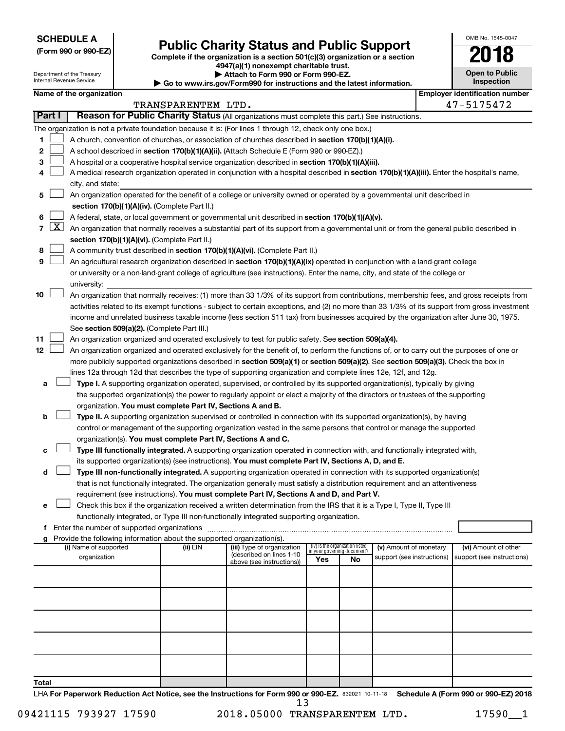**SCHEDULE A**

Department of the Treasury Internal Revenue Service

## Form 990 or 990-EZ)<br>
Complete if the organization is a section 501(c)(3) organization or a section<br> **Public Charity Status and Public Support**

**4947(a)(1) nonexempt charitable trust. | Attach to Form 990 or Form 990-EZ.** 

**| Go to www.irs.gov/Form990 for instructions and the latest information.**

| OMB No. 1545-0047                   |
|-------------------------------------|
|                                     |
| <b>Open to Public</b><br>Inspection |

| Name of the organization |  |
|--------------------------|--|
|--------------------------|--|

|              |        | Name of the organization                                                                                                                                                                                                                                        |                    |                                                       |                             |                                 |                            |  | <b>Employer identification number</b> |  |  |  |
|--------------|--------|-----------------------------------------------------------------------------------------------------------------------------------------------------------------------------------------------------------------------------------------------------------------|--------------------|-------------------------------------------------------|-----------------------------|---------------------------------|----------------------------|--|---------------------------------------|--|--|--|
|              |        |                                                                                                                                                                                                                                                                 | TRANSPARENTEM LTD. |                                                       |                             |                                 |                            |  | 47-5175472                            |  |  |  |
|              | Part I | Reason for Public Charity Status (All organizations must complete this part.) See instructions.                                                                                                                                                                 |                    |                                                       |                             |                                 |                            |  |                                       |  |  |  |
|              |        | The organization is not a private foundation because it is: (For lines 1 through 12, check only one box.)                                                                                                                                                       |                    |                                                       |                             |                                 |                            |  |                                       |  |  |  |
| 1.           |        | A church, convention of churches, or association of churches described in section 170(b)(1)(A)(i).                                                                                                                                                              |                    |                                                       |                             |                                 |                            |  |                                       |  |  |  |
| 2            |        | A school described in section 170(b)(1)(A)(ii). (Attach Schedule E (Form 990 or 990-EZ).)                                                                                                                                                                       |                    |                                                       |                             |                                 |                            |  |                                       |  |  |  |
| з            |        | A hospital or a cooperative hospital service organization described in section 170(b)(1)(A)(iii).                                                                                                                                                               |                    |                                                       |                             |                                 |                            |  |                                       |  |  |  |
| 4            |        | A medical research organization operated in conjunction with a hospital described in section 170(b)(1)(A)(iii). Enter the hospital's name,                                                                                                                      |                    |                                                       |                             |                                 |                            |  |                                       |  |  |  |
|              |        | city, and state:                                                                                                                                                                                                                                                |                    |                                                       |                             |                                 |                            |  |                                       |  |  |  |
| 5.           |        | An organization operated for the benefit of a college or university owned or operated by a governmental unit described in<br>section 170(b)(1)(A)(iv). (Complete Part II.)                                                                                      |                    |                                                       |                             |                                 |                            |  |                                       |  |  |  |
|              |        | A federal, state, or local government or governmental unit described in section 170(b)(1)(A)(v).                                                                                                                                                                |                    |                                                       |                             |                                 |                            |  |                                       |  |  |  |
| 6.           |        | 7 $ X $ An organization that normally receives a substantial part of its support from a governmental unit or from the general public described in                                                                                                               |                    |                                                       |                             |                                 |                            |  |                                       |  |  |  |
|              |        |                                                                                                                                                                                                                                                                 |                    |                                                       |                             |                                 |                            |  |                                       |  |  |  |
|              |        | section 170(b)(1)(A)(vi). (Complete Part II.)                                                                                                                                                                                                                   |                    |                                                       |                             |                                 |                            |  |                                       |  |  |  |
| 8<br>9       |        | A community trust described in section 170(b)(1)(A)(vi). (Complete Part II.)                                                                                                                                                                                    |                    |                                                       |                             |                                 |                            |  |                                       |  |  |  |
|              |        | An agricultural research organization described in section 170(b)(1)(A)(ix) operated in conjunction with a land-grant college<br>or university or a non-land-grant college of agriculture (see instructions). Enter the name, city, and state of the college or |                    |                                                       |                             |                                 |                            |  |                                       |  |  |  |
|              |        | university:                                                                                                                                                                                                                                                     |                    |                                                       |                             |                                 |                            |  |                                       |  |  |  |
| 10           |        | An organization that normally receives: (1) more than 33 1/3% of its support from contributions, membership fees, and gross receipts from                                                                                                                       |                    |                                                       |                             |                                 |                            |  |                                       |  |  |  |
|              |        | activities related to its exempt functions - subject to certain exceptions, and (2) no more than 33 1/3% of its support from gross investment                                                                                                                   |                    |                                                       |                             |                                 |                            |  |                                       |  |  |  |
|              |        | income and unrelated business taxable income (less section 511 tax) from businesses acquired by the organization after June 30, 1975.                                                                                                                           |                    |                                                       |                             |                                 |                            |  |                                       |  |  |  |
|              |        | See section 509(a)(2). (Complete Part III.)                                                                                                                                                                                                                     |                    |                                                       |                             |                                 |                            |  |                                       |  |  |  |
| 11           |        | An organization organized and operated exclusively to test for public safety. See section 509(a)(4).                                                                                                                                                            |                    |                                                       |                             |                                 |                            |  |                                       |  |  |  |
| 12           |        | An organization organized and operated exclusively for the benefit of, to perform the functions of, or to carry out the purposes of one or                                                                                                                      |                    |                                                       |                             |                                 |                            |  |                                       |  |  |  |
|              |        | more publicly supported organizations described in section 509(a)(1) or section 509(a)(2). See section 509(a)(3). Check the box in                                                                                                                              |                    |                                                       |                             |                                 |                            |  |                                       |  |  |  |
|              |        | lines 12a through 12d that describes the type of supporting organization and complete lines 12e, 12f, and 12g.                                                                                                                                                  |                    |                                                       |                             |                                 |                            |  |                                       |  |  |  |
| а            |        | Type I. A supporting organization operated, supervised, or controlled by its supported organization(s), typically by giving                                                                                                                                     |                    |                                                       |                             |                                 |                            |  |                                       |  |  |  |
|              |        | the supported organization(s) the power to regularly appoint or elect a majority of the directors or trustees of the supporting                                                                                                                                 |                    |                                                       |                             |                                 |                            |  |                                       |  |  |  |
|              |        | organization. You must complete Part IV, Sections A and B.                                                                                                                                                                                                      |                    |                                                       |                             |                                 |                            |  |                                       |  |  |  |
| b            |        | Type II. A supporting organization supervised or controlled in connection with its supported organization(s), by having                                                                                                                                         |                    |                                                       |                             |                                 |                            |  |                                       |  |  |  |
|              |        | control or management of the supporting organization vested in the same persons that control or manage the supported                                                                                                                                            |                    |                                                       |                             |                                 |                            |  |                                       |  |  |  |
|              |        | organization(s). You must complete Part IV, Sections A and C.                                                                                                                                                                                                   |                    |                                                       |                             |                                 |                            |  |                                       |  |  |  |
| с            |        | Type III functionally integrated. A supporting organization operated in connection with, and functionally integrated with,                                                                                                                                      |                    |                                                       |                             |                                 |                            |  |                                       |  |  |  |
|              |        | its supported organization(s) (see instructions). You must complete Part IV, Sections A, D, and E.                                                                                                                                                              |                    |                                                       |                             |                                 |                            |  |                                       |  |  |  |
| d            |        | Type III non-functionally integrated. A supporting organization operated in connection with its supported organization(s)                                                                                                                                       |                    |                                                       |                             |                                 |                            |  |                                       |  |  |  |
|              |        | that is not functionally integrated. The organization generally must satisfy a distribution requirement and an attentiveness                                                                                                                                    |                    |                                                       |                             |                                 |                            |  |                                       |  |  |  |
|              |        | requirement (see instructions). You must complete Part IV, Sections A and D, and Part V.                                                                                                                                                                        |                    |                                                       |                             |                                 |                            |  |                                       |  |  |  |
|              |        | Check this box if the organization received a written determination from the IRS that it is a Type I, Type II, Type III                                                                                                                                         |                    |                                                       |                             |                                 |                            |  |                                       |  |  |  |
|              |        | functionally integrated, or Type III non-functionally integrated supporting organization.                                                                                                                                                                       |                    |                                                       |                             |                                 |                            |  |                                       |  |  |  |
|              |        | f Enter the number of supported organizations                                                                                                                                                                                                                   |                    |                                                       |                             |                                 |                            |  |                                       |  |  |  |
|              |        | g Provide the following information about the supported organization(s).                                                                                                                                                                                        |                    |                                                       |                             |                                 |                            |  |                                       |  |  |  |
|              |        | (i) Name of supported                                                                                                                                                                                                                                           | (ii) EIN           | (iii) Type of organization                            | in your governing document? | (iv) Is the organization listed | (v) Amount of monetary     |  | (vi) Amount of other                  |  |  |  |
|              |        | organization                                                                                                                                                                                                                                                    |                    | (described on lines 1-10<br>above (see instructions)) | Yes                         | No                              | support (see instructions) |  | support (see instructions)            |  |  |  |
|              |        |                                                                                                                                                                                                                                                                 |                    |                                                       |                             |                                 |                            |  |                                       |  |  |  |
|              |        |                                                                                                                                                                                                                                                                 |                    |                                                       |                             |                                 |                            |  |                                       |  |  |  |
|              |        |                                                                                                                                                                                                                                                                 |                    |                                                       |                             |                                 |                            |  |                                       |  |  |  |
|              |        |                                                                                                                                                                                                                                                                 |                    |                                                       |                             |                                 |                            |  |                                       |  |  |  |
|              |        |                                                                                                                                                                                                                                                                 |                    |                                                       |                             |                                 |                            |  |                                       |  |  |  |
|              |        |                                                                                                                                                                                                                                                                 |                    |                                                       |                             |                                 |                            |  |                                       |  |  |  |
|              |        |                                                                                                                                                                                                                                                                 |                    |                                                       |                             |                                 |                            |  |                                       |  |  |  |
|              |        |                                                                                                                                                                                                                                                                 |                    |                                                       |                             |                                 |                            |  |                                       |  |  |  |
| <b>Total</b> |        |                                                                                                                                                                                                                                                                 |                    |                                                       |                             |                                 |                            |  |                                       |  |  |  |

LHA For Paperwork Reduction Act Notice, see the Instructions for Form 990 or 990-EZ. 832021 10-11-18 Schedule A (Form 990 or 990-EZ) 2018 13

09421115 793927 17590 2018.05000 TRANSPARENTEM LTD. 17590\_1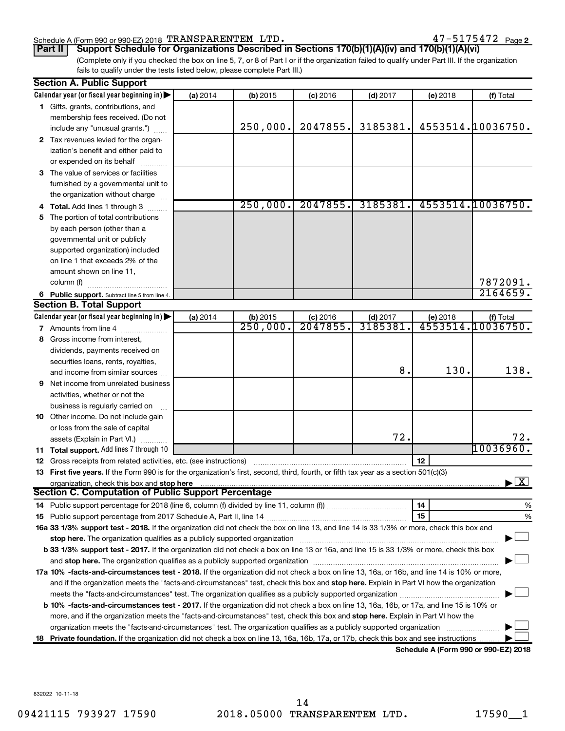#### Schedule A (Form 990 or 990-EZ) 2018 Page TRANSPARENTEM LTD. 47-5175472

47-5175472 Page 2

(Complete only if you checked the box on line 5, 7, or 8 of Part I or if the organization failed to qualify under Part III. If the organization **Part II Support Schedule for Organizations Described in Sections 170(b)(1)(A)(iv) and 170(b)(1)(A)(vi)**

fails to qualify under the tests listed below, please complete Part III.)

|     | <b>Section A. Public Support</b>                                                                                                                                                                                                                           |          |            |            |            |          |                                          |  |  |
|-----|------------------------------------------------------------------------------------------------------------------------------------------------------------------------------------------------------------------------------------------------------------|----------|------------|------------|------------|----------|------------------------------------------|--|--|
|     | Calendar year (or fiscal year beginning in)                                                                                                                                                                                                                | (a) 2014 | $(b)$ 2015 | $(c)$ 2016 | $(d)$ 2017 | (e) 2018 | (f) Total                                |  |  |
|     | 1 Gifts, grants, contributions, and                                                                                                                                                                                                                        |          |            |            |            |          |                                          |  |  |
|     | membership fees received. (Do not                                                                                                                                                                                                                          |          |            |            |            |          |                                          |  |  |
|     | include any "unusual grants.")                                                                                                                                                                                                                             |          | 250,000.   | 2047855.   | 3185381.   |          | 4553514.10036750.                        |  |  |
|     | 2 Tax revenues levied for the organ-                                                                                                                                                                                                                       |          |            |            |            |          |                                          |  |  |
|     | ization's benefit and either paid to                                                                                                                                                                                                                       |          |            |            |            |          |                                          |  |  |
|     | or expended on its behalf                                                                                                                                                                                                                                  |          |            |            |            |          |                                          |  |  |
| З   | The value of services or facilities                                                                                                                                                                                                                        |          |            |            |            |          |                                          |  |  |
|     | furnished by a governmental unit to                                                                                                                                                                                                                        |          |            |            |            |          |                                          |  |  |
|     | the organization without charge                                                                                                                                                                                                                            |          |            |            |            |          |                                          |  |  |
|     | Total. Add lines 1 through 3                                                                                                                                                                                                                               |          | 250,000.   | 2047855.   | 3185381.   |          | 4553514.10036750.                        |  |  |
| 5   | The portion of total contributions                                                                                                                                                                                                                         |          |            |            |            |          |                                          |  |  |
|     | by each person (other than a                                                                                                                                                                                                                               |          |            |            |            |          |                                          |  |  |
|     | governmental unit or publicly                                                                                                                                                                                                                              |          |            |            |            |          |                                          |  |  |
|     | supported organization) included                                                                                                                                                                                                                           |          |            |            |            |          |                                          |  |  |
|     | on line 1 that exceeds 2% of the                                                                                                                                                                                                                           |          |            |            |            |          |                                          |  |  |
|     | amount shown on line 11,                                                                                                                                                                                                                                   |          |            |            |            |          |                                          |  |  |
|     | column (f) $\ldots$                                                                                                                                                                                                                                        |          |            |            |            |          | 7872091.                                 |  |  |
|     | 6 Public support. Subtract line 5 from line 4.                                                                                                                                                                                                             |          |            |            |            |          | 2164659.                                 |  |  |
|     | <b>Section B. Total Support</b>                                                                                                                                                                                                                            |          |            |            |            |          |                                          |  |  |
|     | Calendar year (or fiscal year beginning in)                                                                                                                                                                                                                | (a) 2014 | $(b)$ 2015 | $(c)$ 2016 | $(d)$ 2017 | (e) 2018 | (f) Total                                |  |  |
|     | 7 Amounts from line 4                                                                                                                                                                                                                                      |          | 250,000.   | 2047855.   | 3185381    |          | 4553514.10036750.                        |  |  |
|     | 8 Gross income from interest,                                                                                                                                                                                                                              |          |            |            |            |          |                                          |  |  |
|     | dividends, payments received on                                                                                                                                                                                                                            |          |            |            |            |          |                                          |  |  |
|     | securities loans, rents, royalties,                                                                                                                                                                                                                        |          |            |            |            |          |                                          |  |  |
|     | and income from similar sources                                                                                                                                                                                                                            |          |            |            | 8.         | 130.     | 138.                                     |  |  |
| 9   | Net income from unrelated business                                                                                                                                                                                                                         |          |            |            |            |          |                                          |  |  |
|     | activities, whether or not the                                                                                                                                                                                                                             |          |            |            |            |          |                                          |  |  |
|     | business is regularly carried on                                                                                                                                                                                                                           |          |            |            |            |          |                                          |  |  |
|     | 10 Other income. Do not include gain                                                                                                                                                                                                                       |          |            |            |            |          |                                          |  |  |
|     | or loss from the sale of capital                                                                                                                                                                                                                           |          |            |            |            |          |                                          |  |  |
|     | assets (Explain in Part VI.)                                                                                                                                                                                                                               |          |            |            | 72.        |          | 72.                                      |  |  |
| 11. | Total support. Add lines 7 through 10                                                                                                                                                                                                                      |          |            |            |            |          | 10036960.                                |  |  |
| 12  | Gross receipts from related activities, etc. (see instructions)                                                                                                                                                                                            |          |            |            |            | 12       |                                          |  |  |
|     | 13 First five years. If the Form 990 is for the organization's first, second, third, fourth, or fifth tax year as a section 501(c)(3)                                                                                                                      |          |            |            |            |          |                                          |  |  |
|     | organization, check this box and stop here manufactured and according to the state of the control of the control of the control of the control of the control of the control of the control of the control of the control of t                             |          |            |            |            |          | $\blacktriangleright$ $\boxed{\text{X}}$ |  |  |
|     | Section C. Computation of Public Support Percentage                                                                                                                                                                                                        |          |            |            |            |          |                                          |  |  |
|     |                                                                                                                                                                                                                                                            |          |            |            |            | 14       | ℅                                        |  |  |
|     |                                                                                                                                                                                                                                                            |          |            |            |            | 15       | %                                        |  |  |
|     | 16a 33 1/3% support test - 2018. If the organization did not check the box on line 13, and line 14 is 33 1/3% or more, check this box and                                                                                                                  |          |            |            |            |          |                                          |  |  |
|     | stop here. The organization qualifies as a publicly supported organization manufaction manufacture content and the supported or an annufacture content and the supported or state and the state of the state of the state of t                             |          |            |            |            |          |                                          |  |  |
|     | b 33 1/3% support test - 2017. If the organization did not check a box on line 13 or 16a, and line 15 is 33 1/3% or more, check this box                                                                                                                   |          |            |            |            |          |                                          |  |  |
|     |                                                                                                                                                                                                                                                            |          |            |            |            |          |                                          |  |  |
|     | 17a 10% -facts-and-circumstances test - 2018. If the organization did not check a box on line 13, 16a, or 16b, and line 14 is 10% or more,                                                                                                                 |          |            |            |            |          |                                          |  |  |
|     | and if the organization meets the "facts-and-circumstances" test, check this box and stop here. Explain in Part VI how the organization                                                                                                                    |          |            |            |            |          |                                          |  |  |
|     |                                                                                                                                                                                                                                                            |          |            |            |            |          |                                          |  |  |
|     | <b>b 10% -facts-and-circumstances test - 2017.</b> If the organization did not check a box on line 13, 16a, 16b, or 17a, and line 15 is 10% or                                                                                                             |          |            |            |            |          |                                          |  |  |
|     |                                                                                                                                                                                                                                                            |          |            |            |            |          |                                          |  |  |
|     | more, and if the organization meets the "facts-and-circumstances" test, check this box and stop here. Explain in Part VI how the<br>organization meets the "facts-and-circumstances" test. The organization qualifies as a publicly supported organization |          |            |            |            |          |                                          |  |  |
|     |                                                                                                                                                                                                                                                            |          |            |            |            |          |                                          |  |  |
|     | 18 Private foundation. If the organization did not check a box on line 13, 16a, 16b, 17a, or 17b, check this box and see instructions                                                                                                                      |          |            |            |            |          |                                          |  |  |

**Schedule A (Form 990 or 990-EZ) 2018**

832022 10-11-18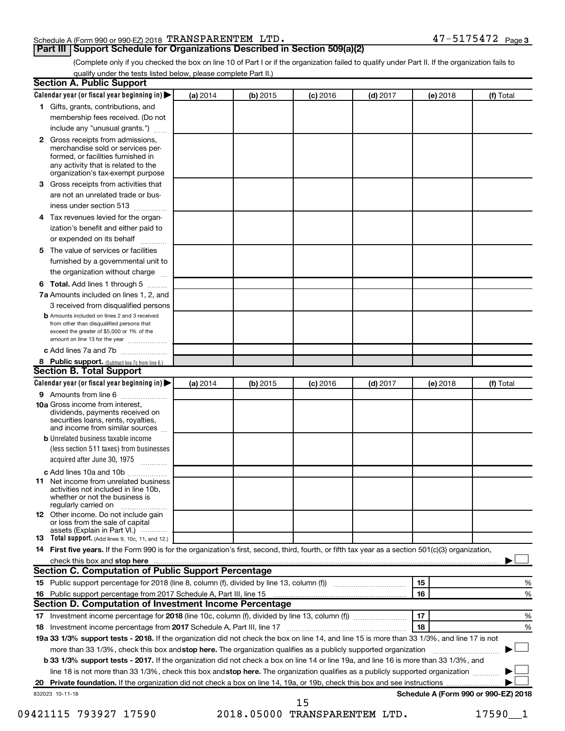#### Schedule A (Form 990 or 990-EZ) 2018 Page TRANSPARENTEM LTD. 47-5175472

### **Part III Support Schedule for Organizations Described in Section 509(a)(2)**

(Complete only if you checked the box on line 10 of Part I or if the organization failed to qualify under Part II. If the organization fails to

| qualify under the tests listed below, please complete Part II.)                                                                                                                          |          |            |                 |            |                                      |           |  |
|------------------------------------------------------------------------------------------------------------------------------------------------------------------------------------------|----------|------------|-----------------|------------|--------------------------------------|-----------|--|
| <b>Section A. Public Support</b>                                                                                                                                                         |          |            |                 |            |                                      |           |  |
| Calendar year (or fiscal year beginning in)                                                                                                                                              | (a) 2014 | $(b)$ 2015 | $(c)$ 2016      | $(d)$ 2017 | (e) 2018                             | (f) Total |  |
| 1 Gifts, grants, contributions, and                                                                                                                                                      |          |            |                 |            |                                      |           |  |
| membership fees received. (Do not                                                                                                                                                        |          |            |                 |            |                                      |           |  |
| include any "unusual grants.")                                                                                                                                                           |          |            |                 |            |                                      |           |  |
| 2 Gross receipts from admissions,<br>merchandise sold or services per-<br>formed, or facilities furnished in<br>any activity that is related to the<br>organization's tax-exempt purpose |          |            |                 |            |                                      |           |  |
| 3 Gross receipts from activities that                                                                                                                                                    |          |            |                 |            |                                      |           |  |
| are not an unrelated trade or bus-                                                                                                                                                       |          |            |                 |            |                                      |           |  |
| iness under section 513                                                                                                                                                                  |          |            |                 |            |                                      |           |  |
| 4 Tax revenues levied for the organ-                                                                                                                                                     |          |            |                 |            |                                      |           |  |
| ization's benefit and either paid to                                                                                                                                                     |          |            |                 |            |                                      |           |  |
| or expended on its behalf                                                                                                                                                                |          |            |                 |            |                                      |           |  |
| 5 The value of services or facilities                                                                                                                                                    |          |            |                 |            |                                      |           |  |
| furnished by a governmental unit to                                                                                                                                                      |          |            |                 |            |                                      |           |  |
| the organization without charge                                                                                                                                                          |          |            |                 |            |                                      |           |  |
| 6 Total. Add lines 1 through 5                                                                                                                                                           |          |            |                 |            |                                      |           |  |
| 7a Amounts included on lines 1, 2, and                                                                                                                                                   |          |            |                 |            |                                      |           |  |
| 3 received from disqualified persons                                                                                                                                                     |          |            |                 |            |                                      |           |  |
| <b>b</b> Amounts included on lines 2 and 3 received<br>from other than disqualified persons that<br>exceed the greater of \$5,000 or 1% of the<br>amount on line 13 for the year         |          |            |                 |            |                                      |           |  |
| c Add lines 7a and 7b                                                                                                                                                                    |          |            |                 |            |                                      |           |  |
| 8 Public support. (Subtract line 7c from line 6.)                                                                                                                                        |          |            |                 |            |                                      |           |  |
| <b>Section B. Total Support</b>                                                                                                                                                          |          |            |                 |            |                                      |           |  |
| Calendar year (or fiscal year beginning in)                                                                                                                                              | (a) 2014 | (b) 2015   | <b>(c)</b> 2016 | $(d)$ 2017 | (e) 2018                             | (f) Total |  |
| 9 Amounts from line 6                                                                                                                                                                    |          |            |                 |            |                                      |           |  |
| <b>10a</b> Gross income from interest,<br>dividends, payments received on<br>securities loans, rents, royalties,<br>and income from similar sources                                      |          |            |                 |            |                                      |           |  |
| <b>b</b> Unrelated business taxable income                                                                                                                                               |          |            |                 |            |                                      |           |  |
| (less section 511 taxes) from businesses<br>acquired after June 30, 1975<br>.                                                                                                            |          |            |                 |            |                                      |           |  |
| c Add lines 10a and 10b                                                                                                                                                                  |          |            |                 |            |                                      |           |  |
| <b>11</b> Net income from unrelated business<br>activities not included in line 10b,<br>whether or not the business is<br>regularly carried on                                           |          |            |                 |            |                                      |           |  |
| 12 Other income. Do not include gain<br>or loss from the sale of capital<br>assets (Explain in Part VI.)                                                                                 |          |            |                 |            |                                      |           |  |
| 13 Total support. (Add lines 9, 10c, 11, and 12.)                                                                                                                                        |          |            |                 |            |                                      |           |  |
| 14 First five years. If the Form 990 is for the organization's first, second, third, fourth, or fifth tax year as a section 501(c)(3) organization,                                      |          |            |                 |            |                                      |           |  |
| check this box and stop here                                                                                                                                                             |          |            |                 |            |                                      |           |  |
| <b>Section C. Computation of Public Support Percentage</b>                                                                                                                               |          |            |                 |            |                                      |           |  |
| 15 Public support percentage for 2018 (line 8, column (f), divided by line 13, column (f) <i></i>                                                                                        |          |            |                 |            | 15                                   | %         |  |
| 16 Public support percentage from 2017 Schedule A, Part III, line 15                                                                                                                     |          |            |                 |            | 16                                   | %         |  |
| Section D. Computation of Investment Income Percentage                                                                                                                                   |          |            |                 |            |                                      |           |  |
|                                                                                                                                                                                          |          |            |                 |            | 17                                   | %         |  |
| 18 Investment income percentage from 2017 Schedule A, Part III, line 17                                                                                                                  |          |            |                 |            | 18                                   | %         |  |
| 19a 33 1/3% support tests - 2018. If the organization did not check the box on line 14, and line 15 is more than 33 1/3%, and line 17 is not                                             |          |            |                 |            |                                      |           |  |
| more than 33 1/3%, check this box and stop here. The organization qualifies as a publicly supported organization                                                                         |          |            |                 |            |                                      |           |  |
| b 33 1/3% support tests - 2017. If the organization did not check a box on line 14 or line 19a, and line 16 is more than 33 1/3%, and                                                    |          |            |                 |            |                                      |           |  |
| line 18 is not more than 33 1/3%, check this box and stop here. The organization qualifies as a publicly supported organization                                                          |          |            |                 |            |                                      |           |  |
|                                                                                                                                                                                          |          |            |                 |            |                                      |           |  |
| 832023 10-11-18                                                                                                                                                                          |          |            | 15              |            | Schedule A (Form 990 or 990-EZ) 2018 |           |  |

09421115 793927 17590 2018.05000 TRANSPARENTEM LTD. 17590\_1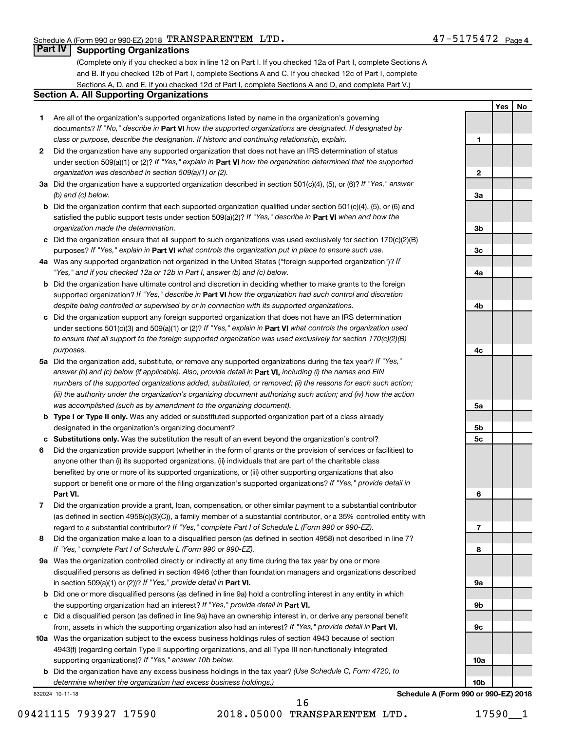**1**

**2**

**3a**

**3b**

**3c**

**4a**

**4b**

**4c**

**Yes No**

### **Part IV Supporting Organizations**

(Complete only if you checked a box in line 12 on Part I. If you checked 12a of Part I, complete Sections A and B. If you checked 12b of Part I, complete Sections A and C. If you checked 12c of Part I, complete Sections A, D, and E. If you checked 12d of Part I, complete Sections A and D, and complete Part V.)

#### **Section A. All Supporting Organizations**

- **1** Are all of the organization's supported organizations listed by name in the organization's governing documents? If "No," describe in Part VI how the supported organizations are designated. If designated by *class or purpose, describe the designation. If historic and continuing relationship, explain.*
- **2** Did the organization have any supported organization that does not have an IRS determination of status under section 509(a)(1) or (2)? If "Yes," explain in Part **VI** how the organization determined that the supported *organization was described in section 509(a)(1) or (2).*
- **3a** Did the organization have a supported organization described in section 501(c)(4), (5), or (6)? If "Yes," answer *(b) and (c) below.*
- **b** Did the organization confirm that each supported organization qualified under section 501(c)(4), (5), or (6) and satisfied the public support tests under section 509(a)(2)? If "Yes," describe in Part VI when and how the *organization made the determination.*
- **c** Did the organization ensure that all support to such organizations was used exclusively for section 170(c)(2)(B) purposes? If "Yes," explain in Part VI what controls the organization put in place to ensure such use.
- **4 a** *If* Was any supported organization not organized in the United States ("foreign supported organization")? *"Yes," and if you checked 12a or 12b in Part I, answer (b) and (c) below.*
- **b** Did the organization have ultimate control and discretion in deciding whether to make grants to the foreign supported organization? If "Yes," describe in Part VI how the organization had such control and discretion *despite being controlled or supervised by or in connection with its supported organizations.*
- **c** Did the organization support any foreign supported organization that does not have an IRS determination under sections 501(c)(3) and 509(a)(1) or (2)? If "Yes," explain in Part VI what controls the organization used *to ensure that all support to the foreign supported organization was used exclusively for section 170(c)(2)(B) purposes.*
- **5a** Did the organization add, substitute, or remove any supported organizations during the tax year? If "Yes," answer (b) and (c) below (if applicable). Also, provide detail in **Part VI,** including (i) the names and EIN *numbers of the supported organizations added, substituted, or removed; (ii) the reasons for each such action; (iii) the authority under the organization's organizing document authorizing such action; and (iv) how the action was accomplished (such as by amendment to the organizing document).*
- **b** Type I or Type II only. Was any added or substituted supported organization part of a class already designated in the organization's organizing document?
- **c Substitutions only.**  Was the substitution the result of an event beyond the organization's control?
- **6** Did the organization provide support (whether in the form of grants or the provision of services or facilities) to **Part VI.** support or benefit one or more of the filing organization's supported organizations? If "Yes," provide detail in anyone other than (i) its supported organizations, (ii) individuals that are part of the charitable class benefited by one or more of its supported organizations, or (iii) other supporting organizations that also
- **7** Did the organization provide a grant, loan, compensation, or other similar payment to a substantial contributor regard to a substantial contributor? If "Yes," complete Part I of Schedule L (Form 990 or 990-EZ). (as defined in section 4958(c)(3)(C)), a family member of a substantial contributor, or a 35% controlled entity with
- **8** Did the organization make a loan to a disqualified person (as defined in section 4958) not described in line 7? *If "Yes," complete Part I of Schedule L (Form 990 or 990-EZ).*
- **9 a** Was the organization controlled directly or indirectly at any time during the tax year by one or more in section 509(a)(1) or (2))? If "Yes," provide detail in **Part VI.** disqualified persons as defined in section 4946 (other than foundation managers and organizations described
- **b** Did one or more disqualified persons (as defined in line 9a) hold a controlling interest in any entity in which the supporting organization had an interest? If "Yes," provide detail in Part VI.
- **c** Did a disqualified person (as defined in line 9a) have an ownership interest in, or derive any personal benefit from, assets in which the supporting organization also had an interest? If "Yes," provide detail in Part VI.
- **10 a** Was the organization subject to the excess business holdings rules of section 4943 because of section supporting organizations)? If "Yes," answer 10b below. 4943(f) (regarding certain Type II supporting organizations, and all Type III non-functionally integrated
	- **b** Did the organization have any excess business holdings in the tax year? (Use Schedule C, Form 4720, to *determine whether the organization had excess business holdings.)*

832024 10-11-18

09421115 793927 17590 2018.05000 TRANSPARENTEM LTD. 17590 1 16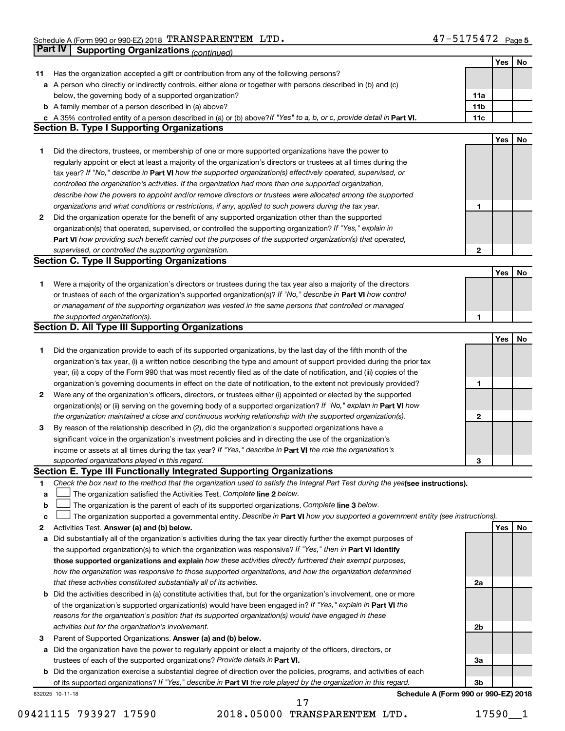|             | Part IV<br><b>Supporting Organizations (continued)</b>                                                                          |                 |     |    |
|-------------|---------------------------------------------------------------------------------------------------------------------------------|-----------------|-----|----|
|             |                                                                                                                                 |                 | Yes | No |
| 11          | Has the organization accepted a gift or contribution from any of the following persons?                                         |                 |     |    |
|             | a A person who directly or indirectly controls, either alone or together with persons described in (b) and (c)                  |                 |     |    |
|             | below, the governing body of a supported organization?                                                                          | 11a             |     |    |
|             | <b>b</b> A family member of a person described in (a) above?                                                                    | 11 <sub>b</sub> |     |    |
|             | c A 35% controlled entity of a person described in (a) or (b) above? If "Yes" to a, b, or c, provide detail in Part VI.         | 11c             |     |    |
|             | <b>Section B. Type I Supporting Organizations</b>                                                                               |                 |     |    |
|             |                                                                                                                                 |                 | Yes | No |
| 1           | Did the directors, trustees, or membership of one or more supported organizations have the power to                             |                 |     |    |
|             | regularly appoint or elect at least a majority of the organization's directors or trustees at all times during the              |                 |     |    |
|             | tax year? If "No," describe in Part VI how the supported organization(s) effectively operated, supervised, or                   |                 |     |    |
|             | controlled the organization's activities. If the organization had more than one supported organization,                         |                 |     |    |
|             | describe how the powers to appoint and/or remove directors or trustees were allocated among the supported                       |                 |     |    |
|             | organizations and what conditions or restrictions, if any, applied to such powers during the tax year.                          | 1               |     |    |
| 2           | Did the organization operate for the benefit of any supported organization other than the supported                             |                 |     |    |
|             | organization(s) that operated, supervised, or controlled the supporting organization? If "Yes," explain in                      |                 |     |    |
|             | Part VI how providing such benefit carried out the purposes of the supported organization(s) that operated,                     |                 |     |    |
|             | supervised, or controlled the supporting organization.                                                                          | 2               |     |    |
|             | <b>Section C. Type II Supporting Organizations</b>                                                                              |                 |     |    |
|             |                                                                                                                                 |                 | Yes | No |
| 1           | Were a majority of the organization's directors or trustees during the tax year also a majority of the directors                |                 |     |    |
|             | or trustees of each of the organization's supported organization(s)? If "No," describe in Part VI how control                   |                 |     |    |
|             | or management of the supporting organization was vested in the same persons that controlled or managed                          |                 |     |    |
|             | the supported organization(s).                                                                                                  | 1               |     |    |
|             | <b>Section D. All Type III Supporting Organizations</b>                                                                         |                 |     |    |
|             |                                                                                                                                 |                 | Yes | No |
| 1           | Did the organization provide to each of its supported organizations, by the last day of the fifth month of the                  |                 |     |    |
|             | organization's tax year, (i) a written notice describing the type and amount of support provided during the prior tax           |                 |     |    |
|             | year, (ii) a copy of the Form 990 that was most recently filed as of the date of notification, and (iii) copies of the          |                 |     |    |
|             | organization's governing documents in effect on the date of notification, to the extent not previously provided?                | 1               |     |    |
| 2           | Were any of the organization's officers, directors, or trustees either (i) appointed or elected by the supported                |                 |     |    |
|             | organization(s) or (ii) serving on the governing body of a supported organization? If "No," explain in Part VI how              |                 |     |    |
|             | the organization maintained a close and continuous working relationship with the supported organization(s).                     | 2               |     |    |
| 3           | By reason of the relationship described in (2), did the organization's supported organizations have a                           |                 |     |    |
|             | significant voice in the organization's investment policies and in directing the use of the organization's                      |                 |     |    |
|             | income or assets at all times during the tax year? If "Yes," describe in Part VI the role the organization's                    |                 |     |    |
|             | supported organizations played in this regard.                                                                                  |                 |     |    |
|             | Section E. Type III Functionally Integrated Supporting Organizations                                                            | з               |     |    |
| 1           | Check the box next to the method that the organization used to satisfy the Integral Part Test during the yealsee instructions). |                 |     |    |
| a           | The organization satisfied the Activities Test. Complete line 2 below.                                                          |                 |     |    |
| $\mathbf b$ | The organization is the parent of each of its supported organizations. Complete line 3 below.                                   |                 |     |    |
| c           | The organization supported a governmental entity. Describe in Part VI how you supported a government entity (see instructions). |                 |     |    |
| 2           | Activities Test. Answer (a) and (b) below.                                                                                      |                 | Yes | No |
| а           | Did substantially all of the organization's activities during the tax year directly further the exempt purposes of              |                 |     |    |
|             | the supported organization(s) to which the organization was responsive? If "Yes," then in Part VI identify                      |                 |     |    |
|             | those supported organizations and explain how these activities directly furthered their exempt purposes,                        |                 |     |    |
|             | how the organization was responsive to those supported organizations, and how the organization determined                       |                 |     |    |
|             | that these activities constituted substantially all of its activities.                                                          | 2a              |     |    |
|             | <b>b</b> Did the activities described in (a) constitute activities that, but for the organization's involvement, one or more    |                 |     |    |
|             | of the organization's supported organization(s) would have been engaged in? If "Yes," explain in Part VI the                    |                 |     |    |
|             | reasons for the organization's position that its supported organization(s) would have engaged in these                          |                 |     |    |
|             | activities but for the organization's involvement.                                                                              | 2b              |     |    |
| З           | Parent of Supported Organizations. Answer (a) and (b) below.                                                                    |                 |     |    |
| а           | Did the organization have the power to regularly appoint or elect a majority of the officers, directors, or                     |                 |     |    |
|             | trustees of each of the supported organizations? Provide details in Part VI.                                                    | За              |     |    |
|             | <b>b</b> Did the organization exercise a substantial degree of direction over the policies, programs, and activities of each    |                 |     |    |
|             | of its supported organizations? If "Yes," describe in Part VI the role played by the organization in this regard.               | 3b              |     |    |
|             | Schedule A (Form 990 or 990-EZ) 2018<br>832025 10-11-18                                                                         |                 |     |    |

09421115 793927 17590 2018.05000 TRANSPARENTEM LTD. 17590\_1 17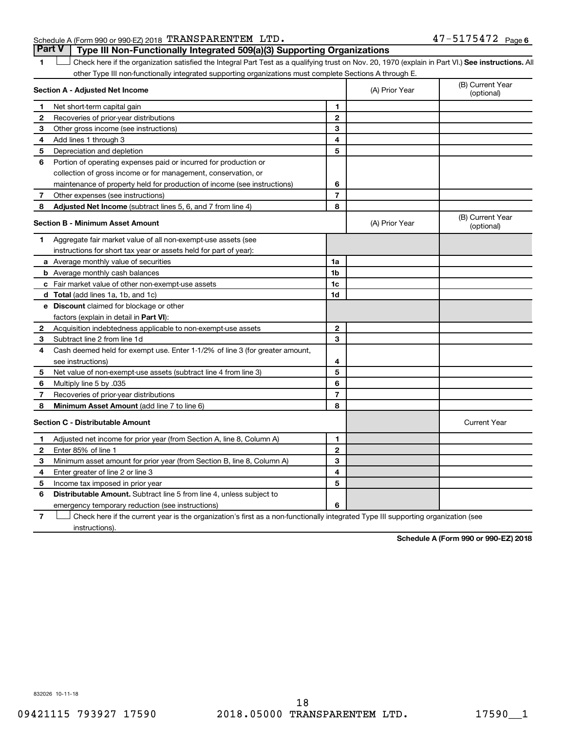### Schedule A (Form 990 or 990-EZ) 2018 Page TRANSPARENTEM LTD. 47-5175472

1 **Letter See instructions.** All Check here if the organization satisfied the Integral Part Test as a qualifying trust on Nov. 20, 1970 (explain in Part VI.) See instructions. All other Type III non-functionally integrated supporting organizations must complete Sections A through E. **Part V Type III Non-Functionally Integrated 509(a)(3) Supporting Organizations** 

|              | Section A - Adjusted Net Income                                              |                | (A) Prior Year | (B) Current Year<br>(optional) |
|--------------|------------------------------------------------------------------------------|----------------|----------------|--------------------------------|
| 1            | Net short-term capital gain                                                  | 1              |                |                                |
| 2            | Recoveries of prior-year distributions                                       | $\overline{2}$ |                |                                |
| з            | Other gross income (see instructions)                                        | 3              |                |                                |
| 4            | Add lines 1 through 3                                                        | 4              |                |                                |
| 5            | Depreciation and depletion                                                   | 5              |                |                                |
| 6            | Portion of operating expenses paid or incurred for production or             |                |                |                                |
|              | collection of gross income or for management, conservation, or               |                |                |                                |
|              | maintenance of property held for production of income (see instructions)     | 6              |                |                                |
| 7            | Other expenses (see instructions)                                            | $\overline{7}$ |                |                                |
| 8            | Adjusted Net Income (subtract lines 5, 6, and 7 from line 4)                 | 8              |                |                                |
|              | <b>Section B - Minimum Asset Amount</b>                                      |                | (A) Prior Year | (B) Current Year<br>(optional) |
| 1            | Aggregate fair market value of all non-exempt-use assets (see                |                |                |                                |
|              | instructions for short tax year or assets held for part of year):            |                |                |                                |
|              | a Average monthly value of securities                                        | 1a             |                |                                |
|              | <b>b</b> Average monthly cash balances                                       | 1b             |                |                                |
|              | c Fair market value of other non-exempt-use assets                           | 1c             |                |                                |
|              | d Total (add lines 1a, 1b, and 1c)                                           | 1d             |                |                                |
|              | <b>e</b> Discount claimed for blockage or other                              |                |                |                                |
|              | factors (explain in detail in Part VI):                                      |                |                |                                |
| 2            | Acquisition indebtedness applicable to non-exempt-use assets                 | $\mathbf{2}$   |                |                                |
| 3            | Subtract line 2 from line 1d                                                 | 3              |                |                                |
| 4            | Cash deemed held for exempt use. Enter 1-1/2% of line 3 (for greater amount, |                |                |                                |
|              | see instructions)                                                            | 4              |                |                                |
| 5            | Net value of non-exempt-use assets (subtract line 4 from line 3)             | 5              |                |                                |
| 6            | Multiply line 5 by .035                                                      | 6              |                |                                |
| 7            | Recoveries of prior-year distributions                                       | 7              |                |                                |
| 8            | Minimum Asset Amount (add line 7 to line 6)                                  | 8              |                |                                |
|              | <b>Section C - Distributable Amount</b>                                      |                |                | <b>Current Year</b>            |
| 1            | Adjusted net income for prior year (from Section A, line 8, Column A)        | 1              |                |                                |
| $\mathbf{2}$ | Enter 85% of line 1                                                          | $\mathbf{2}$   |                |                                |
| З            | Minimum asset amount for prior year (from Section B, line 8, Column A)       | 3              |                |                                |
| 4            | Enter greater of line 2 or line 3                                            | 4              |                |                                |
| 5            | Income tax imposed in prior year                                             | 5              |                |                                |
| 6            | <b>Distributable Amount.</b> Subtract line 5 from line 4, unless subject to  |                |                |                                |
|              | emergency temporary reduction (see instructions)                             | 6              |                |                                |
|              |                                                                              |                |                |                                |

**7** Let Check here if the current year is the organization's first as a non-functionally integrated Type III supporting organization (see instructions).

**Schedule A (Form 990 or 990-EZ) 2018**

832026 10-11-18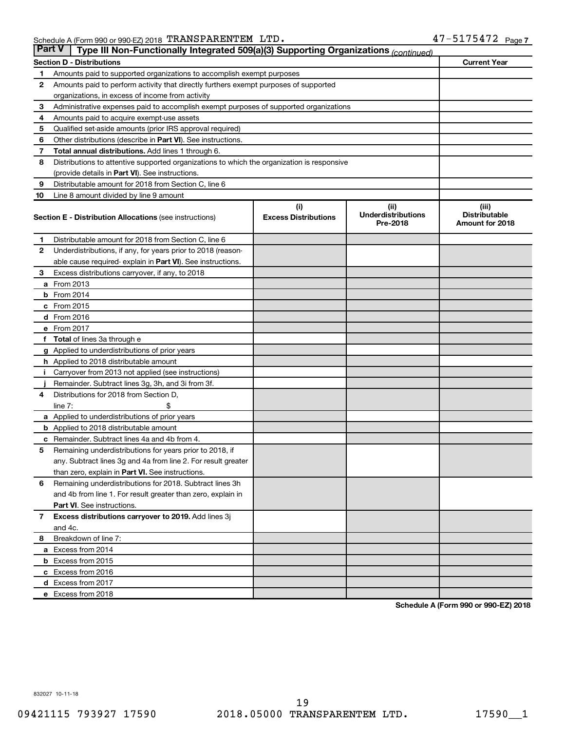| <b>Part V</b> | Type III Non-Functionally Integrated 509(a)(3) Supporting Organizations (continued)        |                             |                                       |                                                |  |  |
|---------------|--------------------------------------------------------------------------------------------|-----------------------------|---------------------------------------|------------------------------------------------|--|--|
|               | <b>Section D - Distributions</b>                                                           |                             |                                       | <b>Current Year</b>                            |  |  |
| 1             | Amounts paid to supported organizations to accomplish exempt purposes                      |                             |                                       |                                                |  |  |
| 2             | Amounts paid to perform activity that directly furthers exempt purposes of supported       |                             |                                       |                                                |  |  |
|               | organizations, in excess of income from activity                                           |                             |                                       |                                                |  |  |
| 3             | Administrative expenses paid to accomplish exempt purposes of supported organizations      |                             |                                       |                                                |  |  |
| 4             | Amounts paid to acquire exempt-use assets                                                  |                             |                                       |                                                |  |  |
| 5             | Qualified set-aside amounts (prior IRS approval required)                                  |                             |                                       |                                                |  |  |
| 6             | Other distributions (describe in <b>Part VI</b> ). See instructions.                       |                             |                                       |                                                |  |  |
| 7             | <b>Total annual distributions.</b> Add lines 1 through 6.                                  |                             |                                       |                                                |  |  |
| 8             | Distributions to attentive supported organizations to which the organization is responsive |                             |                                       |                                                |  |  |
|               | (provide details in Part VI). See instructions.                                            |                             |                                       |                                                |  |  |
| 9             | Distributable amount for 2018 from Section C, line 6                                       |                             |                                       |                                                |  |  |
| 10            | Line 8 amount divided by line 9 amount                                                     |                             |                                       |                                                |  |  |
|               |                                                                                            | (i)                         | (iii)                                 | (iii)                                          |  |  |
|               | <b>Section E - Distribution Allocations (see instructions)</b>                             | <b>Excess Distributions</b> | <b>Underdistributions</b><br>Pre-2018 | <b>Distributable</b><br><b>Amount for 2018</b> |  |  |
| 1             | Distributable amount for 2018 from Section C, line 6                                       |                             |                                       |                                                |  |  |
| 2             | Underdistributions, if any, for years prior to 2018 (reason-                               |                             |                                       |                                                |  |  |
|               | able cause required- explain in Part VI). See instructions.                                |                             |                                       |                                                |  |  |
| 3             | Excess distributions carryover, if any, to 2018                                            |                             |                                       |                                                |  |  |
|               | <b>a</b> From 2013                                                                         |                             |                                       |                                                |  |  |
|               | $b$ From 2014                                                                              |                             |                                       |                                                |  |  |
|               | c From 2015                                                                                |                             |                                       |                                                |  |  |
|               | d From 2016                                                                                |                             |                                       |                                                |  |  |
|               | e From 2017                                                                                |                             |                                       |                                                |  |  |
| f             | <b>Total</b> of lines 3a through e                                                         |                             |                                       |                                                |  |  |
|               | <b>g</b> Applied to underdistributions of prior years                                      |                             |                                       |                                                |  |  |
|               | <b>h</b> Applied to 2018 distributable amount                                              |                             |                                       |                                                |  |  |
|               | Carryover from 2013 not applied (see instructions)                                         |                             |                                       |                                                |  |  |
|               | Remainder. Subtract lines 3g, 3h, and 3i from 3f.                                          |                             |                                       |                                                |  |  |
| 4             | Distributions for 2018 from Section D,                                                     |                             |                                       |                                                |  |  |
|               | line $7:$                                                                                  |                             |                                       |                                                |  |  |
|               | a Applied to underdistributions of prior years                                             |                             |                                       |                                                |  |  |
|               | <b>b</b> Applied to 2018 distributable amount                                              |                             |                                       |                                                |  |  |
| с             | Remainder. Subtract lines 4a and 4b from 4.                                                |                             |                                       |                                                |  |  |
| 5             | Remaining underdistributions for years prior to 2018, if                                   |                             |                                       |                                                |  |  |
|               | any. Subtract lines 3g and 4a from line 2. For result greater                              |                             |                                       |                                                |  |  |
|               | than zero, explain in Part VI. See instructions.                                           |                             |                                       |                                                |  |  |
| 6             | Remaining underdistributions for 2018. Subtract lines 3h                                   |                             |                                       |                                                |  |  |
|               | and 4b from line 1. For result greater than zero, explain in                               |                             |                                       |                                                |  |  |
|               | <b>Part VI.</b> See instructions.                                                          |                             |                                       |                                                |  |  |
| $\mathbf{7}$  | Excess distributions carryover to 2019. Add lines 3j                                       |                             |                                       |                                                |  |  |
|               | and 4c.                                                                                    |                             |                                       |                                                |  |  |
| 8             | Breakdown of line 7:                                                                       |                             |                                       |                                                |  |  |
|               | a Excess from 2014                                                                         |                             |                                       |                                                |  |  |
|               | <b>b</b> Excess from 2015                                                                  |                             |                                       |                                                |  |  |
|               | c Excess from 2016                                                                         |                             |                                       |                                                |  |  |
|               | d Excess from 2017                                                                         |                             |                                       |                                                |  |  |
|               | e Excess from 2018                                                                         |                             |                                       |                                                |  |  |

**Schedule A (Form 990 or 990-EZ) 2018**

832027 10-11-18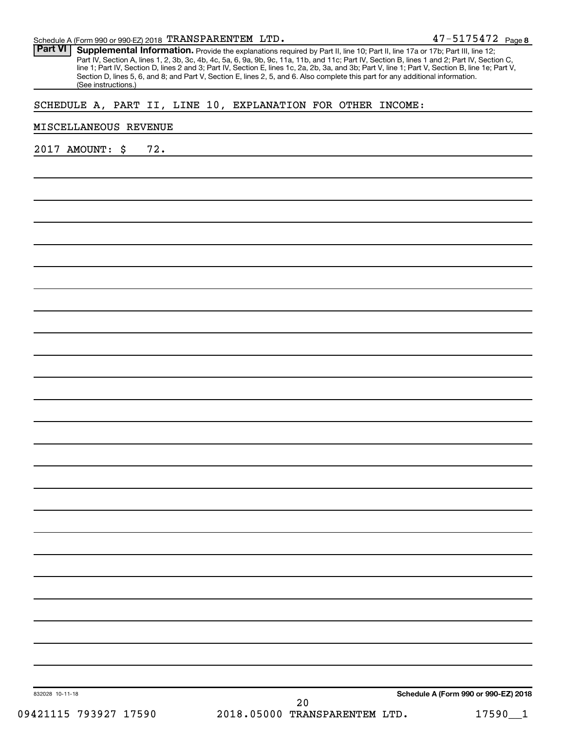| Schedule A (Form 990 or 990-EZ) 2018 TRANSPARENTEM LTD.                                                                                                                                                                                                                                                                                                                                                                                                                                                                                                                                                       | 47-5175472 Page 8 |
|---------------------------------------------------------------------------------------------------------------------------------------------------------------------------------------------------------------------------------------------------------------------------------------------------------------------------------------------------------------------------------------------------------------------------------------------------------------------------------------------------------------------------------------------------------------------------------------------------------------|-------------------|
| <b>Part VI</b><br>Supplemental Information. Provide the explanations required by Part II, line 10; Part II, line 17a or 17b; Part III, line 12;<br>Part IV, Section A, lines 1, 2, 3b, 3c, 4b, 4c, 5a, 6, 9a, 9b, 9c, 11a, 11b, and 11c; Part IV, Section B, lines 1 and 2; Part IV, Section C,<br>line 1; Part IV, Section D, lines 2 and 3; Part IV, Section E, lines 1c, 2a, 2b, 3a, and 3b; Part V, line 1; Part V, Section B, line 1e; Part V,<br>Section D, lines 5, 6, and 8; and Part V, Section E, lines 2, 5, and 6. Also complete this part for any additional information.<br>(See instructions.) |                   |
| SCHEDULE A, PART II, LINE 10, EXPLANATION FOR OTHER INCOME:                                                                                                                                                                                                                                                                                                                                                                                                                                                                                                                                                   |                   |
| MISCELLANEOUS REVENUE                                                                                                                                                                                                                                                                                                                                                                                                                                                                                                                                                                                         |                   |
| 72.<br>2017 AMOUNT:<br>\$                                                                                                                                                                                                                                                                                                                                                                                                                                                                                                                                                                                     |                   |
|                                                                                                                                                                                                                                                                                                                                                                                                                                                                                                                                                                                                               |                   |
|                                                                                                                                                                                                                                                                                                                                                                                                                                                                                                                                                                                                               |                   |
|                                                                                                                                                                                                                                                                                                                                                                                                                                                                                                                                                                                                               |                   |
|                                                                                                                                                                                                                                                                                                                                                                                                                                                                                                                                                                                                               |                   |
|                                                                                                                                                                                                                                                                                                                                                                                                                                                                                                                                                                                                               |                   |
|                                                                                                                                                                                                                                                                                                                                                                                                                                                                                                                                                                                                               |                   |
|                                                                                                                                                                                                                                                                                                                                                                                                                                                                                                                                                                                                               |                   |
|                                                                                                                                                                                                                                                                                                                                                                                                                                                                                                                                                                                                               |                   |
|                                                                                                                                                                                                                                                                                                                                                                                                                                                                                                                                                                                                               |                   |
|                                                                                                                                                                                                                                                                                                                                                                                                                                                                                                                                                                                                               |                   |
|                                                                                                                                                                                                                                                                                                                                                                                                                                                                                                                                                                                                               |                   |
|                                                                                                                                                                                                                                                                                                                                                                                                                                                                                                                                                                                                               |                   |
|                                                                                                                                                                                                                                                                                                                                                                                                                                                                                                                                                                                                               |                   |
|                                                                                                                                                                                                                                                                                                                                                                                                                                                                                                                                                                                                               |                   |
|                                                                                                                                                                                                                                                                                                                                                                                                                                                                                                                                                                                                               |                   |
|                                                                                                                                                                                                                                                                                                                                                                                                                                                                                                                                                                                                               |                   |
|                                                                                                                                                                                                                                                                                                                                                                                                                                                                                                                                                                                                               |                   |
|                                                                                                                                                                                                                                                                                                                                                                                                                                                                                                                                                                                                               |                   |
|                                                                                                                                                                                                                                                                                                                                                                                                                                                                                                                                                                                                               |                   |
|                                                                                                                                                                                                                                                                                                                                                                                                                                                                                                                                                                                                               |                   |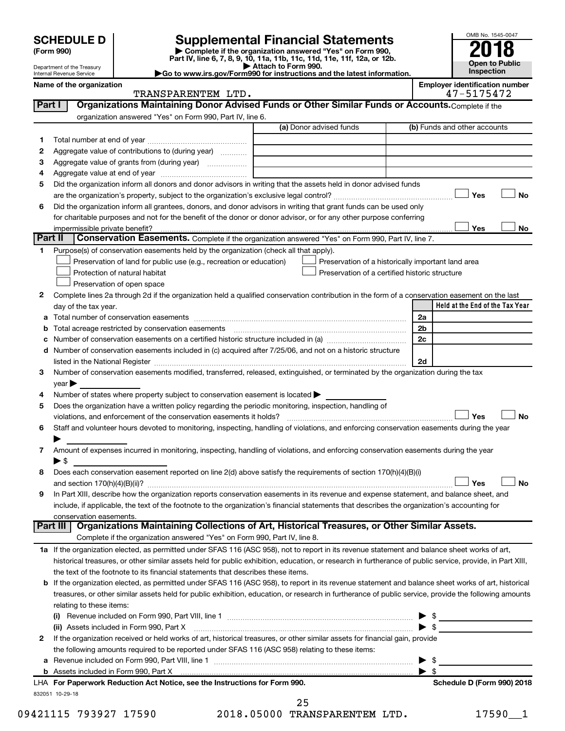| <b>SCHEDULE D</b> |  |
|-------------------|--|
|-------------------|--|

| (Form 990) |  |
|------------|--|
|------------|--|

# **SCHEDULE D Supplemental Financial Statements**<br> **Form 990 2018**<br> **Part IV** line 6.7.8.9.10, 11a, 11b, 11d, 11d, 11d, 11d, 11d, 12a, 0r, 12b

**(Form 990) | Complete if the organization answered "Yes" on Form 990, Part IV, line 6, 7, 8, 9, 10, 11a, 11b, 11c, 11d, 11e, 11f, 12a, or 12b.**

**| Attach to Form 990. |Go to www.irs.gov/Form990 for instructions and the latest information.**



Department of the Treasury Internal Revenue Service

| ployer identification number |
|------------------------------|
| ________                     |

|        | Name of the organization<br>TRANSPARENTEM LTD.                                                                                                             |                                                    | <b>Employer identification number</b><br>47-5175472 |
|--------|------------------------------------------------------------------------------------------------------------------------------------------------------------|----------------------------------------------------|-----------------------------------------------------|
| Part I | Organizations Maintaining Donor Advised Funds or Other Similar Funds or Accounts. Complete if the                                                          |                                                    |                                                     |
|        | organization answered "Yes" on Form 990, Part IV, line 6.                                                                                                  |                                                    |                                                     |
|        |                                                                                                                                                            | (a) Donor advised funds                            | (b) Funds and other accounts                        |
| 1.     |                                                                                                                                                            |                                                    |                                                     |
| 2      | Aggregate value of contributions to (during year)                                                                                                          |                                                    |                                                     |
| з      | Aggregate value of grants from (during year)                                                                                                               |                                                    |                                                     |
| 4      |                                                                                                                                                            |                                                    |                                                     |
|        | Did the organization inform all donors and donor advisors in writing that the assets held in donor advised funds                                           |                                                    |                                                     |
| 5      |                                                                                                                                                            |                                                    | Yes<br>No                                           |
|        | Did the organization inform all grantees, donors, and donor advisors in writing that grant funds can be used only                                          |                                                    |                                                     |
| 6      |                                                                                                                                                            |                                                    |                                                     |
|        | for charitable purposes and not for the benefit of the donor or donor advisor, or for any other purpose conferring                                         |                                                    | Yes<br>No                                           |
|        | impermissible private benefit?<br>Part II<br><b>Conservation Easements.</b> Complete if the organization answered "Yes" on Form 990, Part IV, line 7.      |                                                    |                                                     |
|        |                                                                                                                                                            |                                                    |                                                     |
| 1.     | Purpose(s) of conservation easements held by the organization (check all that apply).                                                                      |                                                    |                                                     |
|        | Preservation of land for public use (e.g., recreation or education)                                                                                        | Preservation of a historically important land area |                                                     |
|        | Protection of natural habitat                                                                                                                              | Preservation of a certified historic structure     |                                                     |
|        | Preservation of open space                                                                                                                                 |                                                    |                                                     |
| 2      | Complete lines 2a through 2d if the organization held a qualified conservation contribution in the form of a conservation easement on the last             |                                                    |                                                     |
|        | day of the tax year.                                                                                                                                       |                                                    | Held at the End of the Tax Year                     |
| а      |                                                                                                                                                            |                                                    | 2a                                                  |
| b      |                                                                                                                                                            |                                                    | 2b                                                  |
| с      |                                                                                                                                                            |                                                    | 2c                                                  |
| d      | Number of conservation easements included in (c) acquired after 7/25/06, and not on a historic structure                                                   |                                                    |                                                     |
|        |                                                                                                                                                            |                                                    | 2d                                                  |
| 3      | Number of conservation easements modified, transferred, released, extinguished, or terminated by the organization during the tax                           |                                                    |                                                     |
|        | $year \blacktriangleright$                                                                                                                                 |                                                    |                                                     |
| 4      | Number of states where property subject to conservation easement is located $\blacktriangleright$                                                          |                                                    |                                                     |
| 5      | Does the organization have a written policy regarding the periodic monitoring, inspection, handling of                                                     |                                                    |                                                     |
|        | violations, and enforcement of the conservation easements it holds?                                                                                        |                                                    | Yes<br><b>No</b>                                    |
| 6      | Staff and volunteer hours devoted to monitoring, inspecting, handling of violations, and enforcing conservation easements during the year                  |                                                    |                                                     |
|        |                                                                                                                                                            |                                                    |                                                     |
| 7      | Amount of expenses incurred in monitoring, inspecting, handling of violations, and enforcing conservation easements during the year                        |                                                    |                                                     |
|        | $\blacktriangleright$ \$                                                                                                                                   |                                                    |                                                     |
| 8      | Does each conservation easement reported on line 2(d) above satisfy the requirements of section 170(h)(4)(B)(i)                                            |                                                    |                                                     |
|        |                                                                                                                                                            |                                                    | Yes<br>No                                           |
| 9      | In Part XIII, describe how the organization reports conservation easements in its revenue and expense statement, and balance sheet, and                    |                                                    |                                                     |
|        | include, if applicable, the text of the footnote to the organization's financial statements that describes the organization's accounting for               |                                                    |                                                     |
|        | conservation easements.<br>Organizations Maintaining Collections of Art, Historical Treasures, or Other Similar Assets.<br>Part III                        |                                                    |                                                     |
|        | Complete if the organization answered "Yes" on Form 990, Part IV, line 8.                                                                                  |                                                    |                                                     |
|        | 1a If the organization elected, as permitted under SFAS 116 (ASC 958), not to report in its revenue statement and balance sheet works of art,              |                                                    |                                                     |
|        | historical treasures, or other similar assets held for public exhibition, education, or research in furtherance of public service, provide, in Part XIII,  |                                                    |                                                     |
|        | the text of the footnote to its financial statements that describes these items.                                                                           |                                                    |                                                     |
|        | <b>b</b> If the organization elected, as permitted under SFAS 116 (ASC 958), to report in its revenue statement and balance sheet works of art, historical |                                                    |                                                     |
|        | treasures, or other similar assets held for public exhibition, education, or research in furtherance of public service, provide the following amounts      |                                                    |                                                     |
|        |                                                                                                                                                            |                                                    |                                                     |
|        | relating to these items:                                                                                                                                   |                                                    |                                                     |
|        |                                                                                                                                                            |                                                    | $\triangleright$ \$<br>$\blacktriangleright$ \$     |
|        | (ii) Assets included in Form 990, Part X                                                                                                                   |                                                    |                                                     |
| 2      | If the organization received or held works of art, historical treasures, or other similar assets for financial gain, provide                               |                                                    |                                                     |
|        | the following amounts required to be reported under SFAS 116 (ASC 958) relating to these items:                                                            |                                                    |                                                     |
| а      |                                                                                                                                                            |                                                    | $\triangleright$ \$                                 |
|        |                                                                                                                                                            |                                                    |                                                     |

832051 10-29-18 **For Paperwork Reduction Act Notice, see the Instructions for Form 990. Schedule D (Form 990) 2018** LHA

25

09421115 793927 17590 2018.05000 TRANSPARENTEM LTD. 17590\_1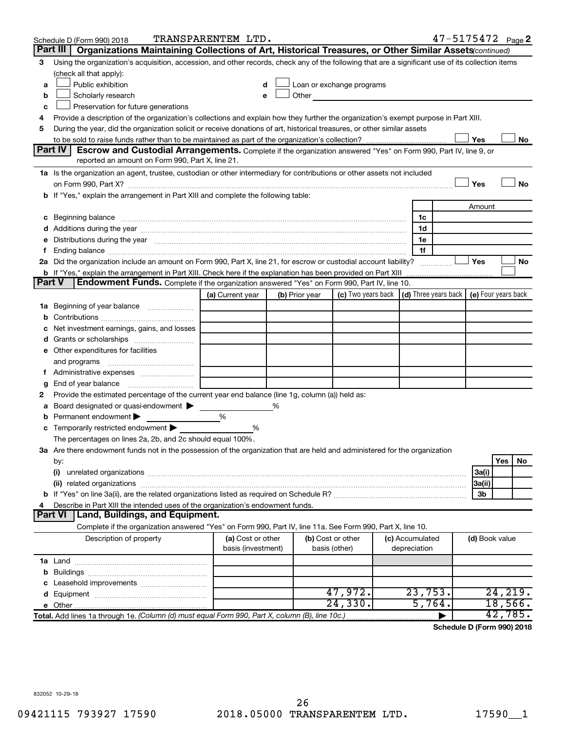|        | Schedule D (Form 990) 2018                                                                                                                                                                                                     | TRANSPARENTEM LTD.                      |   |                |                                    |                                 | 47-5175472 Page 2                          |                |          |     |
|--------|--------------------------------------------------------------------------------------------------------------------------------------------------------------------------------------------------------------------------------|-----------------------------------------|---|----------------|------------------------------------|---------------------------------|--------------------------------------------|----------------|----------|-----|
|        | Part III<br>Organizations Maintaining Collections of Art, Historical Treasures, or Other Similar Assets (continued)                                                                                                            |                                         |   |                |                                    |                                 |                                            |                |          |     |
| З      | Using the organization's acquisition, accession, and other records, check any of the following that are a significant use of its collection items                                                                              |                                         |   |                |                                    |                                 |                                            |                |          |     |
|        | (check all that apply):                                                                                                                                                                                                        |                                         |   |                |                                    |                                 |                                            |                |          |     |
| a      | Public exhibition                                                                                                                                                                                                              |                                         |   |                | Loan or exchange programs          |                                 |                                            |                |          |     |
| b      | Scholarly research                                                                                                                                                                                                             |                                         |   | Other          |                                    |                                 |                                            |                |          |     |
| c      | Preservation for future generations                                                                                                                                                                                            |                                         |   |                |                                    |                                 |                                            |                |          |     |
| 4      | Provide a description of the organization's collections and explain how they further the organization's exempt purpose in Part XIII.                                                                                           |                                         |   |                |                                    |                                 |                                            |                |          |     |
| 5      | During the year, did the organization solicit or receive donations of art, historical treasures, or other similar assets                                                                                                       |                                         |   |                |                                    |                                 |                                            |                |          |     |
|        |                                                                                                                                                                                                                                |                                         |   |                |                                    |                                 |                                            | Yes            |          | No  |
|        | <b>Part IV</b><br><b>Escrow and Custodial Arrangements.</b> Complete if the organization answered "Yes" on Form 990, Part IV, line 9, or                                                                                       |                                         |   |                |                                    |                                 |                                            |                |          |     |
|        | reported an amount on Form 990, Part X, line 21.                                                                                                                                                                               |                                         |   |                |                                    |                                 |                                            |                |          |     |
|        | 1a Is the organization an agent, trustee, custodian or other intermediary for contributions or other assets not included                                                                                                       |                                         |   |                |                                    |                                 |                                            |                |          |     |
|        | on Form 990, Part X? [11] matter continuum matter contract and contract and contract and contract and contract and contract and contract and contract and contract and contract and contract and contract and contract and con |                                         |   |                |                                    |                                 |                                            | Yes            |          | No  |
|        | b If "Yes," explain the arrangement in Part XIII and complete the following table:                                                                                                                                             |                                         |   |                |                                    |                                 |                                            |                |          |     |
|        |                                                                                                                                                                                                                                |                                         |   |                |                                    |                                 |                                            | Amount         |          |     |
| c      | Beginning balance measurements and the contract of the contract of the contract of the contract of the contract of the contract of the contract of the contract of the contract of the contract of the contract of the contrac |                                         |   |                |                                    | 1c                              |                                            |                |          |     |
|        |                                                                                                                                                                                                                                |                                         |   |                |                                    | 1d                              |                                            |                |          |     |
|        | Distributions during the year measurement contains and all the year measurement of the state of the state of the state of the state of the state of the state of the state of the state of the state of the state of the state |                                         |   |                |                                    | 1e                              |                                            |                |          |     |
|        |                                                                                                                                                                                                                                |                                         |   |                |                                    | 1f                              |                                            |                |          |     |
|        | 2a Did the organization include an amount on Form 990, Part X, line 21, for escrow or custodial account liability?                                                                                                             |                                         |   |                |                                    |                                 |                                            | Yes            |          | No  |
|        | <b>b</b> If "Yes," explain the arrangement in Part XIII. Check here if the explanation has been provided on Part XIII<br>Endowment Funds. Complete if the organization answered "Yes" on Form 990, Part IV, line 10.<br>Part V |                                         |   |                |                                    |                                 |                                            |                |          |     |
|        |                                                                                                                                                                                                                                |                                         |   |                |                                    |                                 |                                            |                |          |     |
|        |                                                                                                                                                                                                                                | (a) Current year                        |   | (b) Prior year | (c) Two years back                 |                                 | (d) Three years back   (e) Four years back |                |          |     |
| ٦а     | Beginning of year balance                                                                                                                                                                                                      |                                         |   |                |                                    |                                 |                                            |                |          |     |
| b      |                                                                                                                                                                                                                                |                                         |   |                |                                    |                                 |                                            |                |          |     |
|        | Net investment earnings, gains, and losses                                                                                                                                                                                     |                                         |   |                |                                    |                                 |                                            |                |          |     |
| d      |                                                                                                                                                                                                                                |                                         |   |                |                                    |                                 |                                            |                |          |     |
|        | e Other expenditures for facilities                                                                                                                                                                                            |                                         |   |                |                                    |                                 |                                            |                |          |     |
|        | and programs                                                                                                                                                                                                                   |                                         |   |                |                                    |                                 |                                            |                |          |     |
|        |                                                                                                                                                                                                                                |                                         |   |                |                                    |                                 |                                            |                |          |     |
| g<br>2 | Provide the estimated percentage of the current year end balance (line 1g, column (a)) held as:                                                                                                                                |                                         |   |                |                                    |                                 |                                            |                |          |     |
| а      | Board designated or quasi-endowment                                                                                                                                                                                            |                                         | % |                |                                    |                                 |                                            |                |          |     |
| b      | Permanent endowment                                                                                                                                                                                                            | %                                       |   |                |                                    |                                 |                                            |                |          |     |
| с      | Temporarily restricted endowment                                                                                                                                                                                               | %                                       |   |                |                                    |                                 |                                            |                |          |     |
|        | The percentages on lines 2a, 2b, and 2c should equal 100%.                                                                                                                                                                     |                                         |   |                |                                    |                                 |                                            |                |          |     |
|        | 3a Are there endowment funds not in the possession of the organization that are held and administered for the organization                                                                                                     |                                         |   |                |                                    |                                 |                                            |                |          |     |
|        | by:                                                                                                                                                                                                                            |                                         |   |                |                                    |                                 |                                            |                | Yes      | No. |
|        | (i)                                                                                                                                                                                                                            |                                         |   |                |                                    |                                 |                                            | 3a(i)          |          |     |
|        |                                                                                                                                                                                                                                |                                         |   |                |                                    |                                 |                                            | 3a(ii)         |          |     |
|        |                                                                                                                                                                                                                                |                                         |   |                |                                    |                                 |                                            | Зb             |          |     |
|        | Describe in Part XIII the intended uses of the organization's endowment funds.                                                                                                                                                 |                                         |   |                |                                    |                                 |                                            |                |          |     |
|        | Land, Buildings, and Equipment.<br><b>Part VI</b>                                                                                                                                                                              |                                         |   |                |                                    |                                 |                                            |                |          |     |
|        | Complete if the organization answered "Yes" on Form 990, Part IV, line 11a. See Form 990, Part X, line 10.                                                                                                                     |                                         |   |                |                                    |                                 |                                            |                |          |     |
|        | Description of property                                                                                                                                                                                                        | (a) Cost or other<br>basis (investment) |   |                | (b) Cost or other<br>basis (other) | (c) Accumulated<br>depreciation |                                            | (d) Book value |          |     |
|        |                                                                                                                                                                                                                                |                                         |   |                |                                    |                                 |                                            |                |          |     |
| b      |                                                                                                                                                                                                                                |                                         |   |                |                                    |                                 |                                            |                |          |     |
|        |                                                                                                                                                                                                                                |                                         |   |                |                                    |                                 |                                            |                |          |     |
|        |                                                                                                                                                                                                                                |                                         |   |                | 47,972.                            | 23,753.                         |                                            |                | 24, 219. |     |
|        |                                                                                                                                                                                                                                |                                         |   |                | 24,330.                            | 5,764.                          |                                            |                | 18,566.  |     |
|        | Total. Add lines 1a through 1e. (Column (d) must equal Form 990, Part X, column (B), line 10c.)                                                                                                                                |                                         |   |                |                                    |                                 |                                            |                | 42,785.  |     |

**Schedule D (Form 990) 2018**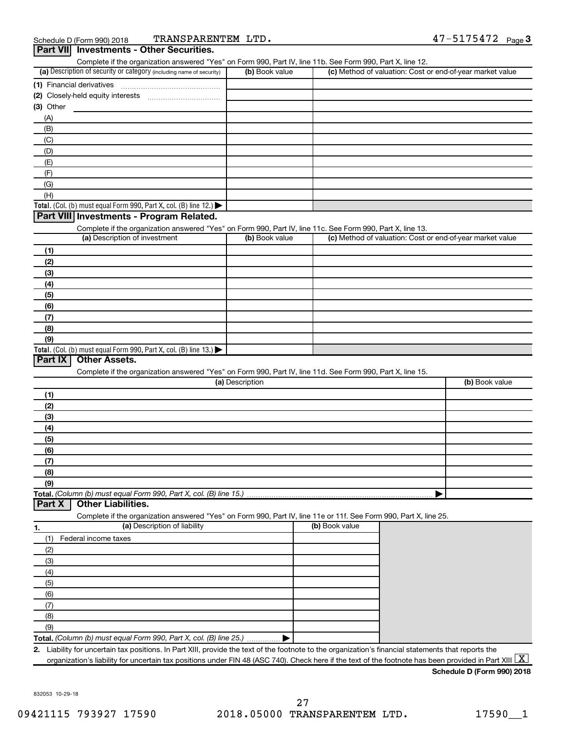|                                                                                                                                             |                 | Complete if the organization answered "Yes" on Form 990, Part IV, line 11b. See Form 990, Part X, line 12. |                                                           |
|---------------------------------------------------------------------------------------------------------------------------------------------|-----------------|------------------------------------------------------------------------------------------------------------|-----------------------------------------------------------|
| (a) Description of security or category (including name of security)                                                                        | (b) Book value  |                                                                                                            | (c) Method of valuation: Cost or end-of-year market value |
|                                                                                                                                             |                 |                                                                                                            |                                                           |
|                                                                                                                                             |                 |                                                                                                            |                                                           |
| $(3)$ Other                                                                                                                                 |                 |                                                                                                            |                                                           |
|                                                                                                                                             |                 |                                                                                                            |                                                           |
| (A)                                                                                                                                         |                 |                                                                                                            |                                                           |
| (B)                                                                                                                                         |                 |                                                                                                            |                                                           |
| (C)                                                                                                                                         |                 |                                                                                                            |                                                           |
| (D)                                                                                                                                         |                 |                                                                                                            |                                                           |
| (E)                                                                                                                                         |                 |                                                                                                            |                                                           |
| (F)                                                                                                                                         |                 |                                                                                                            |                                                           |
| (G)                                                                                                                                         |                 |                                                                                                            |                                                           |
| (H)                                                                                                                                         |                 |                                                                                                            |                                                           |
| Total. (Col. (b) must equal Form 990, Part X, col. (B) line 12.)                                                                            |                 |                                                                                                            |                                                           |
| Part VIII Investments - Program Related.                                                                                                    |                 |                                                                                                            |                                                           |
|                                                                                                                                             |                 |                                                                                                            |                                                           |
| Complete if the organization answered "Yes" on Form 990, Part IV, line 11c. See Form 990, Part X, line 13.<br>(a) Description of investment |                 |                                                                                                            |                                                           |
|                                                                                                                                             | (b) Book value  |                                                                                                            | (c) Method of valuation: Cost or end-of-year market value |
| (1)                                                                                                                                         |                 |                                                                                                            |                                                           |
| (2)                                                                                                                                         |                 |                                                                                                            |                                                           |
| (3)                                                                                                                                         |                 |                                                                                                            |                                                           |
| (4)                                                                                                                                         |                 |                                                                                                            |                                                           |
| (5)                                                                                                                                         |                 |                                                                                                            |                                                           |
| (6)                                                                                                                                         |                 |                                                                                                            |                                                           |
|                                                                                                                                             |                 |                                                                                                            |                                                           |
| (7)                                                                                                                                         |                 |                                                                                                            |                                                           |
| (8)                                                                                                                                         |                 |                                                                                                            |                                                           |
| (9)                                                                                                                                         |                 |                                                                                                            |                                                           |
| Total. (Col. (b) must equal Form 990, Part X, col. (B) line 13.)                                                                            |                 |                                                                                                            |                                                           |
| Part IX<br><b>Other Assets.</b>                                                                                                             |                 |                                                                                                            |                                                           |
|                                                                                                                                             |                 |                                                                                                            |                                                           |
| Complete if the organization answered "Yes" on Form 990, Part IV, line 11d. See Form 990, Part X, line 15.                                  |                 |                                                                                                            |                                                           |
|                                                                                                                                             | (a) Description |                                                                                                            | (b) Book value                                            |
| (1)                                                                                                                                         |                 |                                                                                                            |                                                           |
| (2)                                                                                                                                         |                 |                                                                                                            |                                                           |
|                                                                                                                                             |                 |                                                                                                            |                                                           |
| (3)                                                                                                                                         |                 |                                                                                                            |                                                           |
| (4)                                                                                                                                         |                 |                                                                                                            |                                                           |
| (5)                                                                                                                                         |                 |                                                                                                            |                                                           |
| (6)                                                                                                                                         |                 |                                                                                                            |                                                           |
| (7)                                                                                                                                         |                 |                                                                                                            |                                                           |
| (8)                                                                                                                                         |                 |                                                                                                            |                                                           |
| (9)                                                                                                                                         |                 |                                                                                                            |                                                           |
| Total. (Column (b) must equal Form 990, Part X, col. (B) line 15.)                                                                          |                 |                                                                                                            |                                                           |
| <b>Other Liabilities.</b><br>Part X                                                                                                         |                 |                                                                                                            |                                                           |
| Complete if the organization answered "Yes" on Form 990, Part IV, line 11e or 11f. See Form 990, Part X, line 25.                           |                 |                                                                                                            |                                                           |
| (a) Description of liability                                                                                                                |                 | (b) Book value                                                                                             |                                                           |
| 1.                                                                                                                                          |                 |                                                                                                            |                                                           |
| Federal income taxes<br>(1)                                                                                                                 |                 |                                                                                                            |                                                           |
| (2)                                                                                                                                         |                 |                                                                                                            |                                                           |
| (3)                                                                                                                                         |                 |                                                                                                            |                                                           |
| (4)                                                                                                                                         |                 |                                                                                                            |                                                           |
| (5)                                                                                                                                         |                 |                                                                                                            |                                                           |
| (6)                                                                                                                                         |                 |                                                                                                            |                                                           |
| (7)                                                                                                                                         |                 |                                                                                                            |                                                           |
| (8)                                                                                                                                         |                 |                                                                                                            |                                                           |
|                                                                                                                                             |                 |                                                                                                            |                                                           |
| (9)<br>Total. (Column (b) must equal Form 990, Part X, col. (B) line 25.)                                                                   |                 |                                                                                                            |                                                           |

**Schedule D (Form 990) 2018**

832053 10-29-18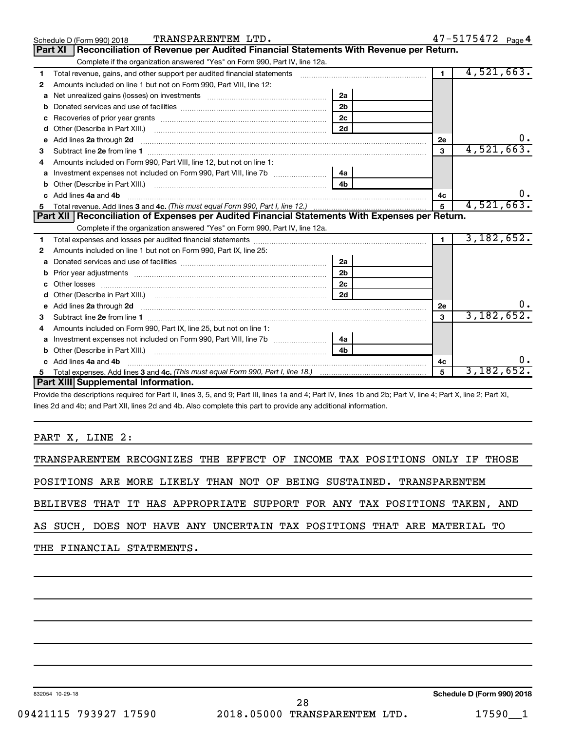|              | TRANSPARENTEM LTD.<br>Schedule D (Form 990) 2018                                                                                                                                                                                                   |                |                | 47-5175472 Page 4 |
|--------------|----------------------------------------------------------------------------------------------------------------------------------------------------------------------------------------------------------------------------------------------------|----------------|----------------|-------------------|
|              | Reconciliation of Revenue per Audited Financial Statements With Revenue per Return.<br>Part XI                                                                                                                                                     |                |                |                   |
|              | Complete if the organization answered "Yes" on Form 990, Part IV, line 12a.                                                                                                                                                                        |                |                |                   |
| 1            | Total revenue, gains, and other support per audited financial statements [11] [11] Total revenue, gains, and other support per audited financial statements                                                                                        |                | $\overline{1}$ | 4,521,663.        |
| 2            | Amounts included on line 1 but not on Form 990, Part VIII, line 12:                                                                                                                                                                                |                |                |                   |
| a            | Net unrealized gains (losses) on investments [11] [11] Net unrealized gains (losses) on investments [11] [12]                                                                                                                                      | 2a             |                |                   |
| b            |                                                                                                                                                                                                                                                    | 2 <sub>b</sub> |                |                   |
| c            |                                                                                                                                                                                                                                                    | 2c             |                |                   |
| d            |                                                                                                                                                                                                                                                    | 2d             |                |                   |
|              |                                                                                                                                                                                                                                                    |                | 2е             |                   |
| 3            |                                                                                                                                                                                                                                                    |                | 3              | 4,521,663.        |
| 4            | Amounts included on Form 990. Part VIII, line 12, but not on line 1:                                                                                                                                                                               |                |                |                   |
| a            | Investment expenses not included on Form 990, Part VIII, line 7b                                                                                                                                                                                   | 4a             |                |                   |
|              |                                                                                                                                                                                                                                                    | 4 <sub>h</sub> |                |                   |
| $\mathbf{c}$ | Add lines 4a and 4b                                                                                                                                                                                                                                |                | 4с             |                   |
|              |                                                                                                                                                                                                                                                    |                | $5^{\circ}$    | 4,521,663.        |
|              | Part XII   Reconciliation of Expenses per Audited Financial Statements With Expenses per Return.                                                                                                                                                   |                |                |                   |
|              | Complete if the organization answered "Yes" on Form 990, Part IV, line 12a.                                                                                                                                                                        |                |                |                   |
| 1.           |                                                                                                                                                                                                                                                    |                | $\mathbf 1$    | 3,182,652.        |
| 2            | Amounts included on line 1 but not on Form 990, Part IX, line 25:                                                                                                                                                                                  |                |                |                   |
| a            |                                                                                                                                                                                                                                                    |                |                |                   |
| b            |                                                                                                                                                                                                                                                    | 2a             |                |                   |
|              |                                                                                                                                                                                                                                                    | 2 <sub>b</sub> |                |                   |
|              |                                                                                                                                                                                                                                                    | 2 <sub>c</sub> |                |                   |
| d            |                                                                                                                                                                                                                                                    | 2d             |                |                   |
|              | e Add lines 2a through 2d <b>[10]</b> [10] <b>All the Contract of Add lines 2a</b> through 2d <b>[10] All the Contract of Add lines 2a</b> through 2d <b>[10] All the Contract of Add lines 2a</b> through 2d <b>[10] All the Contract of Addi</b> |                | 2е             |                   |
| з            |                                                                                                                                                                                                                                                    |                | 3              | 3,182,652.        |
| 4            | Amounts included on Form 990, Part IX, line 25, but not on line 1:                                                                                                                                                                                 |                |                |                   |
| a            |                                                                                                                                                                                                                                                    |                |                |                   |
|              |                                                                                                                                                                                                                                                    | 4 <sub>b</sub> |                |                   |
|              | c Add lines 4a and 4b                                                                                                                                                                                                                              |                | 4с             |                   |
|              | Part XIII Supplemental Information.                                                                                                                                                                                                                |                | 5              | 3,182,652.        |

Provide the descriptions required for Part II, lines 3, 5, and 9; Part III, lines 1a and 4; Part IV, lines 1b and 2b; Part V, line 4; Part X, line 2; Part XI, lines 2d and 4b; and Part XII, lines 2d and 4b. Also complete this part to provide any additional information.

#### PART X, LINE 2:

TRANSPARENTEM RECOGNIZES THE EFFECT OF INCOME TAX POSITIONS ONLY IF THOSE

POSITIONS ARE MORE LIKELY THAN NOT OF BEING SUSTAINED. TRANSPARENTEM

BELIEVES THAT IT HAS APPROPRIATE SUPPORT FOR ANY TAX POSITIONS TAKEN, AND

AS SUCH, DOES NOT HAVE ANY UNCERTAIN TAX POSITIONS THAT ARE MATERIAL TO

THE FINANCIAL STATEMENTS.

832054 10-29-18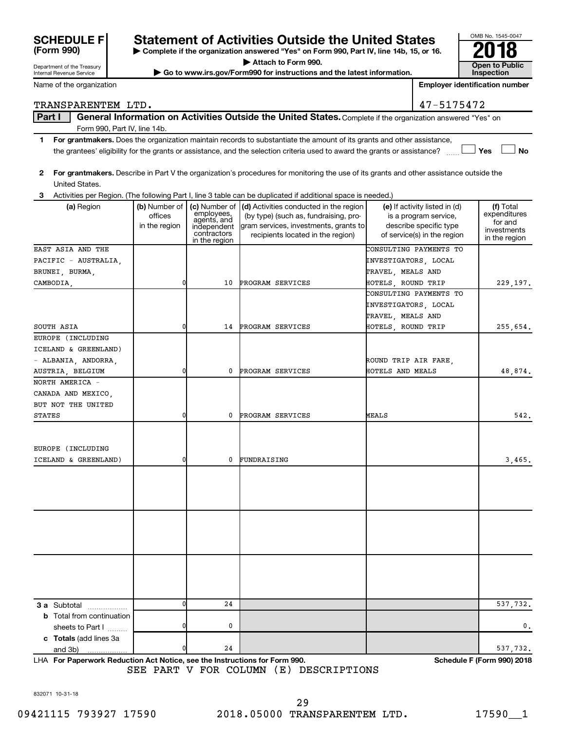| <b>SCHEDULE F</b> |  |
|-------------------|--|
| (Form 990)        |  |

Department of the Treasury Internal Revenue Service

## **Statement of Activities Outside the United States**

**| Complete if the organization answered "Yes" on Form 990, Part IV, line 14b, 15, or 16. | Attach to Form 990.**

▶ Go to www.irs.gov/Form990 for instructions and the latest information.

| OMB No. 1545-0047     |
|-----------------------|
|                       |
|                       |
| <b>Open to Public</b> |
| <b>Inspection</b>     |

Name of the organization

**Employer identification number**

Part I | General Information on Activities Outside the United States. Complete if the organization answered "Yes" on TRANSPARENTEM LTD. 47-5175472

Form 990, Part IV, line 14b.

- **1 For grantmakers.**  Does the organization maintain records to substantiate the amount of its grants and other assistance,  $\Box$  Yes  $\Box$  No the grantees' eligibility for the grants or assistance, and the selection criteria used to award the grants or assistance? ......
- **2 For grantmakers.**  Describe in Part V the organization's procedures for monitoring the use of its grants and other assistance outside the United States.

**3** Activities per Region. (The following Part I, line 3 table can be duplicated if additional space is needed.)

| (a) Region                                           | (b) Number of<br>offices<br>in the region | employees,<br>agents, and<br>independent<br>contractors<br>in the region | (c) Number of (d) Activities conducted in the region<br>(by type) (such as, fundraising, pro-<br>gram services, investments, grants to<br>recipients located in the region) | (e) If activity listed in (d)<br>is a program service,<br>describe specific type<br>of service(s) in the region | (f) Total<br>expenditures<br>for and<br>investments<br>in the region |
|------------------------------------------------------|-------------------------------------------|--------------------------------------------------------------------------|-----------------------------------------------------------------------------------------------------------------------------------------------------------------------------|-----------------------------------------------------------------------------------------------------------------|----------------------------------------------------------------------|
| EAST ASIA AND THE                                    |                                           |                                                                          |                                                                                                                                                                             | CONSULTING PAYMENTS TO                                                                                          |                                                                      |
| PACIFIC - AUSTRALIA,                                 |                                           |                                                                          |                                                                                                                                                                             | INVESTIGATORS, LOCAL                                                                                            |                                                                      |
| BRUNEI, BURMA,                                       |                                           |                                                                          |                                                                                                                                                                             | TRAVEL, MEALS AND                                                                                               |                                                                      |
| CAMBODIA,                                            | $\overline{0}$                            | 10                                                                       | PROGRAM SERVICES                                                                                                                                                            | HOTELS, ROUND TRIP                                                                                              | 229,197.                                                             |
|                                                      |                                           |                                                                          |                                                                                                                                                                             | CONSULTING PAYMENTS TO                                                                                          |                                                                      |
|                                                      |                                           |                                                                          |                                                                                                                                                                             | INVESTIGATORS, LOCAL                                                                                            |                                                                      |
|                                                      |                                           |                                                                          |                                                                                                                                                                             | TRAVEL, MEALS AND                                                                                               |                                                                      |
| SOUTH ASIA                                           | $\overline{0}$                            | 14                                                                       | PROGRAM SERVICES                                                                                                                                                            | HOTELS, ROUND TRIP                                                                                              | 255,654.                                                             |
| EUROPE (INCLUDING                                    |                                           |                                                                          |                                                                                                                                                                             |                                                                                                                 |                                                                      |
| ICELAND & GREENLAND)                                 |                                           |                                                                          |                                                                                                                                                                             |                                                                                                                 |                                                                      |
| - ALBANIA, ANDORRA,                                  |                                           |                                                                          |                                                                                                                                                                             | ROUND TRIP AIR FARE,                                                                                            |                                                                      |
| AUSTRIA, BELGIUM                                     | $\overline{0}$                            | 0                                                                        | PROGRAM SERVICES                                                                                                                                                            | HOTELS AND MEALS                                                                                                | 48,874.                                                              |
| NORTH AMERICA -                                      |                                           |                                                                          |                                                                                                                                                                             |                                                                                                                 |                                                                      |
| CANADA AND MEXICO,                                   |                                           |                                                                          |                                                                                                                                                                             |                                                                                                                 |                                                                      |
| BUT NOT THE UNITED                                   |                                           |                                                                          |                                                                                                                                                                             |                                                                                                                 |                                                                      |
| <b>STATES</b>                                        | $\overline{0}$                            | 0                                                                        | PROGRAM SERVICES                                                                                                                                                            | MEALS                                                                                                           | 542.                                                                 |
| EUROPE (INCLUDING                                    |                                           |                                                                          |                                                                                                                                                                             |                                                                                                                 |                                                                      |
| ICELAND & GREENLAND)                                 | 0                                         | 0                                                                        | FUNDRAISING                                                                                                                                                                 |                                                                                                                 | 3,465.                                                               |
|                                                      |                                           |                                                                          |                                                                                                                                                                             |                                                                                                                 |                                                                      |
|                                                      |                                           |                                                                          |                                                                                                                                                                             |                                                                                                                 |                                                                      |
| 3 a Subtotal                                         | $\Omega$                                  | 24                                                                       |                                                                                                                                                                             |                                                                                                                 | 537,732.                                                             |
| <b>b</b> Total from continuation<br>sheets to Part I | 0                                         | 0                                                                        |                                                                                                                                                                             |                                                                                                                 | 0.                                                                   |
| c Totals (add lines 3a<br>and 3b)<br>.               | 0                                         | 24                                                                       |                                                                                                                                                                             |                                                                                                                 | 537,732.                                                             |

**For Paperwork Reduction Act Notice, see the Instructions for Form 990. Schedule F (Form 990) 2018** LHA SEE PART V FOR COLUMN (E) DESCRIPTIONS

832071 10-31-18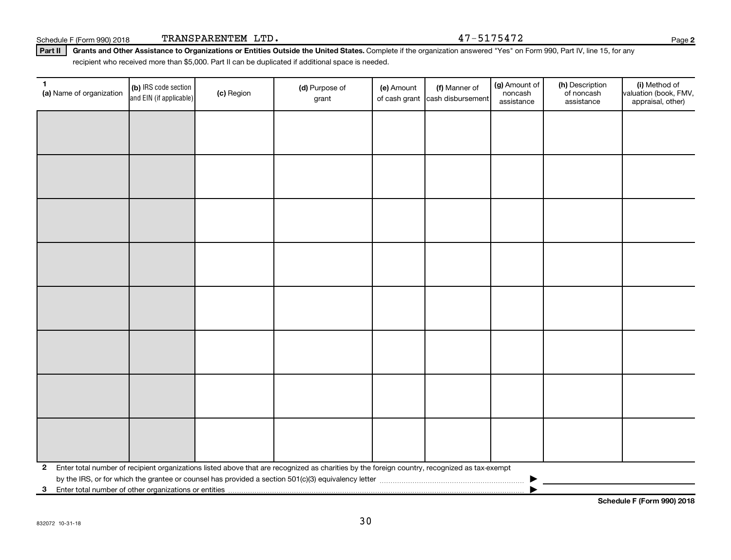Schedule F (Form 990) 2018 TRANSPARENTEM LTD.  $47-5175472$ 

Part II | Grants and Other Assistance to Organizations or Entities Outside the United States. Complete if the organization answered "Yes" on Form 990, Part IV, line 15, for any recipient who received more than \$5,000. Part II can be duplicated if additional space is needed.

| $\mathbf{1}$<br>(a) Name of organization                              | (b) IRS code section<br>and EIN (if applicable) | (c) Region | (d) Purpose of<br>grant                                                                                                                      | (e) Amount<br>of cash grant | (f) Manner of<br>cash disbursement | (g) Amount of<br>noncash<br>assistance | (h) Description<br>of noncash<br>assistance | (i) Method of<br>valuation (book, FMV,<br>appraisal, other) |
|-----------------------------------------------------------------------|-------------------------------------------------|------------|----------------------------------------------------------------------------------------------------------------------------------------------|-----------------------------|------------------------------------|----------------------------------------|---------------------------------------------|-------------------------------------------------------------|
|                                                                       |                                                 |            |                                                                                                                                              |                             |                                    |                                        |                                             |                                                             |
|                                                                       |                                                 |            |                                                                                                                                              |                             |                                    |                                        |                                             |                                                             |
|                                                                       |                                                 |            |                                                                                                                                              |                             |                                    |                                        |                                             |                                                             |
|                                                                       |                                                 |            |                                                                                                                                              |                             |                                    |                                        |                                             |                                                             |
|                                                                       |                                                 |            |                                                                                                                                              |                             |                                    |                                        |                                             |                                                             |
|                                                                       |                                                 |            |                                                                                                                                              |                             |                                    |                                        |                                             |                                                             |
|                                                                       |                                                 |            |                                                                                                                                              |                             |                                    |                                        |                                             |                                                             |
|                                                                       |                                                 |            |                                                                                                                                              |                             |                                    |                                        |                                             |                                                             |
|                                                                       |                                                 |            |                                                                                                                                              |                             |                                    |                                        |                                             |                                                             |
|                                                                       |                                                 |            |                                                                                                                                              |                             |                                    |                                        |                                             |                                                             |
|                                                                       |                                                 |            |                                                                                                                                              |                             |                                    |                                        |                                             |                                                             |
|                                                                       |                                                 |            |                                                                                                                                              |                             |                                    |                                        |                                             |                                                             |
|                                                                       |                                                 |            |                                                                                                                                              |                             |                                    |                                        |                                             |                                                             |
|                                                                       |                                                 |            |                                                                                                                                              |                             |                                    |                                        |                                             |                                                             |
|                                                                       |                                                 |            |                                                                                                                                              |                             |                                    |                                        |                                             |                                                             |
|                                                                       |                                                 |            |                                                                                                                                              |                             |                                    |                                        |                                             |                                                             |
| $\mathbf{2}$                                                          |                                                 |            | Enter total number of recipient organizations listed above that are recognized as charities by the foreign country, recognized as tax-exempt |                             |                                    |                                        |                                             |                                                             |
|                                                                       |                                                 |            |                                                                                                                                              |                             |                                    |                                        |                                             |                                                             |
| Enter total number of other organizations or entities<br>$\mathbf{3}$ |                                                 |            |                                                                                                                                              |                             |                                    |                                        |                                             |                                                             |
|                                                                       |                                                 |            |                                                                                                                                              |                             |                                    |                                        |                                             |                                                             |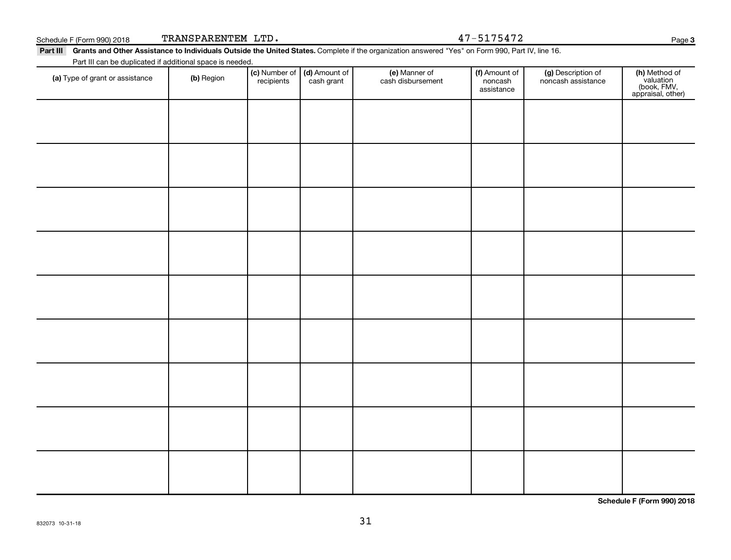| (a) Type of grant or assistance | (b) Region | . .<br>recipients | cash grant | cash disbursement | noncash<br>assistance | noncash assistance |
|---------------------------------|------------|-------------------|------------|-------------------|-----------------------|--------------------|
|                                 |            |                   |            |                   |                       |                    |
|                                 |            |                   |            |                   |                       |                    |
|                                 |            |                   |            |                   |                       |                    |
|                                 |            |                   |            |                   |                       |                    |
|                                 |            |                   |            |                   |                       |                    |
|                                 |            |                   |            |                   |                       |                    |

#### Part III Grants and Other Assistance to Individuals Outside the United States. Complete if the organization answered "Yes" on Form 990, Part IV, line 16. Part III can be duplicated if additional space is needed. (e) Manner of (f) Amount of (g) Description of

(a) Type of grant or assistance (b) Region

31

(a) Type of grant or assistance (b) Region (b) Region (c) Number of (d) Amount of (e) Manner of (f) Amount of (f)<br>Annough the cash dishursement concash induces of perception of the temperature of the cash dishursement of t

Amount of

**Schedule F (Form 990) 2018**

Page 3

**(h)** Method of<br>valuation<br>(book, FMV,<br>appraisal, other)

Schedule F (Form 990) 2018 TRANSPARENTEM LTD.  $47-5175472$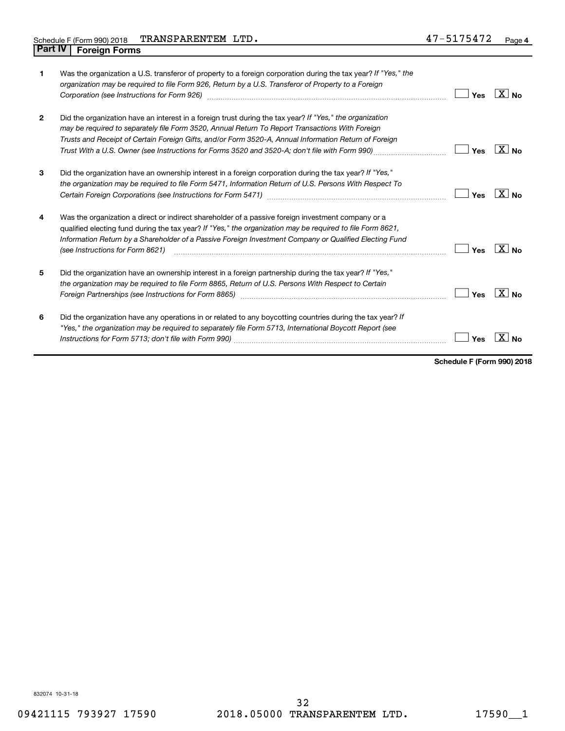| 1              | Was the organization a U.S. transferor of property to a foreign corporation during the tax year? If "Yes," the<br>organization may be required to file Form 926, Return by a U.S. Transferor of Property to a Foreign<br>Corporation (see Instructions for Form 926)                                                                                                                                                   | Yes | $ X $ No            |
|----------------|------------------------------------------------------------------------------------------------------------------------------------------------------------------------------------------------------------------------------------------------------------------------------------------------------------------------------------------------------------------------------------------------------------------------|-----|---------------------|
| $\overline{2}$ | Did the organization have an interest in a foreign trust during the tax year? If "Yes," the organization<br>may be required to separately file Form 3520, Annual Return To Report Transactions With Foreign<br>Trusts and Receipt of Certain Foreign Gifts, and/or Form 3520-A, Annual Information Return of Foreign<br>Trust With a U.S. Owner (see Instructions for Forms 3520 and 3520-A; don't file with Form 990) | Yes | $ X _{\text{No}}$   |
| 3              | Did the organization have an ownership interest in a foreign corporation during the tax year? If "Yes,"<br>the organization may be required to file Form 5471, Information Return of U.S. Persons With Respect To                                                                                                                                                                                                      | Yes | ∣X∣ <sub>No</sub>   |
| 4              | Was the organization a direct or indirect shareholder of a passive foreign investment company or a<br>qualified electing fund during the tax year? If "Yes," the organization may be required to file Form 8621,<br>Information Return by a Shareholder of a Passive Foreign Investment Company or Qualified Electing Fund<br>(see Instructions for Form 8621)                                                         | Yes | $\sqrt{X}$ No       |
| 5              | Did the organization have an ownership interest in a foreign partnership during the tax year? If "Yes,"<br>the organization may be required to file Form 8865, Return of U.S. Persons With Respect to Certain                                                                                                                                                                                                          | Yes | $ X _{\mathsf{No}}$ |
| 6              | Did the organization have any operations in or related to any boycotting countries during the tax year? If<br>"Yes," the organization may be required to separately file Form 5713, International Boycott Report (see                                                                                                                                                                                                  | Yes |                     |

**Schedule F (Form 990) 2018**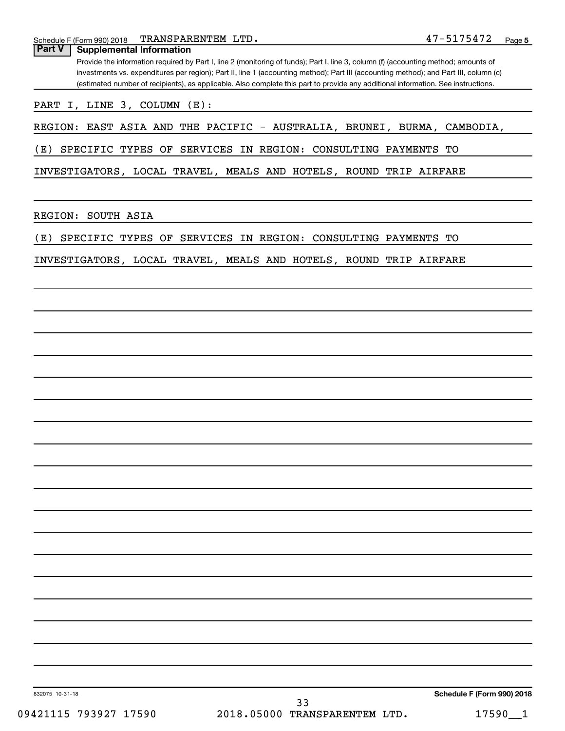Schedule F (Form 990) 2018 Page TRANSPARENTEM LTD. 47-5175472

| (estimated number of recipients), as applicable. Also complete this part to provide any additional information. See instructions.<br>PART I, LINE 3, COLUMN (E):<br>REGION: EAST ASIA AND THE PACIFIC - AUSTRALIA, BRUNEI, BURMA, CAMBODIA,<br>SPECIFIC TYPES OF SERVICES IN REGION: CONSULTING PAYMENTS TO<br>INVESTIGATORS, LOCAL TRAVEL, MEALS AND HOTELS, ROUND TRIP AIRFARE<br>SPECIFIC TYPES OF SERVICES IN REGION: CONSULTING PAYMENTS TO<br>INVESTIGATORS, LOCAL TRAVEL, MEALS AND HOTELS, ROUND TRIP AIRFARE<br>Schedule F (Form 990) 2018<br>832075 10-31-18<br>33 | <b>Part V</b><br><b>Supplemental Information</b> | Provide the information required by Part I, line 2 (monitoring of funds); Part I, line 3, column (f) (accounting method; amounts of<br>investments vs. expenditures per region); Part II, line 1 (accounting method); Part III (accounting method); and Part III, column (c) |
|------------------------------------------------------------------------------------------------------------------------------------------------------------------------------------------------------------------------------------------------------------------------------------------------------------------------------------------------------------------------------------------------------------------------------------------------------------------------------------------------------------------------------------------------------------------------------|--------------------------------------------------|------------------------------------------------------------------------------------------------------------------------------------------------------------------------------------------------------------------------------------------------------------------------------|
|                                                                                                                                                                                                                                                                                                                                                                                                                                                                                                                                                                              |                                                  |                                                                                                                                                                                                                                                                              |
|                                                                                                                                                                                                                                                                                                                                                                                                                                                                                                                                                                              |                                                  |                                                                                                                                                                                                                                                                              |
|                                                                                                                                                                                                                                                                                                                                                                                                                                                                                                                                                                              |                                                  |                                                                                                                                                                                                                                                                              |
|                                                                                                                                                                                                                                                                                                                                                                                                                                                                                                                                                                              | (E)                                              |                                                                                                                                                                                                                                                                              |
|                                                                                                                                                                                                                                                                                                                                                                                                                                                                                                                                                                              |                                                  |                                                                                                                                                                                                                                                                              |
|                                                                                                                                                                                                                                                                                                                                                                                                                                                                                                                                                                              | REGION: SOUTH ASIA                               |                                                                                                                                                                                                                                                                              |
|                                                                                                                                                                                                                                                                                                                                                                                                                                                                                                                                                                              | (E)                                              |                                                                                                                                                                                                                                                                              |
|                                                                                                                                                                                                                                                                                                                                                                                                                                                                                                                                                                              |                                                  |                                                                                                                                                                                                                                                                              |
|                                                                                                                                                                                                                                                                                                                                                                                                                                                                                                                                                                              |                                                  |                                                                                                                                                                                                                                                                              |
|                                                                                                                                                                                                                                                                                                                                                                                                                                                                                                                                                                              |                                                  |                                                                                                                                                                                                                                                                              |
|                                                                                                                                                                                                                                                                                                                                                                                                                                                                                                                                                                              |                                                  |                                                                                                                                                                                                                                                                              |
|                                                                                                                                                                                                                                                                                                                                                                                                                                                                                                                                                                              |                                                  |                                                                                                                                                                                                                                                                              |
|                                                                                                                                                                                                                                                                                                                                                                                                                                                                                                                                                                              |                                                  |                                                                                                                                                                                                                                                                              |
|                                                                                                                                                                                                                                                                                                                                                                                                                                                                                                                                                                              |                                                  |                                                                                                                                                                                                                                                                              |
|                                                                                                                                                                                                                                                                                                                                                                                                                                                                                                                                                                              |                                                  |                                                                                                                                                                                                                                                                              |
|                                                                                                                                                                                                                                                                                                                                                                                                                                                                                                                                                                              |                                                  |                                                                                                                                                                                                                                                                              |
|                                                                                                                                                                                                                                                                                                                                                                                                                                                                                                                                                                              |                                                  |                                                                                                                                                                                                                                                                              |
|                                                                                                                                                                                                                                                                                                                                                                                                                                                                                                                                                                              |                                                  |                                                                                                                                                                                                                                                                              |
|                                                                                                                                                                                                                                                                                                                                                                                                                                                                                                                                                                              |                                                  |                                                                                                                                                                                                                                                                              |
|                                                                                                                                                                                                                                                                                                                                                                                                                                                                                                                                                                              |                                                  |                                                                                                                                                                                                                                                                              |
|                                                                                                                                                                                                                                                                                                                                                                                                                                                                                                                                                                              |                                                  |                                                                                                                                                                                                                                                                              |
|                                                                                                                                                                                                                                                                                                                                                                                                                                                                                                                                                                              |                                                  |                                                                                                                                                                                                                                                                              |
|                                                                                                                                                                                                                                                                                                                                                                                                                                                                                                                                                                              |                                                  |                                                                                                                                                                                                                                                                              |
|                                                                                                                                                                                                                                                                                                                                                                                                                                                                                                                                                                              |                                                  |                                                                                                                                                                                                                                                                              |
|                                                                                                                                                                                                                                                                                                                                                                                                                                                                                                                                                                              |                                                  |                                                                                                                                                                                                                                                                              |
|                                                                                                                                                                                                                                                                                                                                                                                                                                                                                                                                                                              |                                                  |                                                                                                                                                                                                                                                                              |
|                                                                                                                                                                                                                                                                                                                                                                                                                                                                                                                                                                              |                                                  |                                                                                                                                                                                                                                                                              |
|                                                                                                                                                                                                                                                                                                                                                                                                                                                                                                                                                                              |                                                  |                                                                                                                                                                                                                                                                              |
|                                                                                                                                                                                                                                                                                                                                                                                                                                                                                                                                                                              | 09421115 793927 17590                            | 2018.05000 TRANSPARENTEM LTD.<br>17590<br>-1                                                                                                                                                                                                                                 |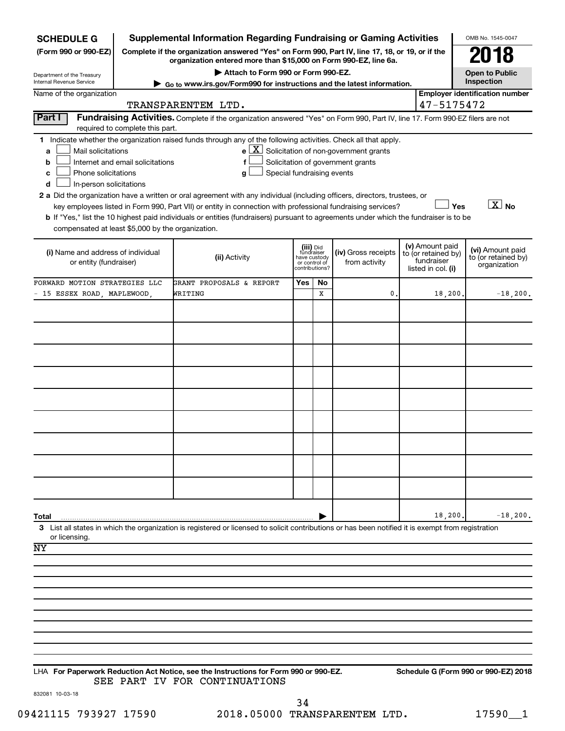| <b>SCHEDULE G</b>                                                                                                                             |                                                                                                                                                                     | <b>Supplemental Information Regarding Fundraising or Gaming Activities</b>                                                                                                                                                                                                                                                                                                                                                                                                                                        |                                                                            |         |                                                                                            |  |                                                                            | OMB No. 1545-0047                                       |
|-----------------------------------------------------------------------------------------------------------------------------------------------|---------------------------------------------------------------------------------------------------------------------------------------------------------------------|-------------------------------------------------------------------------------------------------------------------------------------------------------------------------------------------------------------------------------------------------------------------------------------------------------------------------------------------------------------------------------------------------------------------------------------------------------------------------------------------------------------------|----------------------------------------------------------------------------|---------|--------------------------------------------------------------------------------------------|--|----------------------------------------------------------------------------|---------------------------------------------------------|
| (Form 990 or 990-EZ)                                                                                                                          | Complete if the organization answered "Yes" on Form 990, Part IV, line 17, 18, or 19, or if the<br>organization entered more than \$15,000 on Form 990-EZ, line 6a. |                                                                                                                                                                                                                                                                                                                                                                                                                                                                                                                   |                                                                            |         |                                                                                            |  |                                                                            |                                                         |
| Department of the Treasury<br>Internal Revenue Service                                                                                        | Attach to Form 990 or Form 990-EZ.<br>Go to www.irs.gov/Form990 for instructions and the latest information.                                                        |                                                                                                                                                                                                                                                                                                                                                                                                                                                                                                                   |                                                                            |         |                                                                                            |  |                                                                            |                                                         |
| Name of the organization                                                                                                                      |                                                                                                                                                                     | TRANSPARENTEM LTD.                                                                                                                                                                                                                                                                                                                                                                                                                                                                                                |                                                                            |         |                                                                                            |  | 47-5175472                                                                 | <b>Employer identification number</b>                   |
| <b>Part I</b>                                                                                                                                 | required to complete this part.                                                                                                                                     | Fundraising Activities. Complete if the organization answered "Yes" on Form 990, Part IV, line 17. Form 990-EZ filers are not                                                                                                                                                                                                                                                                                                                                                                                     |                                                                            |         |                                                                                            |  |                                                                            |                                                         |
| Mail solicitations<br>a<br>b<br>Phone solicitations<br>c<br>In-person solicitations<br>d<br>compensated at least \$5,000 by the organization. | Internet and email solicitations                                                                                                                                    | 1 Indicate whether the organization raised funds through any of the following activities. Check all that apply.<br>g<br>2 a Did the organization have a written or oral agreement with any individual (including officers, directors, trustees, or<br>key employees listed in Form 990, Part VII) or entity in connection with professional fundraising services?<br><b>b</b> If "Yes," list the 10 highest paid individuals or entities (fundraisers) pursuant to agreements under which the fundraiser is to be | Special fundraising events                                                 |         | $e$ $\boxed{X}$ Solicitation of non-government grants<br>Solicitation of government grants |  | Yes                                                                        | $\boxed{\text{X}}$ No                                   |
| (i) Name and address of individual<br>or entity (fundraiser)                                                                                  |                                                                                                                                                                     | (ii) Activity                                                                                                                                                                                                                                                                                                                                                                                                                                                                                                     | (iii) Did<br>fundraiser<br>have custody<br>or control of<br>contributions? |         | (iv) Gross receipts<br>from activity                                                       |  | (v) Amount paid<br>to (or retained by)<br>fundraiser<br>listed in col. (i) | (vi) Amount paid<br>to (or retained by)<br>organization |
| FORWARD MOTION STRATEGIES LLC<br>- 15 ESSEX ROAD, MAPLEWOOD,                                                                                  |                                                                                                                                                                     | GRANT PROPOSALS & REPORT<br>WRITING                                                                                                                                                                                                                                                                                                                                                                                                                                                                               | Yes                                                                        | No<br>x | 0                                                                                          |  | 18,200.                                                                    | $-18, 200.$                                             |
|                                                                                                                                               |                                                                                                                                                                     |                                                                                                                                                                                                                                                                                                                                                                                                                                                                                                                   |                                                                            |         |                                                                                            |  |                                                                            |                                                         |
|                                                                                                                                               |                                                                                                                                                                     |                                                                                                                                                                                                                                                                                                                                                                                                                                                                                                                   |                                                                            |         |                                                                                            |  |                                                                            |                                                         |
|                                                                                                                                               |                                                                                                                                                                     |                                                                                                                                                                                                                                                                                                                                                                                                                                                                                                                   |                                                                            |         |                                                                                            |  |                                                                            |                                                         |
|                                                                                                                                               |                                                                                                                                                                     |                                                                                                                                                                                                                                                                                                                                                                                                                                                                                                                   |                                                                            |         |                                                                                            |  |                                                                            |                                                         |
|                                                                                                                                               |                                                                                                                                                                     |                                                                                                                                                                                                                                                                                                                                                                                                                                                                                                                   |                                                                            |         |                                                                                            |  |                                                                            |                                                         |
|                                                                                                                                               |                                                                                                                                                                     |                                                                                                                                                                                                                                                                                                                                                                                                                                                                                                                   |                                                                            |         |                                                                                            |  |                                                                            |                                                         |
|                                                                                                                                               |                                                                                                                                                                     |                                                                                                                                                                                                                                                                                                                                                                                                                                                                                                                   |                                                                            |         |                                                                                            |  |                                                                            |                                                         |
|                                                                                                                                               |                                                                                                                                                                     |                                                                                                                                                                                                                                                                                                                                                                                                                                                                                                                   |                                                                            |         |                                                                                            |  |                                                                            |                                                         |
|                                                                                                                                               |                                                                                                                                                                     |                                                                                                                                                                                                                                                                                                                                                                                                                                                                                                                   |                                                                            |         |                                                                                            |  |                                                                            |                                                         |
|                                                                                                                                               |                                                                                                                                                                     |                                                                                                                                                                                                                                                                                                                                                                                                                                                                                                                   |                                                                            |         |                                                                                            |  |                                                                            |                                                         |
| Total<br>or licensing.                                                                                                                        |                                                                                                                                                                     | 3 List all states in which the organization is registered or licensed to solicit contributions or has been notified it is exempt from registration                                                                                                                                                                                                                                                                                                                                                                |                                                                            |         |                                                                                            |  | 18,200.                                                                    | $-18,200.$                                              |
| ΝY                                                                                                                                            |                                                                                                                                                                     |                                                                                                                                                                                                                                                                                                                                                                                                                                                                                                                   |                                                                            |         |                                                                                            |  |                                                                            |                                                         |
|                                                                                                                                               |                                                                                                                                                                     |                                                                                                                                                                                                                                                                                                                                                                                                                                                                                                                   |                                                                            |         |                                                                                            |  |                                                                            |                                                         |
|                                                                                                                                               |                                                                                                                                                                     |                                                                                                                                                                                                                                                                                                                                                                                                                                                                                                                   |                                                                            |         |                                                                                            |  |                                                                            |                                                         |
|                                                                                                                                               |                                                                                                                                                                     |                                                                                                                                                                                                                                                                                                                                                                                                                                                                                                                   |                                                                            |         |                                                                                            |  |                                                                            |                                                         |
|                                                                                                                                               |                                                                                                                                                                     |                                                                                                                                                                                                                                                                                                                                                                                                                                                                                                                   |                                                                            |         |                                                                                            |  |                                                                            |                                                         |
|                                                                                                                                               |                                                                                                                                                                     |                                                                                                                                                                                                                                                                                                                                                                                                                                                                                                                   |                                                                            |         |                                                                                            |  |                                                                            |                                                         |
|                                                                                                                                               |                                                                                                                                                                     | LHA For Paperwork Reduction Act Notice, see the Instructions for Form 990 or 990-EZ.<br>SEE PART IV FOR CONTINUATIONS                                                                                                                                                                                                                                                                                                                                                                                             |                                                                            |         |                                                                                            |  |                                                                            | Schedule G (Form 990 or 990-EZ) 2018                    |

832081 10-03-18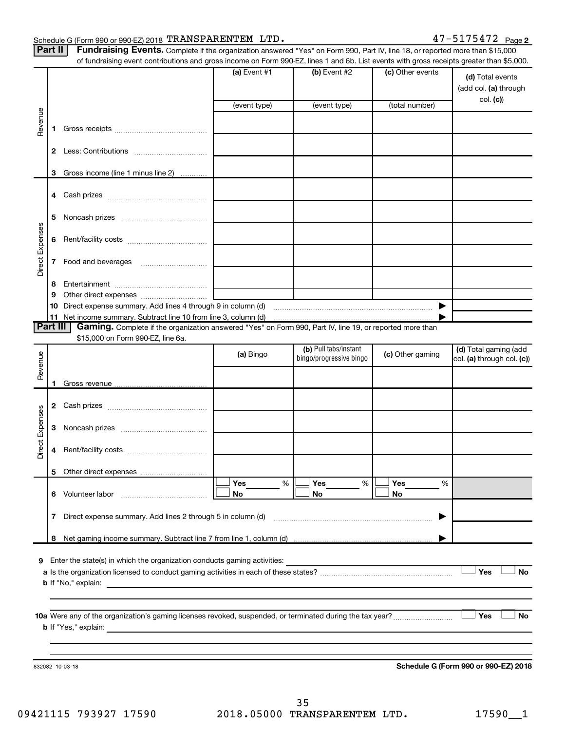#### Schedule G (Form 990 or 990-EZ) 2018 'FRANS PARENTEM LITD .  $47-5175472$  Page TRANSPARENTEM LTD. 47-5175472

| Part II   Fundraising Events. Complete if the organization answered "Yes" on Form 990, Part IV, line 18, or reported more than \$15,000 |
|-----------------------------------------------------------------------------------------------------------------------------------------|
| of fundraising event contributions and gross income on Form 990.FZ lines 1 and 6b List events with gross receipts greater than \$5.     |

|                 |    | of fundraising event contributions and gross income on Form 990-EZ, lines 1 and 6b. List events with gross receipts greater than \$5,000.     |              |                         |                  |                                           |
|-----------------|----|-----------------------------------------------------------------------------------------------------------------------------------------------|--------------|-------------------------|------------------|-------------------------------------------|
|                 |    |                                                                                                                                               | (a) Event #1 | (b) Event #2            | (c) Other events | (d) Total events<br>(add col. (a) through |
|                 |    |                                                                                                                                               | (event type) | (event type)            | (total number)   | col. (c))                                 |
|                 |    |                                                                                                                                               |              |                         |                  |                                           |
| Revenue         | 1. |                                                                                                                                               |              |                         |                  |                                           |
|                 | 2  |                                                                                                                                               |              |                         |                  |                                           |
|                 | 3  | Gross income (line 1 minus line 2)                                                                                                            |              |                         |                  |                                           |
|                 | 4  |                                                                                                                                               |              |                         |                  |                                           |
|                 | 5  |                                                                                                                                               |              |                         |                  |                                           |
|                 | 6  |                                                                                                                                               |              |                         |                  |                                           |
| Direct Expenses | 7  |                                                                                                                                               |              |                         |                  |                                           |
|                 | 8  |                                                                                                                                               |              |                         |                  |                                           |
|                 | 9  |                                                                                                                                               |              |                         |                  |                                           |
|                 | 10 |                                                                                                                                               |              |                         |                  |                                           |
|                 |    |                                                                                                                                               |              |                         |                  |                                           |
| Part III        |    | Gaming. Complete if the organization answered "Yes" on Form 990, Part IV, line 19, or reported more than<br>\$15,000 on Form 990-EZ, line 6a. |              |                         |                  |                                           |
|                 |    |                                                                                                                                               |              | (b) Pull tabs/instant   |                  | (d) Total gaming (add                     |
| Revenue         |    |                                                                                                                                               | (a) Bingo    | bingo/progressive bingo | (c) Other gaming | col. (a) through col. (c))                |
|                 |    |                                                                                                                                               |              |                         |                  |                                           |
|                 | 1. |                                                                                                                                               |              |                         |                  |                                           |
|                 | 2  |                                                                                                                                               |              |                         |                  |                                           |
|                 | З  |                                                                                                                                               |              |                         |                  |                                           |
| Direct Expenses | 4  |                                                                                                                                               |              |                         |                  |                                           |
|                 |    | 5 Other direct expenses                                                                                                                       |              |                         |                  |                                           |
|                 |    |                                                                                                                                               | Yes<br>%     | Yes<br>%                | Yes<br>%         |                                           |
|                 | 6  |                                                                                                                                               | No           | No                      | No               |                                           |
|                 | 7  | Direct expense summary. Add lines 2 through 5 in column (d)                                                                                   |              |                         | ▶                |                                           |
|                 | 8  |                                                                                                                                               |              |                         |                  |                                           |
|                 |    |                                                                                                                                               |              |                         |                  |                                           |
| 9               |    | Enter the state(s) in which the organization conducts gaming activities:                                                                      |              |                         |                  | Yes                                       |
|                 |    | <b>b</b> If "No," explain:                                                                                                                    |              |                         |                  | No                                        |
|                 |    | <u> 1989 - Andrea Santa Andrea Santa Andrea Santa Andrea Santa Andrea Santa Andrea Santa Andrea Santa Andrea San</u>                          |              |                         |                  |                                           |
|                 |    |                                                                                                                                               |              |                         |                  |                                           |
|                 |    |                                                                                                                                               |              |                         |                  | Yes<br>No                                 |
|                 |    |                                                                                                                                               |              |                         |                  |                                           |
|                 |    |                                                                                                                                               |              |                         |                  |                                           |
|                 |    |                                                                                                                                               |              |                         |                  |                                           |
|                 |    | 832082 10-03-18                                                                                                                               |              |                         |                  | Schedule G (Form 990 or 990-EZ) 2018      |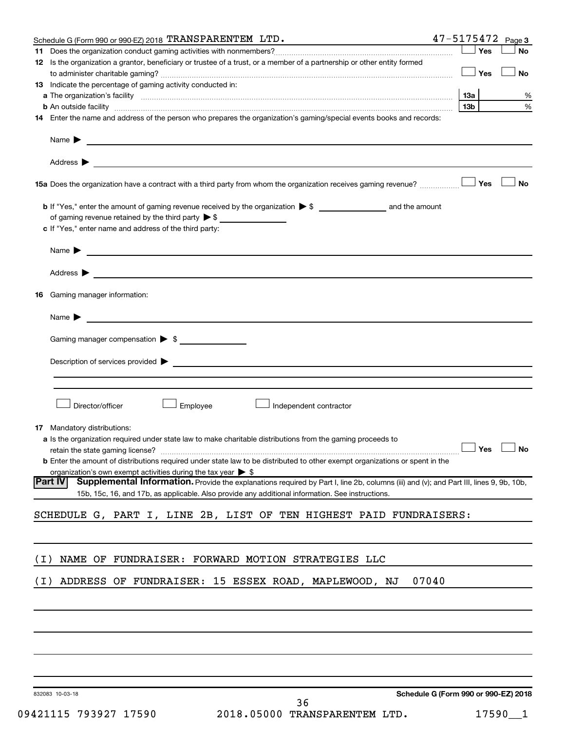|       | 47-5175472<br>Schedule G (Form 990 or 990-EZ) 2018 TRANSPARENTEM LTD.                                                                                                                                                                                         |                 |     | Page 3               |
|-------|---------------------------------------------------------------------------------------------------------------------------------------------------------------------------------------------------------------------------------------------------------------|-----------------|-----|----------------------|
|       |                                                                                                                                                                                                                                                               |                 | Yes | No                   |
|       | 12 Is the organization a grantor, beneficiary or trustee of a trust, or a member of a partnership or other entity formed                                                                                                                                      |                 | Yes | <b>No</b>            |
|       | 13 Indicate the percentage of gaming activity conducted in:                                                                                                                                                                                                   |                 |     |                      |
|       |                                                                                                                                                                                                                                                               | 13a             |     | %                    |
|       | <b>b</b> An outside facility <i>www.communicality.communicality.communicality www.communicality.communicality.communicality</i>                                                                                                                               | 13 <sub>b</sub> |     | %                    |
|       | 14 Enter the name and address of the person who prepares the organization's gaming/special events books and records:                                                                                                                                          |                 |     |                      |
|       | Name $\blacktriangleright$<br><u> 1989 - Johann Harry Harry Harry Harry Harry Harry Harry Harry Harry Harry Harry Harry Harry Harry Harry Harry</u>                                                                                                           |                 |     |                      |
|       |                                                                                                                                                                                                                                                               |                 |     |                      |
|       | 15a Does the organization have a contract with a third party from whom the organization receives gaming revenue?                                                                                                                                              |                 | Yes | <b>No</b>            |
|       | of gaming revenue retained by the third party $\triangleright$ \$                                                                                                                                                                                             |                 |     |                      |
|       | c If "Yes," enter name and address of the third party:                                                                                                                                                                                                        |                 |     |                      |
|       | $Name \rightarrow$                                                                                                                                                                                                                                            |                 |     |                      |
|       |                                                                                                                                                                                                                                                               |                 |     |                      |
| 16    | Gaming manager information:                                                                                                                                                                                                                                   |                 |     |                      |
|       | Name $\blacktriangleright$                                                                                                                                                                                                                                    |                 |     |                      |
|       | Gaming manager compensation > \$                                                                                                                                                                                                                              |                 |     |                      |
|       | Description of services provided <b>Denote the Constantine Constantine Constantine Constantine Constantine Constantine Constantine Constantine Constantine Constantine Constantine Constantine Constantine Constantine Constanti</b>                          |                 |     |                      |
|       |                                                                                                                                                                                                                                                               |                 |     |                      |
|       |                                                                                                                                                                                                                                                               |                 |     |                      |
|       | Director/officer<br>Employee<br>Independent contractor                                                                                                                                                                                                        |                 |     |                      |
|       | <b>17</b> Mandatory distributions:                                                                                                                                                                                                                            |                 |     |                      |
|       | a Is the organization required under state law to make charitable distributions from the gaming proceeds to                                                                                                                                                   |                 |     |                      |
|       |                                                                                                                                                                                                                                                               |                 |     | $\Box$ Yes $\Box$ No |
|       | <b>b</b> Enter the amount of distributions required under state law to be distributed to other exempt organizations or spent in the                                                                                                                           |                 |     |                      |
|       | organization's own exempt activities during the tax year $\triangleright$ \$                                                                                                                                                                                  |                 |     |                      |
|       | Part IV <br><b>Supplemental Information.</b> Provide the explanations required by Part I, line 2b, columns (iii) and (v); and Part III, lines 9, 9b, 10b,<br>15b, 15c, 16, and 17b, as applicable. Also provide any additional information. See instructions. |                 |     |                      |
|       | SCHEDULE G, PART I, LINE 2B, LIST OF TEN HIGHEST PAID FUNDRAISERS:                                                                                                                                                                                            |                 |     |                      |
|       |                                                                                                                                                                                                                                                               |                 |     |                      |
| ( I ) | NAME OF FUNDRAISER: FORWARD MOTION STRATEGIES LLC                                                                                                                                                                                                             |                 |     |                      |
| ( I ) | ADDRESS OF FUNDRAISER: 15 ESSEX ROAD, MAPLEWOOD, NJ<br>07040                                                                                                                                                                                                  |                 |     |                      |
|       |                                                                                                                                                                                                                                                               |                 |     |                      |
|       |                                                                                                                                                                                                                                                               |                 |     |                      |
|       |                                                                                                                                                                                                                                                               |                 |     |                      |
|       |                                                                                                                                                                                                                                                               |                 |     |                      |
|       |                                                                                                                                                                                                                                                               |                 |     |                      |

832083 10-03-18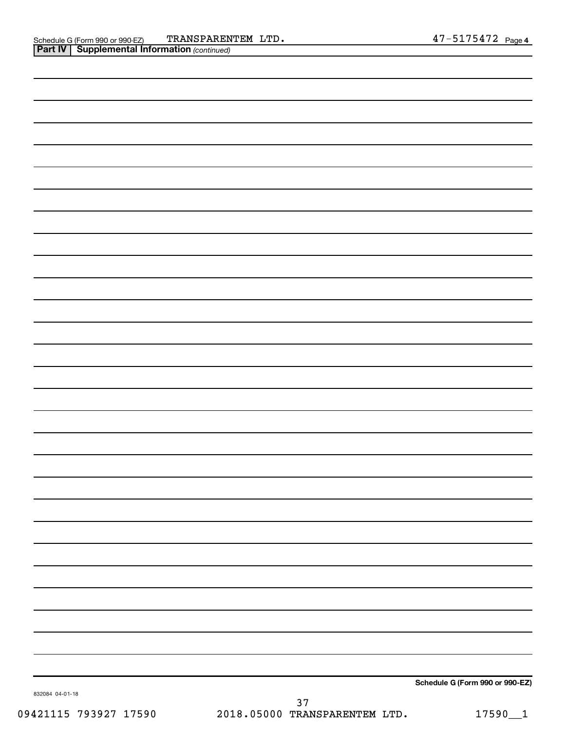| —<br>. .        | $\overline{\phantom{a}}$ |                                 |
|-----------------|--------------------------|---------------------------------|
|                 |                          |                                 |
|                 |                          |                                 |
|                 |                          |                                 |
|                 |                          |                                 |
|                 |                          |                                 |
|                 |                          |                                 |
|                 |                          |                                 |
|                 |                          |                                 |
|                 |                          |                                 |
|                 |                          |                                 |
|                 |                          |                                 |
|                 |                          |                                 |
|                 |                          |                                 |
|                 |                          |                                 |
|                 |                          |                                 |
|                 |                          |                                 |
|                 |                          |                                 |
|                 |                          |                                 |
|                 |                          |                                 |
|                 |                          |                                 |
|                 |                          |                                 |
|                 |                          |                                 |
|                 |                          |                                 |
|                 |                          |                                 |
|                 |                          |                                 |
|                 |                          |                                 |
|                 |                          |                                 |
|                 |                          |                                 |
|                 |                          |                                 |
|                 |                          |                                 |
|                 |                          |                                 |
|                 |                          |                                 |
|                 |                          |                                 |
|                 |                          |                                 |
|                 |                          |                                 |
|                 |                          |                                 |
|                 |                          |                                 |
|                 |                          |                                 |
|                 |                          |                                 |
|                 |                          |                                 |
|                 |                          |                                 |
|                 |                          |                                 |
|                 |                          |                                 |
|                 |                          |                                 |
|                 |                          |                                 |
| 832084 04-01-18 |                          | Schedule G (Form 990 or 990-EZ) |
|                 |                          |                                 |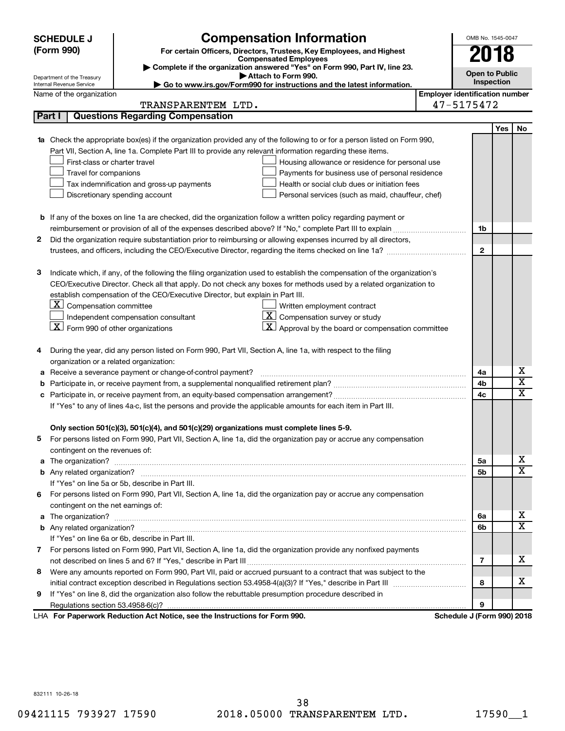|   | <b>SCHEDULE J</b>                              | <b>Compensation Information</b>                                                                                           |                                       | OMB No. 1545-0047          |     |                              |
|---|------------------------------------------------|---------------------------------------------------------------------------------------------------------------------------|---------------------------------------|----------------------------|-----|------------------------------|
|   | (Form 990)                                     | For certain Officers, Directors, Trustees, Key Employees, and Highest                                                     |                                       | 2018                       |     |                              |
|   |                                                | <b>Compensated Employees</b><br>Complete if the organization answered "Yes" on Form 990, Part IV, line 23.                |                                       |                            |     |                              |
|   | Department of the Treasury                     | Attach to Form 990.                                                                                                       |                                       | <b>Open to Public</b>      |     |                              |
|   | Internal Revenue Service                       | Go to www.irs.gov/Form990 for instructions and the latest information.                                                    |                                       | Inspection                 |     |                              |
|   | Name of the organization                       | TRANSPARENTEM LTD.                                                                                                        | <b>Employer identification number</b> | 47-5175472                 |     |                              |
|   | Part I                                         | <b>Questions Regarding Compensation</b>                                                                                   |                                       |                            |     |                              |
|   |                                                |                                                                                                                           |                                       |                            |     |                              |
|   |                                                | 1a Check the appropriate box(es) if the organization provided any of the following to or for a person listed on Form 990, |                                       |                            | Yes | No                           |
|   |                                                | Part VII, Section A, line 1a. Complete Part III to provide any relevant information regarding these items.                |                                       |                            |     |                              |
|   | First-class or charter travel                  | Housing allowance or residence for personal use                                                                           |                                       |                            |     |                              |
|   | Travel for companions                          | Payments for business use of personal residence                                                                           |                                       |                            |     |                              |
|   |                                                | Tax indemnification and gross-up payments<br>Health or social club dues or initiation fees                                |                                       |                            |     |                              |
|   |                                                | Discretionary spending account<br>Personal services (such as maid, chauffeur, chef)                                       |                                       |                            |     |                              |
|   |                                                |                                                                                                                           |                                       |                            |     |                              |
|   |                                                | <b>b</b> If any of the boxes on line 1a are checked, did the organization follow a written policy regarding payment or    |                                       |                            |     |                              |
|   |                                                |                                                                                                                           |                                       | 1b                         |     |                              |
| 2 |                                                | Did the organization require substantiation prior to reimbursing or allowing expenses incurred by all directors,          |                                       |                            |     |                              |
|   |                                                |                                                                                                                           |                                       | $\mathbf{2}$               |     |                              |
|   |                                                |                                                                                                                           |                                       |                            |     |                              |
| з |                                                | Indicate which, if any, of the following the filing organization used to establish the compensation of the organization's |                                       |                            |     |                              |
|   |                                                | CEO/Executive Director. Check all that apply. Do not check any boxes for methods used by a related organization to        |                                       |                            |     |                              |
|   |                                                | establish compensation of the CEO/Executive Director, but explain in Part III.                                            |                                       |                            |     |                              |
|   | $\lfloor x \rfloor$ Compensation committee     | Written employment contract                                                                                               |                                       |                            |     |                              |
|   |                                                | $\overline{\mathbf{X}}$ Compensation survey or study<br>Independent compensation consultant                               |                                       |                            |     |                              |
|   | $ \mathbf{X} $ Form 990 of other organizations | $\mathbf{X}$<br>Approval by the board or compensation committee                                                           |                                       |                            |     |                              |
|   |                                                |                                                                                                                           |                                       |                            |     |                              |
| 4 |                                                | During the year, did any person listed on Form 990, Part VII, Section A, line 1a, with respect to the filing              |                                       |                            |     |                              |
|   | organization or a related organization:        |                                                                                                                           |                                       |                            |     |                              |
| а |                                                | Receive a severance payment or change-of-control payment?                                                                 |                                       | 4a                         |     | х<br>$\overline{\textbf{x}}$ |
| b |                                                |                                                                                                                           |                                       | 4b                         |     | $\overline{\textbf{x}}$      |
| c |                                                |                                                                                                                           |                                       | 4c                         |     |                              |
|   |                                                | If "Yes" to any of lines 4a-c, list the persons and provide the applicable amounts for each item in Part III.             |                                       |                            |     |                              |
|   |                                                | Only section 501(c)(3), 501(c)(4), and 501(c)(29) organizations must complete lines 5-9.                                  |                                       |                            |     |                              |
|   |                                                | For persons listed on Form 990, Part VII, Section A, line 1a, did the organization pay or accrue any compensation         |                                       |                            |     |                              |
|   | contingent on the revenues of:                 |                                                                                                                           |                                       |                            |     |                              |
|   |                                                |                                                                                                                           |                                       | 5a                         |     | X.                           |
|   |                                                |                                                                                                                           |                                       | 5b                         |     | $\overline{\mathbf{X}}$      |
|   |                                                | If "Yes" on line 5a or 5b, describe in Part III.                                                                          |                                       |                            |     |                              |
| 6 |                                                | For persons listed on Form 990, Part VII, Section A, line 1a, did the organization pay or accrue any compensation         |                                       |                            |     |                              |
|   | contingent on the net earnings of:             |                                                                                                                           |                                       |                            |     |                              |
|   |                                                |                                                                                                                           |                                       | 6a                         |     | X.                           |
|   |                                                |                                                                                                                           |                                       | 6b                         |     | $\overline{\text{X}}$        |
|   |                                                | If "Yes" on line 6a or 6b, describe in Part III.                                                                          |                                       |                            |     |                              |
|   |                                                | 7 For persons listed on Form 990, Part VII, Section A, line 1a, did the organization provide any nonfixed payments        |                                       |                            |     |                              |
|   |                                                |                                                                                                                           |                                       | 7                          |     | х                            |
| 8 |                                                | Were any amounts reported on Form 990, Part VII, paid or accrued pursuant to a contract that was subject to the           |                                       |                            |     |                              |
|   |                                                |                                                                                                                           |                                       | 8                          |     | x                            |
| 9 |                                                | If "Yes" on line 8, did the organization also follow the rebuttable presumption procedure described in                    |                                       |                            |     |                              |
|   |                                                |                                                                                                                           |                                       | 9                          |     |                              |
|   |                                                | LHA For Paperwork Reduction Act Notice, see the Instructions for Form 990.                                                |                                       | Schedule J (Form 990) 2018 |     |                              |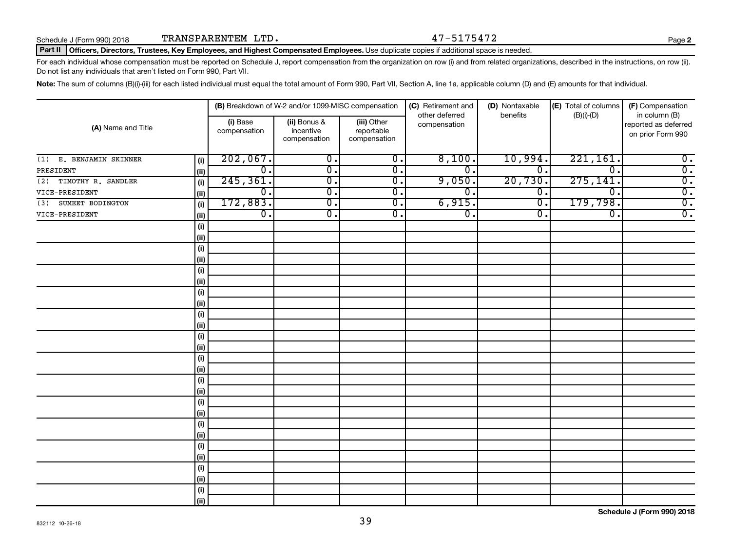**2**

#### Part II | Officers, Directors, Trustees, Key Employees, and Highest Compensated Employees. Use duplicate copies if additional space is needed.

For each individual whose compensation must be reported on Schedule J, report compensation from the organization on row (i) and from related organizations, described in the instructions, on row (ii). Do not list any individuals that aren't listed on Form 990, Part VII.

Note: The sum of columns (B)(i)-(iii) for each listed individual must equal the total amount of Form 990, Part VII, Section A, line 1a, applicable column (D) and (E) amounts for that individual.

| (A) Name and Title         |       | (B) Breakdown of W-2 and/or 1099-MISC compensation |                                           |                                           | (C) Retirement and             | (D) Nontaxable              | (E) Total of columns        | (F) Compensation                                           |
|----------------------------|-------|----------------------------------------------------|-------------------------------------------|-------------------------------------------|--------------------------------|-----------------------------|-----------------------------|------------------------------------------------------------|
|                            |       | (i) Base<br>compensation                           | (ii) Bonus &<br>incentive<br>compensation | (iii) Other<br>reportable<br>compensation | other deferred<br>compensation | benefits                    | $(B)(i)$ - $(D)$            | in column (B)<br>reported as deferred<br>on prior Form 990 |
| E. BENJAMIN SKINNER<br>(1) | (i)   | 202,067.                                           | $\overline{\mathbf{0}}$ .                 | $\overline{0}$ .                          | 8,100.                         | 10,994.                     | 221,161.                    | $\overline{\mathbf{0}}$ .                                  |
| PRESIDENT                  | (ii)  | $\overline{0}$ .                                   | $\overline{\mathbf{0}}$ .                 | $\overline{0}$ .                          | $\mathbf 0$                    | $\overline{\mathfrak{o}}$ . | $\overline{0}$ .            | $\overline{0}$ .                                           |
| TIMOTHY R. SANDLER<br>(2)  | (i)   | 245, 361.                                          | $\overline{\mathfrak{o}}$ .               | $\overline{\mathbf{0}}$ .                 | 9,050.                         | 20,730.                     | 275, 141.                   | $\overline{\mathbf{0}}$ .                                  |
| VICE-PRESIDENT             | (ii)  | $\overline{0}$ .                                   | $\overline{0}$ .                          | $\overline{0}$ .                          | $\overline{0}$ .               | $\overline{0}$ .            | $\overline{\mathfrak{o}}$ . | $\overline{\mathbf{0}}$ .                                  |
| SUMEET BODINGTON<br>(3)    | (i)   | 172,883.                                           | $\overline{\mathfrak{o}}$ .               | $\overline{0}$ .                          | 6,915.                         | $\overline{\mathfrak{o}}$ . | 179,798.                    | $\overline{0}$ .                                           |
| VICE-PRESIDENT             | (ii)  | $\overline{0}$ .                                   | $\overline{0}$ .                          | $\overline{0}$ .                          | $\overline{0}$ .               | σ.                          | $\overline{0}$ .            | $\overline{0}$ .                                           |
|                            | (i)   |                                                    |                                           |                                           |                                |                             |                             |                                                            |
|                            | (ii)  |                                                    |                                           |                                           |                                |                             |                             |                                                            |
|                            | (i)   |                                                    |                                           |                                           |                                |                             |                             |                                                            |
|                            | (ii)  |                                                    |                                           |                                           |                                |                             |                             |                                                            |
|                            | (i)   |                                                    |                                           |                                           |                                |                             |                             |                                                            |
|                            | (ii)  |                                                    |                                           |                                           |                                |                             |                             |                                                            |
|                            | (i)   |                                                    |                                           |                                           |                                |                             |                             |                                                            |
|                            | (ii)  |                                                    |                                           |                                           |                                |                             |                             |                                                            |
|                            | (i)   |                                                    |                                           |                                           |                                |                             |                             |                                                            |
|                            | (ii)  |                                                    |                                           |                                           |                                |                             |                             |                                                            |
|                            | (i)   |                                                    |                                           |                                           |                                |                             |                             |                                                            |
|                            | (ii)  |                                                    |                                           |                                           |                                |                             |                             |                                                            |
|                            | (i)   |                                                    |                                           |                                           |                                |                             |                             |                                                            |
|                            | (ii)  |                                                    |                                           |                                           |                                |                             |                             |                                                            |
|                            | (i)   |                                                    |                                           |                                           |                                |                             |                             |                                                            |
|                            | (ii)  |                                                    |                                           |                                           |                                |                             |                             |                                                            |
|                            | (i)   |                                                    |                                           |                                           |                                |                             |                             |                                                            |
|                            | (ii)  |                                                    |                                           |                                           |                                |                             |                             |                                                            |
|                            | (i)   |                                                    |                                           |                                           |                                |                             |                             |                                                            |
|                            | (ii)  |                                                    |                                           |                                           |                                |                             |                             |                                                            |
|                            | (i)   |                                                    |                                           |                                           |                                |                             |                             |                                                            |
|                            | (ii)  |                                                    |                                           |                                           |                                |                             |                             |                                                            |
|                            | (i)   |                                                    |                                           |                                           |                                |                             |                             |                                                            |
|                            | (ii)  |                                                    |                                           |                                           |                                |                             |                             |                                                            |
|                            | (i)   |                                                    |                                           |                                           |                                |                             |                             |                                                            |
|                            | (iii) |                                                    |                                           |                                           |                                |                             |                             |                                                            |

**Schedule J (Form 990) 2018**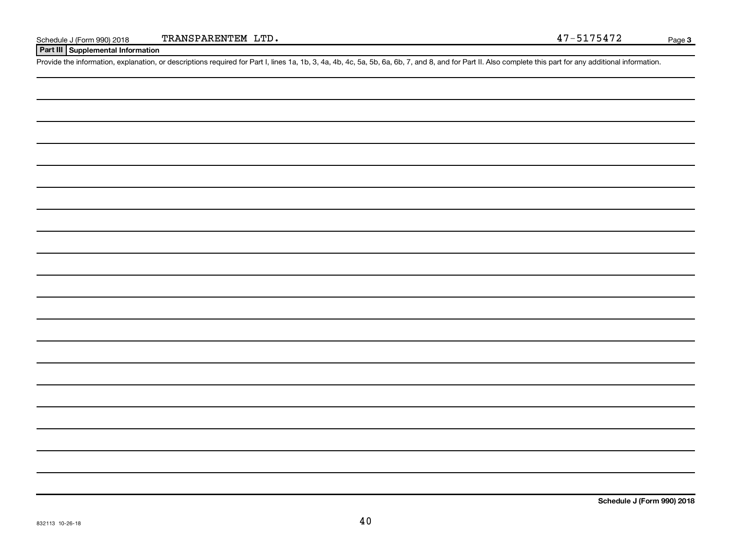**Part III Supplemental Information**

Provide the information, explanation, or descriptions required for Part I, lines 1a, 1b, 3, 4a, 4b, 4c, 5a, 5b, 6a, 6b, 7, and 8, and for Part II. Also complete this part for any additional information.

**Schedule J (Form 990) 2018**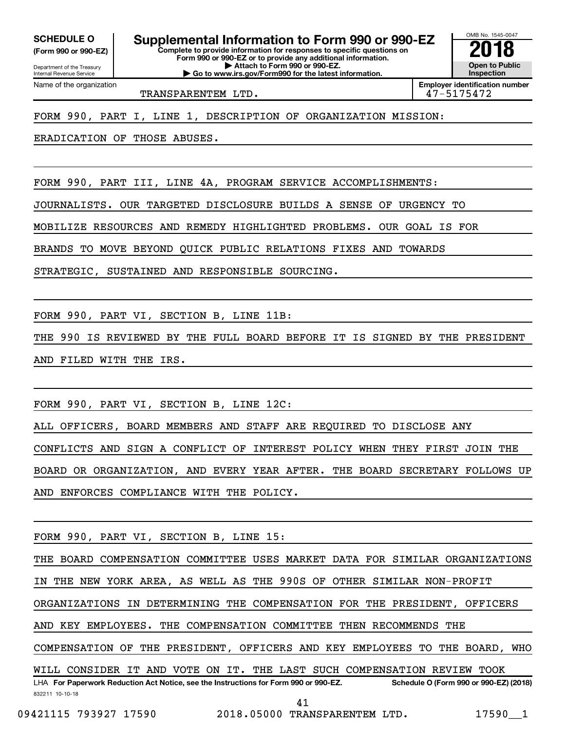**(Form 990 or 990-EZ)**

Department of the Treasury Internal Revenue Service

Name of the organization

**Complete to provide information for responses to specific questions on Form 990 or 990-EZ or to provide any additional information. | Attach to Form 990 or 990-EZ.** SCHEDULE O **Supplemental Information to Form 990 or 990-EZ 2018**<br>(Form 990 or 990-EZ) Complete to provide information for responses to specific questions on

**| Go to www.irs.gov/Form990 for the latest information.**

OMB No. 1545-0047 **Open to Public Inspection**

TRANSPARENTEM LTD. 47-5175472

**Employer identification number**

FORM 990, PART I, LINE 1, DESCRIPTION OF ORGANIZATION MISSION:

ERADICATION OF THOSE ABUSES.

FORM 990, PART III, LINE 4A, PROGRAM SERVICE ACCOMPLISHMENTS:

JOURNALISTS. OUR TARGETED DISCLOSURE BUILDS A SENSE OF URGENCY TO

MOBILIZE RESOURCES AND REMEDY HIGHLIGHTED PROBLEMS. OUR GOAL IS FOR

BRANDS TO MOVE BEYOND QUICK PUBLIC RELATIONS FIXES AND TOWARDS

STRATEGIC, SUSTAINED AND RESPONSIBLE SOURCING.

FORM 990, PART VI, SECTION B, LINE 11B:

THE 990 IS REVIEWED BY THE FULL BOARD BEFORE IT IS SIGNED BY THE PRESIDENT AND FILED WITH THE IRS.

FORM 990, PART VI, SECTION B, LINE 12C:

ALL OFFICERS, BOARD MEMBERS AND STAFF ARE REQUIRED TO DISCLOSE ANY

CONFLICTS AND SIGN A CONFLICT OF INTEREST POLICY WHEN THEY FIRST JOIN THE

BOARD OR ORGANIZATION, AND EVERY YEAR AFTER. THE BOARD SECRETARY FOLLOWS UP AND ENFORCES COMPLIANCE WITH THE POLICY.

FORM 990, PART VI, SECTION B, LINE 15:

832211 10-10-18 LHA For Paperwork Reduction Act Notice, see the Instructions for Form 990 or 990-EZ. Schedule O (Form 990 or 990-EZ) (2018) THE BOARD COMPENSATION COMMITTEE USES MARKET DATA FOR SIMILAR ORGANIZATIONS IN THE NEW YORK AREA, AS WELL AS THE 990S OF OTHER SIMILAR NON-PROFIT ORGANIZATIONS IN DETERMINING THE COMPENSATION FOR THE PRESIDENT, OFFICERS AND KEY EMPLOYEES. THE COMPENSATION COMMITTEE THEN RECOMMENDS THE COMPENSATION OF THE PRESIDENT, OFFICERS AND KEY EMPLOYEES TO THE BOARD, WHO WILL CONSIDER IT AND VOTE ON IT. THE LAST SUCH COMPENSATION REVIEW TOOK 41